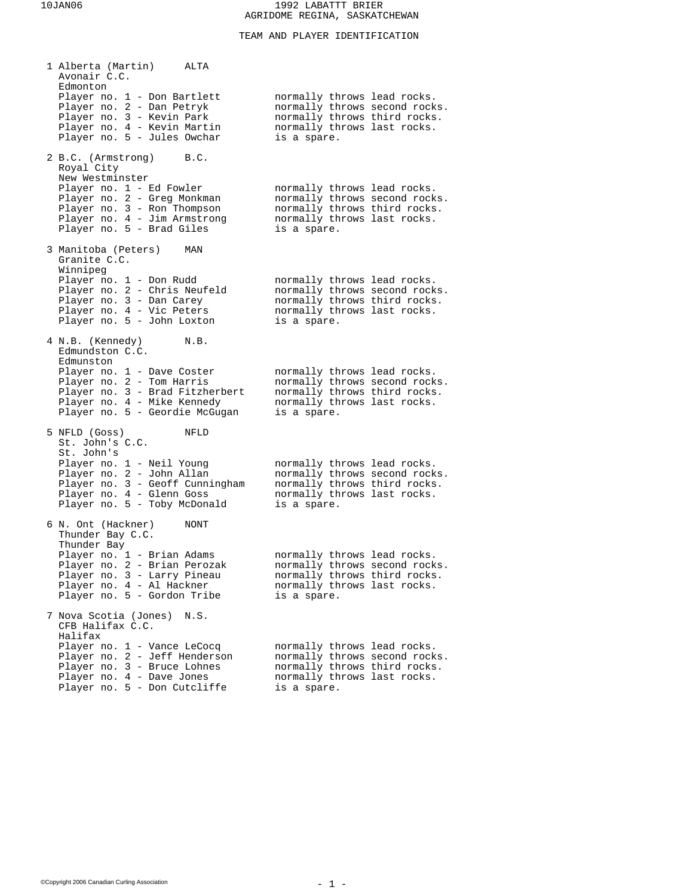## TEAM AND PLAYER IDENTIFICATION

| 1 Alberta (Martin)<br>ALTA<br>Avonair C.C.                                                        |                                                                                              |
|---------------------------------------------------------------------------------------------------|----------------------------------------------------------------------------------------------|
| Edmonton<br>Player no. 1 - Don Bartlett<br>Player no. 2 - Dan Petryk<br>Player no. 3 - Kevin Park | normally throws lead rocks.<br>normally throws second rocks.<br>normally throws third rocks. |
| Player no. 4 - Kevin Martin<br>Player no. 5 - Jules Owchar                                        | normally throws last rocks.<br>is a spare.                                                   |
| 2 B.C. (Armstrong)<br>B.C.<br>Royal City<br>New Westminster                                       |                                                                                              |
| Player no. 1 - Ed Fowler                                                                          | normally throws lead rocks.                                                                  |
| Player no. 2 - Greg Monkman                                                                       | normally throws second rocks.                                                                |
| Player no. 3 - Ron Thompson<br>Player no. 4 - Jim Armstrong                                       | normally throws third rocks.<br>normally throws last rocks.                                  |
| Player no. 5 - Brad Giles                                                                         | is a spare.                                                                                  |
| 3 Manitoba (Peters)<br>MAN<br>Granite C.C.                                                        |                                                                                              |
| Winnipeg<br>Player no. 1 - Don Rudd                                                               | normally throws lead rocks.                                                                  |
| Player no. 2 - Chris Neufeld                                                                      | normally throws second rocks.                                                                |
| Player no. 3 - Dan Carey                                                                          | normally throws third rocks.                                                                 |
| Player no. 4 - Vic Peters<br>Player no. 5 - John Loxton                                           | normally throws last rocks.<br>is a spare.                                                   |
| 4 N.B. (Kennedy)<br>N.B.<br>Edmundston C.C.                                                       |                                                                                              |
| Edmunston                                                                                         |                                                                                              |
| Player no. 1 - Dave Coster                                                                        | normally throws lead rocks.                                                                  |
| Player no. 2 - Tom Harris<br>Player no. 3 - Brad Fitzherbert                                      | normally throws second rocks.<br>normally throws third rocks.                                |
| Player no. 4 - Mike Kennedy                                                                       | normally throws last rocks.                                                                  |
| Player no. 5 - Geordie McGugan                                                                    | is a spare.                                                                                  |
| 5 NFLD (Goss)<br>NFLD<br>St. John's C.C.                                                          |                                                                                              |
| St. John's<br>Player no. 1 - Neil Young                                                           | normally throws lead rocks.                                                                  |
| Player no. 2 - John Allan                                                                         | normally throws second rocks.                                                                |
| Player no. 3 - Geoff Cunningham<br>Player no. 4 - Glenn Goss                                      | normally throws third rocks.<br>normally throws last rocks.                                  |
| Player no. 5 - Toby McDonald                                                                      | is a spare.                                                                                  |
| 6 N. Ont (Hackner)<br>NONT<br>Thunder Bay C.C.                                                    |                                                                                              |
| Thunder Bay<br>Player no. 1 - Brian Adams                                                         | normally throws lead rocks.                                                                  |
| Player no. 2 - Brian Perozak                                                                      | normally throws second rocks.                                                                |
| Player no. 3 - Larry Pineau                                                                       | normally throws third rocks.                                                                 |
| Player no. 4 - Al Hackner<br>Player no. 5 - Gordon Tribe                                          | normally throws last rocks.<br>is a spare.                                                   |
| 7 Nova Scotia (Jones)<br>N.S.                                                                     |                                                                                              |
| CFB Halifax C.C.<br>Halifax                                                                       |                                                                                              |
| Player no. 1 - Vance LeCocq                                                                       | normally throws lead rocks.                                                                  |
| Player no. 2 - Jeff Henderson                                                                     | normally throws second rocks.                                                                |
| Player no. 3 - Bruce Lohnes<br>Player no. 4 - Dave Jones                                          | normally throws third rocks.<br>normally throws last rocks.                                  |
| Player no. 5 - Don Cutcliffe                                                                      | is a spare.                                                                                  |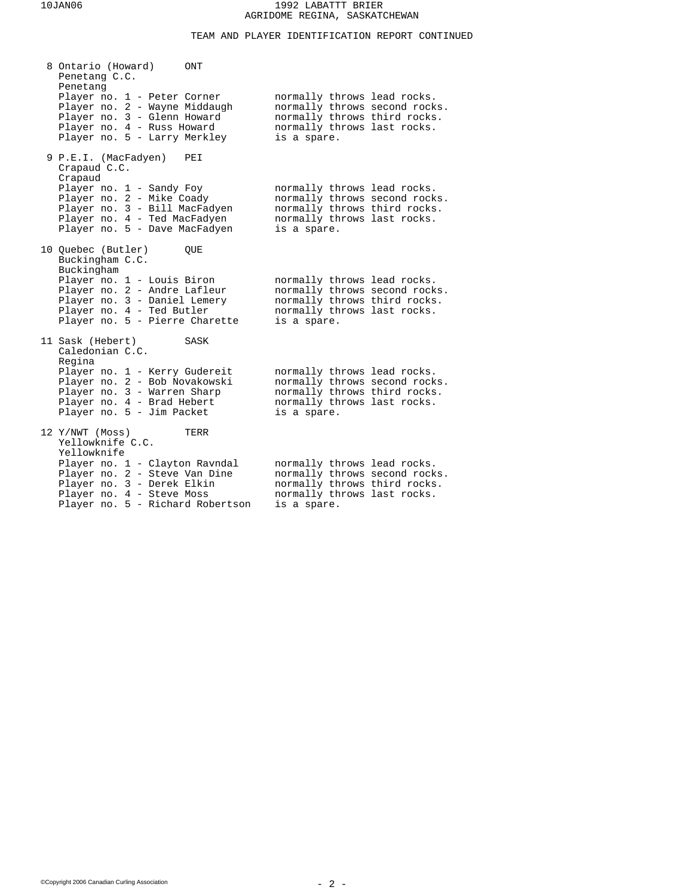TEAM AND PLAYER IDENTIFICATION REPORT CONTINUED

| 8 Ontario (Howard)<br>Penetang C.C.<br>Penetang                                                                                                                | ONT  |                                                                                                                                            |  |
|----------------------------------------------------------------------------------------------------------------------------------------------------------------|------|--------------------------------------------------------------------------------------------------------------------------------------------|--|
| Player no. 1 - Peter Corner<br>Player no. 2 - Wayne Middaugh<br>Player no. 3 - Glenn Howard<br>Player no. 4 - Russ Howard<br>Player no. 5 - Larry Merkley      |      | normally throws lead rocks.<br>normally throws second rocks.<br>normally throws third rocks.<br>normally throws last rocks.<br>is a spare. |  |
| 9 P.E.I. (MacFadyen)<br>Crapaud C.C.<br>Crapaud                                                                                                                | PEI  |                                                                                                                                            |  |
| Player no. 1 - Sandy Foy<br>Player no. 2 - Mike Coady<br>Player no. 3 - Bill MacFadyen<br>Player no. 4 - Ted MacFadyen<br>Player no. 5 - Dave MacFadyen        |      | normally throws lead rocks.<br>normally throws second rocks.<br>normally throws third rocks.<br>normally throws last rocks.<br>is a spare. |  |
| 10 Quebec (Butler)<br>Buckingham C.C.<br>Buckingham                                                                                                            | OUE  |                                                                                                                                            |  |
| Player no. 1 - Louis Biron<br>Player no. 2 - Andre Lafleur<br>Player no. 3 - Daniel Lemery<br>Player no. 4 - Ted Butler<br>Player no. 5 - Pierre Charette      |      | normally throws lead rocks.<br>normally throws second rocks.<br>normally throws third rocks.<br>normally throws last rocks.<br>is a spare. |  |
| 11 Sask (Hebert)<br>Caledonian C.C.<br>Regina                                                                                                                  | SASK |                                                                                                                                            |  |
| Player no. 1 - Kerry Gudereit<br>Player no. 2 - Bob Novakowski<br>Player no. 3 - Warren Sharp<br>Player no. 4 - Brad Hebert<br>Player no. 5 - Jim Packet       |      | normally throws lead rocks.<br>normally throws second rocks.<br>normally throws third rocks.<br>normally throws last rocks.<br>is a spare. |  |
| 12 Y/NWT (Moss)<br>Yellowknife C.C.<br>Yellowknife                                                                                                             | TERR |                                                                                                                                            |  |
| Player no. 1 - Clayton Ravndal<br>Player no. 2 - Steve Van Dine<br>Player no. 3 - Derek Elkin<br>Player no. 4 - Steve Moss<br>Player no. 5 - Richard Robertson |      | normally throws lead rocks.<br>normally throws second rocks.<br>normally throws third rocks.<br>normally throws last rocks.<br>is a spare. |  |
|                                                                                                                                                                |      |                                                                                                                                            |  |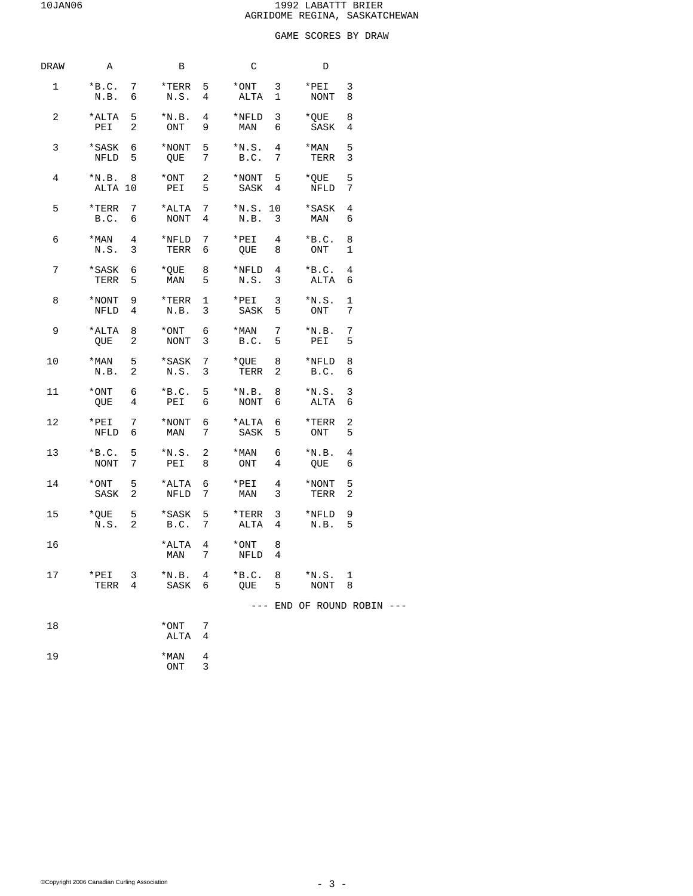# GAME SCORES BY DRAW

| DRAW           | A                                               | В                                         |                 | C                                                                                            |                 | D                            |                            |
|----------------|-------------------------------------------------|-------------------------------------------|-----------------|----------------------------------------------------------------------------------------------|-----------------|------------------------------|----------------------------|
| $\mathbf{1}$   | $*B.C. 7$<br>N.B. 6                             | N.S.                                      | $4\overline{ }$ | $*$ TERR 5 $*$ ONT 3<br>ALTA                                                                 | $\mathbf{1}$    | $*PEI$<br>NONT               | 3<br>8                     |
| $\overline{a}$ | *ALTA 5<br>PEI 2                                | ONT 9                                     |                 | $*N.B. 4 *NFLD$<br>MAN                                                                       | 6               | 3 *QUE<br>SASK               | 8<br>4                     |
| 3              | *SASK 6<br>NFLD 5                               | $*$ NONT 5<br>QUE 7                       |                 | $*_{N.S.}$ 4<br>B.C.                                                                         | $7\overline{ }$ | $*$ MAN<br>TERR              | 5<br>3                     |
| 4              | $*N.B. 8$<br>ALTA 10                            | $*$ ONT 2<br>PEI 5                        |                 | $*$ NONT 5                                                                                   |                 | *QUE<br>SASK 4 NFLD 7        | 5                          |
| 5              | $*$ TERR 7<br>B.C. 6                            | *ALTA 7<br>NONT 4                         |                 | N.B. 3                                                                                       |                 | $*N.S.$ 10 $*$ SASK<br>MAN   | 4<br>6                     |
| б              | N.S. 3                                          | $*$ MAN 4 $*$ NFLD 7<br>TERR 6            |                 | $*PEI$ 4<br>QUE 8                                                                            |                 | $*B.C. 8$<br>ONT             | 1                          |
| 7              | *SASK 6<br>TERR 5                               | $*$ QUE 8<br>MAN 5                        |                 | $*$ NFLD 4<br>N.S. 3                                                                         |                 | $*B.C. 4$<br>ALTA            | 6                          |
| 8              | $*$ NONT 9<br>NFLD <sub>4</sub>                 | $*$ TERR 1<br>N.B. 3                      |                 | $*PEI$ 3<br>SASK 5                                                                           |                 | $*_{N.S.} 1$<br>ONT          | 7                          |
| 9              | $*ALTA$ 8<br>QUE 2                              | *ONT 6<br>NONT                            | 3               | $*$ MAN 7<br>B.C. 5                                                                          |                 | $*_{\rm N.B.}$<br>PEI        | 7<br>5                     |
| 10             | N.B. 2                                          | *MAN 5 *SASK 7 *QUE 8 *NFLD<br>N.S. 3     |                 | TERR                                                                                         | $\overline{a}$  | B.C. 6                       | 8                          |
| 11             | $*$ ONT 6<br>$\overline{4}$<br>QUE              | $*B.C. 5$<br>PEI 6                        |                 | $*_{N.B.}$ 8<br><b>NONT</b>                                                                  | 6               | $*_{\rm N.S.}$<br>ALTA       | 3<br>6                     |
| 12             | $*PEI$ 7<br>NFLD 6                              | $*$ NONT 6<br>MAN 7                       |                 | *ALTA 6<br>SASK                                                                              | 5               | *TERR<br>ONT                 | 2<br>5                     |
| 13             | $*B.C. 5$<br>NONT<br>7                          | $*_{N.S.}$ 2<br>PEI 8                     |                 | *MAN<br>ONT                                                                                  | 6<br>4          | $*_{\rm N.B.}$<br>QUE        | 4<br>6                     |
| 14             | SASK <sub>2</sub>                               | $*$ ONT 5 $*$ ALTA 6<br>NFLD <sub>7</sub> |                 | $*PEI$<br>MAN                                                                                | $4\degree$<br>3 | *NONT 5<br>TERR <sub>2</sub> |                            |
| 15             | $*$ QUE 5<br>N.S. 2                             | *SASK 5<br>B.C. 7                         |                 | $*$ TERR 3<br>ALTA 4                                                                         |                 | *NFLD 9<br>N.B.              | 5                          |
| 16             |                                                 |                                           |                 | *ALTA 4 *ONT<br>$\begin{tabular}{llll} \tt{MAN} & \tt{7} & \tt{NFLD} & \tt{4} \end{tabular}$ | 8               |                              |                            |
| 17             | $*$ PEI<br>$\overline{\mathbf{3}}$<br>4<br>TERR | $*N.B. 4$<br>SASK                         | 6               | $*B.C. 8$<br>QUE                                                                             | 5               | $*_{N.S.} 1$<br>NONT 8       |                            |
|                |                                                 |                                           |                 |                                                                                              |                 |                              | --- END OF ROUND ROBIN --- |
| 18             |                                                 | *ONT<br>ALTA                              | 7<br>4          |                                                                                              |                 |                              |                            |
| 19             |                                                 | $*$ MAN<br>ONT                            | 4<br>3          |                                                                                              |                 |                              |                            |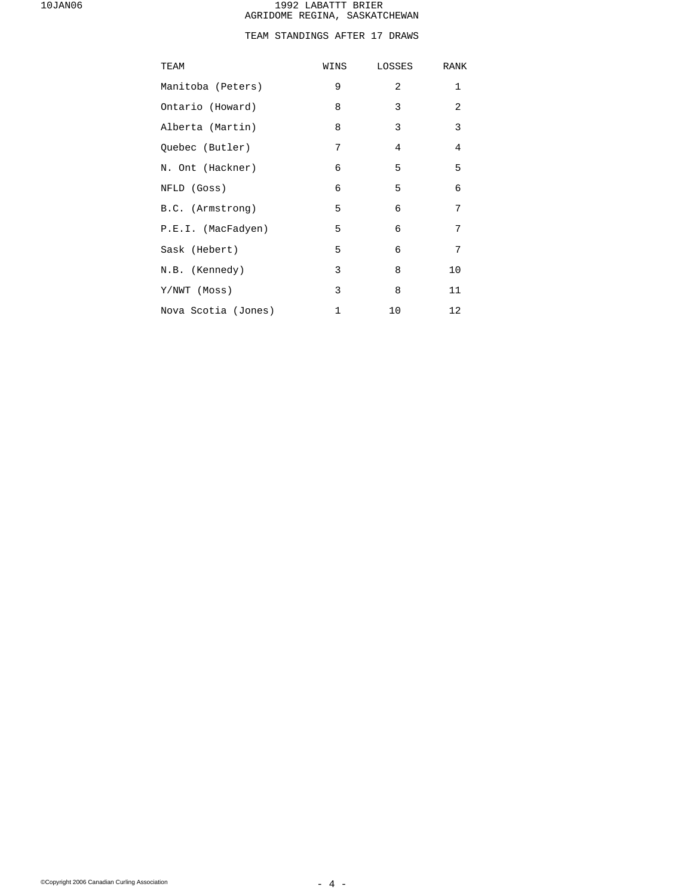# TEAM STANDINGS AFTER 17 DRAWS

| TEAM                | WINS        | LOSSES         | <b>RANK</b>  |
|---------------------|-------------|----------------|--------------|
| Manitoba (Peters)   | 9           | $\overline{a}$ | $\mathbf{1}$ |
| Ontario (Howard)    | 8           | 3              | 2            |
| Alberta (Martin)    | 8           | 3              | 3            |
| Quebec (Butler)     | 7           | $\overline{4}$ | 4            |
| N. Ont (Hackner)    | 6           | 5              | 5            |
| NFLD (Goss)         | 6           | 5              | 6            |
| B.C. (Armstrong)    | 5           | 6              | 7            |
| P.E.I. (MacFadyen)  | 5           | 6              | 7            |
| Sask (Hebert)       | 5           | 6              | 7            |
| N.B. (Kennedy)      | 3           | 8              | 10           |
| Y/NWT (Moss)        | 3           | 8              | 11           |
| Nova Scotia (Jones) | $\mathbf 1$ | 10             | 12           |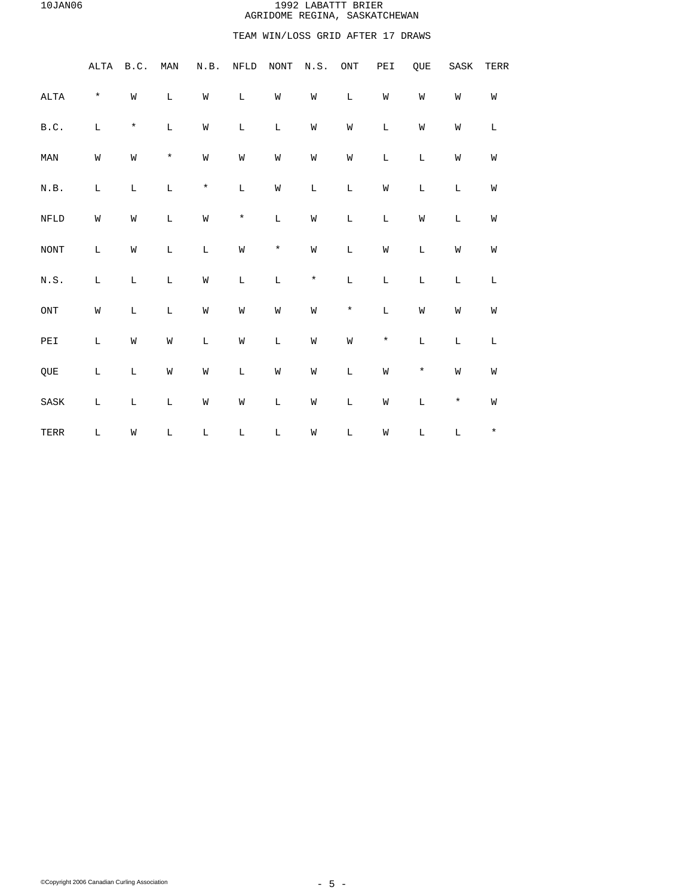# TEAM WIN/LOSS GRID AFTER 17 DRAWS

|                                                        | ALTA        | B.C.        | MAN         | N.B.        | NFLD        | NONT        | N.S.        | $\mathop{\rm ONT}\nolimits$ | PEI         | QUE         | SASK        | TERR        |  |
|--------------------------------------------------------|-------------|-------------|-------------|-------------|-------------|-------------|-------------|-----------------------------|-------------|-------------|-------------|-------------|--|
| $\mathtt{ALTA}$                                        | $\star$     | W           | $\mathbb L$ | W           | $\mathbb L$ | W           | W           | $\mathbb L$                 | W           | W           | W           | W           |  |
| $\texttt{B.C.}$                                        | L           | $\star$     | $\mathbb L$ | W           | $\mathbb L$ | $\mathbf L$ | M           | M                           | $\mathbb L$ | W           | W           | $\mathbb L$ |  |
| $\texttt{MAN}$                                         | W           | W           | $\star$     | W           | M           | M           | M           | M                           | $\mathbb L$ | $\mathbb L$ | W           | W           |  |
| N.B.                                                   | $\mathbf L$ | $\mathbb L$ | $\mathbb L$ | $^\star$    | $\mathbb L$ | M           | $\mathbb L$ | L                           | M           | L           | L           | W           |  |
| ${\tt NFLD}$                                           | W           | W           | $\mathbb L$ | M           | $\star$     | $\mathbb L$ | M           | L                           | L           | W           | L           | W           |  |
| NONT                                                   | L           | W           | L           | $\mathbb L$ | W           | $\star$     | M           | L                           | M           | $\mathbb L$ | W           | W           |  |
| $\textsc{N} \cdot \textsc{S}$ .                        | L           | $\mathbb L$ | L           | W           | $\mathbb L$ | $\mathbb L$ | $\star$     | $\mathbb L$                 | $\mathbb L$ | $\mathbb L$ | L           | $\mathbb L$ |  |
| $\rm ONT$                                              | M           | L           | $\mathbb L$ | W           | M           | M           | W           | $\star$                     | $\mathbb L$ | W           | W           | W           |  |
| $\ensuremath{\mathop{\rm PE}}\ensuremath{\mathbbm{1}}$ | $\mathbb L$ | W           | W           | $\mathbb L$ | M           | $\mathbb L$ | W           | W                           | $\star$     | $\mathbb L$ | L           | $\mathbf L$ |  |
| QUE                                                    | $\mathbb L$ | $\mathbb L$ | W           | W           | $\mathbb L$ | W           | W           | $\mathbb L$                 | W           | $\star$     | W           | W           |  |
| $\operatorname{SASK}$                                  | L           | $\mathbb L$ | $\mathbb L$ | W           | M           | $\mathbb L$ | W           | $\mathbb L$                 | W           | $\mathbb L$ | $\star$     | W           |  |
| TERR                                                   | L           | W           | $\mathbb L$ | $\mathbb L$ | $\mathbb L$ | $\mathbb L$ | M           | $\mathbb L$                 | M           | $\mathbb L$ | $\mathbf L$ | $\star$     |  |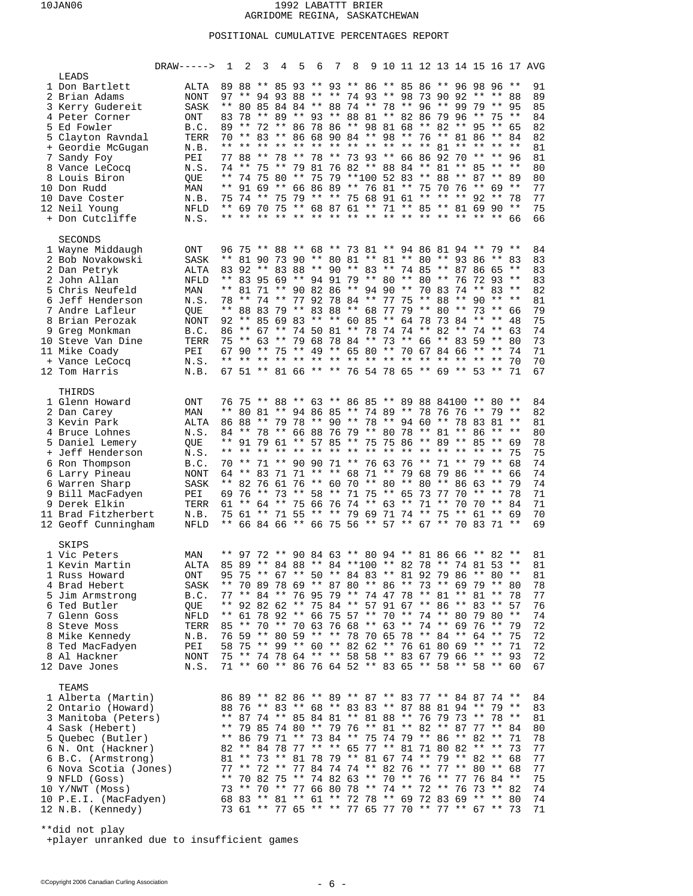## POSITIONAL CUMULATIVE PERCENTAGES REPORT

|                                      | $DRAW---->$         | 1              | 2     | $3 \quad 4$ | 5 6 | 7 8 |                                                                                                          |  |  |  |             |      | 9 10 11 12 13 14 15 16 17 AVG |
|--------------------------------------|---------------------|----------------|-------|-------------|-----|-----|----------------------------------------------------------------------------------------------------------|--|--|--|-------------|------|-------------------------------|
| LEADS                                |                     |                |       |             |     |     |                                                                                                          |  |  |  |             |      |                               |
| 1 Don Bartlett<br>2 Brian Adams      | ALTA<br><b>NONT</b> |                |       |             |     |     | 89 88 ** 85 93 ** 93 ** 86 ** 85 86 ** 96 98 96 **<br>97 ** 94 93 88 ** ** 74 93 ** 98 73 90 92 ** **    |  |  |  |             | - 88 | 91<br>89                      |
| 3 Kerry Gudereit                     | SASK                |                |       |             |     |     | ** 80 85 84 84 ** 88 74 ** 78 ** 96 ** 99 79 ** 95                                                       |  |  |  |             |      | 85                            |
| 4 Peter Corner                       | ONT                 |                |       |             |     |     | 83 78 ** 89 ** 93 ** 88 81 ** 82 86 79 96 ** 75 **                                                       |  |  |  |             |      | 84                            |
| 5 Ed Fowler                          | B.C.                |                |       |             |     |     | 89 ** 72 ** 86 78 86 ** 98 81 68 ** 82 ** 95 ** 65                                                       |  |  |  |             |      | 82                            |
| 5 Clayton Ravndal                    | TERR                |                |       |             |     |     | 70 ** 83 ** 86 68 90 84 ** 98 ** 76 ** 81 86 ** 84                                                       |  |  |  |             |      | 82                            |
| + Geordie McGugan                    | N.B.                |                |       |             |     |     | ** ** ** ** ** ** ** ** ** ** ** ** 81 ** ** ** **                                                       |  |  |  |             |      | 81                            |
| 7 Sandy Foy                          | PEI                 |                |       |             |     |     | 77 88 ** 78 ** 78 ** 73 93 ** 66 86 92 70 ** ** 96                                                       |  |  |  |             |      | 81                            |
| 8 Vance LeCocq                       | N.S.                | $***$          |       |             |     |     | 74 ** 75 ** 79 81 76 82 ** 88 84 ** 81 ** 85 ** **<br>74 75 80 ** 75 79 **100 52 83 ** 88 ** 87 ** 89    |  |  |  |             |      | 80                            |
| 8 Louis Biron<br>10 Don Rudd         | QUE<br>MAN          |                |       |             |     |     | ** 91 69 ** 66 86 89 ** 76 81 ** 75 70 76 ** 69 **                                                       |  |  |  |             |      | 80<br>77                      |
| 10 Dave Coster                       | N.B.                |                |       |             |     |     | 75 74 ** 75 79 ** ** 75 68 91 61 ** ** ** 92 ** 78                                                       |  |  |  |             |      | 77                            |
| 12 Neil Young                        | NFLD                |                |       |             |     |     | ** 69 70 75 ** 68 87 61 ** 71 ** 85 ** 81 69 90 **                                                       |  |  |  |             |      | 75                            |
| + Don Cutcliffe                      | N.S.                |                |       |             |     |     |                                                                                                          |  |  |  |             |      | 66                            |
| <b>SECONDS</b>                       |                     |                |       |             |     |     |                                                                                                          |  |  |  |             |      |                               |
| 1 Wayne Middaugh                     | ONT                 |                |       |             |     |     | 96 75 ** 88 ** 68 ** 73 81 ** 94 86 81 94 ** 79 **                                                       |  |  |  |             |      | 84                            |
| 2 Bob Novakowski                     | SASK                |                |       |             |     |     | ** 81 90 73 90 ** 80 81 ** 81 ** 80 ** 93 86 ** 83                                                       |  |  |  |             |      | 83                            |
| 2 Dan Petryk                         | ALTA                |                |       |             |     |     | 83 92 ** 83 88 ** 90 ** 83 ** 74 85 ** 87 86 65 **                                                       |  |  |  |             |      | 83                            |
| 2 John Allan                         | <b>NFLD</b>         |                |       |             |     |     | ** 83 95 69 ** 94 91 79 ** 80 ** 80 ** 76 72 93 **                                                       |  |  |  |             |      | 83                            |
| 5 Chris Neufeld                      | MAN                 |                |       |             |     |     | ** 81 71 ** 90 82 86 ** 94 90 ** 70 83 74 ** 83 **                                                       |  |  |  |             |      | 82                            |
| 6 Jeff Henderson                     | N.S.                |                | 78 ** |             |     |     | 74 ** 77 92 78 84 ** 77 75 ** 88 ** 90 ** **                                                             |  |  |  |             |      | 81                            |
| 7 Andre Lafleur<br>8 Brian Perozak   | QUE                 |                |       |             |     |     | ** 88 83 79 ** 83 88 ** 68 77 79 ** 80 ** 73 ** 66<br>92 ** 85 69 83 ** ** 60 85 ** 64 78 73 84 ** **    |  |  |  |             | 48   | 79<br>75                      |
| 9 Greg Monkman                       | NONT<br>B.C.        |                | 86 ** |             |     |     | 67 ** 74 50 81 ** 78 74 74 ** 82 ** 74 **                                                                |  |  |  |             | 63   | 74                            |
| 10 Steve Van Dine                    | TERR                |                |       |             |     |     | 75 ** 63 ** 79 68 78 84 ** 73 ** 66 ** 83 59 ** 80                                                       |  |  |  |             |      | 73                            |
| 11 Mike Coady                        | PEI                 |                |       |             |     |     | 67 90 ** 75 ** 49 ** 65 80 ** 70 67 84 66 ** **                                                          |  |  |  |             | - 74 | 71                            |
| + Vance LeCocq                       | N.S.                | $\star\,\star$ |       |             |     |     |                                                                                                          |  |  |  |             | 70   | 70                            |
| 12 Tom Harris                        | N.B.                |                |       |             |     |     | 67 51 ** 81 66 ** ** 76 54 78 65 ** 69 ** 53 ** 71                                                       |  |  |  |             |      | 67                            |
| THIRDS                               |                     |                |       |             |     |     |                                                                                                          |  |  |  |             |      |                               |
| 1 Glenn Howard                       | ONT                 |                |       |             |     |     | 76 75 ** 88 ** 63 ** 86 85 ** 89 88 84100 ** 80 **                                                       |  |  |  |             |      | 84                            |
| 2 Dan Carey                          | MAN                 |                |       |             |     |     | ** 80 81 ** 94 86 85 ** 74 89 ** 78 76 76 ** 79 **                                                       |  |  |  |             |      | 82                            |
| 3 Kevin Park                         | ALTA                |                |       |             |     |     | 86 88 ** 79 78 ** 90 ** 78 ** 94 60 ** 78 83 81 **                                                       |  |  |  |             |      | 81                            |
| 4 Bruce Lohnes                       | N.S.                |                |       |             |     |     | 84 ** 78 ** 66 88 76 79 ** 80 78 ** 81 ** 86 ** **                                                       |  |  |  |             |      | 80                            |
| 5 Daniel Lemery<br>+ Jeff Henderson  | QUE<br>N.S.         |                |       |             |     |     | ** 91 79 61 ** 57 85 ** 75 75 86 ** 89 ** 85 ** 69                                                       |  |  |  |             | 75   | 78<br>75                      |
| 6 Ron Thompson                       | B.C.                | 70             |       |             |     |     | ** 71 ** 90 90 71 ** 76 63 76 ** 71 ** 79 **                                                             |  |  |  |             | 68   | 74                            |
| 6 Larry Pineau                       | NONT                |                |       |             |     |     | 64 ** 83 71 71 ** ** 68 71 ** 79 68 79 86 ** ** 66                                                       |  |  |  |             |      | 74                            |
| 6 Warren Sharp                       | SASK                |                |       |             |     |     | ** 82 76 61 76 ** 60 70 ** 80 ** 80 ** 86 63 **                                                          |  |  |  |             | 79   | 74                            |
| 9 Bill MacFadyen                     | PEI                 |                |       |             |     |     | 69 76 ** 73 ** 58 ** 71 75 ** 65 73 77 70                                                                |  |  |  | ** ** 78    |      | 71                            |
| 9 Derek Elkin                        | TERR                |                |       |             |     |     | 61 ** 64 ** 75 66 76 74 ** 63 ** 71 **                                                                   |  |  |  | 70 70 ** 84 |      | 71                            |
| 11 Brad Fitzherbert                  | N.B.                |                |       |             |     |     | 75 61 ** 71 55 ** ** 79 69 71 74 ** 75 ** 61 ** 69                                                       |  |  |  |             |      | 70                            |
| 12 Geoff Cunningham                  | NFLD                |                |       |             |     |     | ** 66 84 66 ** 66 75 56 ** 57 ** 67 ** 70 83 71 **                                                       |  |  |  |             |      | 69                            |
| SKIPS                                |                     |                |       |             |     |     |                                                                                                          |  |  |  |             |      |                               |
| 1 Vic Peters                         | MAN                 |                |       |             |     |     | ** 97 72 ** 90 84 63 ** 80 94 ** 81 86 66 ** 82 **                                                       |  |  |  |             |      | 81                            |
| 1 Kevin Martin                       | ALTA                |                |       |             |     |     | 85 89 ** 84 88 ** 84 ** 100 ** 82 78 ** 74 81 53 **                                                      |  |  |  |             |      | 81                            |
| 1 Russ Howard<br>4 Brad Hebert       | ONT<br>SASK         |                |       |             |     |     | 95 75 ** 67 ** 50 ** 84 83 ** 81 92 79 86 ** 80 **<br>** 70 89 78 69 ** 87 80 ** 86 ** 73 ** 69 79 ** 80 |  |  |  |             |      | 81<br>78                      |
| 5 Jim Armstrong                      | B.C.                |                |       |             |     |     | 77 ** 84 ** 76 95 79 ** 74 47 78 ** 81 ** 81 ** 78                                                       |  |  |  |             |      | 77                            |
| 6 Ted Butler                         | QUE                 |                |       |             |     |     | ** 92 82 62 ** 75 84 ** 57 91 67 ** 86 ** 83 ** 57                                                       |  |  |  |             |      | 76                            |
| 7 Glenn Goss                         | NFLD                |                |       |             |     |     | ** 61 78 92 ** 66 75 57 ** 70 ** 74 ** 80 79 80 **                                                       |  |  |  |             |      | 74                            |
| 8 Steve Moss                         | TERR                |                |       |             |     |     | 85 ** 70 ** 70 63 76 68 ** 63 ** 74 ** 69 76 ** 79                                                       |  |  |  |             |      | 72                            |
| 8 Mike Kennedy                       | N.B.                |                |       |             |     |     | 76 59 ** 80 59 ** ** 78 70 65 78 ** 84 ** 64 ** 75                                                       |  |  |  |             |      | 72                            |
| 8 Ted MacFadyen                      | PEI                 |                |       |             |     |     | 58 75 ** 99 ** 60 ** 82 62 ** 76 61 80 69 ** ** 71                                                       |  |  |  |             |      | 72                            |
| 8 Al Hackner<br>12 Dave Jones        | <b>NONT</b><br>N.S. |                |       |             |     |     | 75 ** 74 78 64 ** ** 58 58 ** 83 67 79 66 ** ** 93<br>71 ** 60 ** 86 76 64 52 ** 83 65 ** 58 ** 58 ** 60 |  |  |  |             |      | 72<br>67                      |
|                                      |                     |                |       |             |     |     |                                                                                                          |  |  |  |             |      |                               |
| TEAMS                                |                     |                |       |             |     |     |                                                                                                          |  |  |  |             |      |                               |
| 1 Alberta (Martin)                   |                     |                |       |             |     |     | 86 89 ** 82 86 ** 89 ** 87 ** 83 77 ** 84 87 74 **                                                       |  |  |  |             |      | 84                            |
| 2 Ontario (Howard)                   |                     |                |       |             |     |     | 88 76 ** 83 ** 68 ** 83 83 ** 87 88 81 94 ** 79 **                                                       |  |  |  |             |      | 83                            |
| 3 Manitoba (Peters)                  |                     |                |       |             |     |     | ** 87 74 ** 85 84 81 ** 81 88 ** 76 79 73 ** 78 **<br>** 79 85 74 80 ** 79 76 ** 81 ** 82 ** 87 77 ** 84 |  |  |  |             |      | 81                            |
| 4 Sask (Hebert)<br>5 Quebec (Butler) |                     |                |       |             |     |     | ** 86 79 71 ** 73 84 ** 75 74 79 ** 86 ** 82 ** 71                                                       |  |  |  |             |      | 80<br>78                      |
| 6 N. Ont (Hackner)                   |                     |                |       |             |     |     | 82 ** 84 78 77 ** ** 65 77 ** 81 71 80 82 ** **                                                          |  |  |  |             | 73   | 77                            |
| 6 B.C. (Armstrong)                   |                     |                |       |             |     |     | 81 ** 73 ** 81 78 79 ** 81 67 74 ** 79 ** 82 ** 68                                                       |  |  |  |             |      | 77                            |
| 6 Nova Scotia (Jones)                |                     |                |       |             |     |     | 77 ** 72 ** 77 84 74 74 ** 82 76 ** 77 ** 80 ** 68                                                       |  |  |  |             |      | 77                            |
| 9 NFLD (Goss)                        |                     |                |       |             |     |     | ** 70 82 75 ** 74 82 63 ** 70 ** 76 ** 77 76 84 **                                                       |  |  |  |             |      | 75                            |
| 10 Y/NWT (Moss)                      |                     |                |       |             |     |     | 73 ** 70 ** 77 66 80 78 ** 74 ** 72 ** 76 73 ** 82                                                       |  |  |  |             |      | 74                            |
| 10 P.E.I. (MacFadyen)                |                     |                |       |             |     |     | 68 83 ** 81 ** 61 ** 72 78 ** 69 72 83 69 ** ** 80                                                       |  |  |  |             |      | 74                            |
| 12 N.B. (Kennedy)                    |                     |                |       |             |     |     | 73 61 ** 77 65 ** ** 77 65 77 70 ** 77 ** 67 ** 73                                                       |  |  |  |             |      | 71                            |
|                                      |                     |                |       |             |     |     |                                                                                                          |  |  |  |             |      |                               |

\*\*did not play

+player unranked due to insufficient games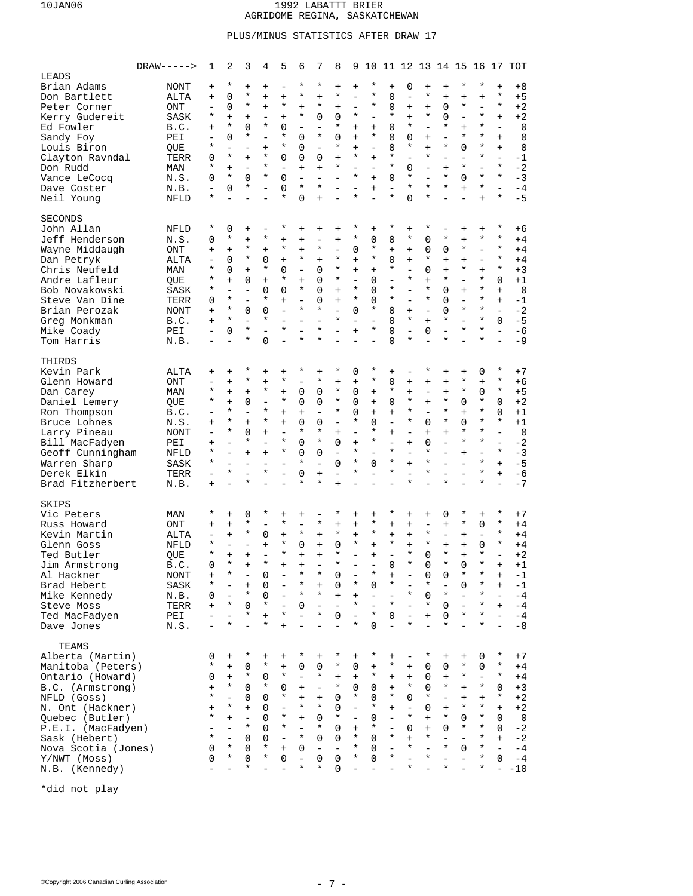## PLUS/MINUS STATISTICS AFTER DRAW 17

|                                                                                                                                                                                                                                              | $DRAW---$                                                                                              | 1                                                                                                                                 | 2                                                                                                                                          | 3                                                                                                                                                    | 4                                                                                                                                                                                                         | 5                                                                                                                                           | 6                                                                                                                                                                   | 7                                                                                                                                          | 8                                                                                                                      | 9                                                                                                                                           | 10                                                                                                                     |                                                                                                                                    |                                                                                                                                                                | 11 12 13 14 15 16 17                                                                                                                                     |                                                                                                                                      |                                                                                                                                            |                                                                                                                                                              |                                                                                                                                                              | TOT                                                                                                   |
|----------------------------------------------------------------------------------------------------------------------------------------------------------------------------------------------------------------------------------------------|--------------------------------------------------------------------------------------------------------|-----------------------------------------------------------------------------------------------------------------------------------|--------------------------------------------------------------------------------------------------------------------------------------------|------------------------------------------------------------------------------------------------------------------------------------------------------|-----------------------------------------------------------------------------------------------------------------------------------------------------------------------------------------------------------|---------------------------------------------------------------------------------------------------------------------------------------------|---------------------------------------------------------------------------------------------------------------------------------------------------------------------|--------------------------------------------------------------------------------------------------------------------------------------------|------------------------------------------------------------------------------------------------------------------------|---------------------------------------------------------------------------------------------------------------------------------------------|------------------------------------------------------------------------------------------------------------------------|------------------------------------------------------------------------------------------------------------------------------------|----------------------------------------------------------------------------------------------------------------------------------------------------------------|----------------------------------------------------------------------------------------------------------------------------------------------------------|--------------------------------------------------------------------------------------------------------------------------------------|--------------------------------------------------------------------------------------------------------------------------------------------|--------------------------------------------------------------------------------------------------------------------------------------------------------------|--------------------------------------------------------------------------------------------------------------------------------------------------------------|-------------------------------------------------------------------------------------------------------|
| LEADS<br>Brian Adams<br>Don Bartlett<br>Peter Corner<br>Kerry Gudereit<br>Ed Fowler<br>Sandy Foy<br>Louis Biron<br>Clayton Ravndal<br>Don Rudd<br>Vance LeCocq<br>Dave Coster<br>Neil Young                                                  | NONT<br>ALTA<br>ONT<br>SASK<br>B.C.<br>PEI<br>QUE<br>TERR<br>MAN<br>N.S.<br>N.B.<br>NFLD               | $\ddot{}$<br>$\ddot{}$<br>$\overline{\phantom{0}}$<br>*<br>$+$<br>$\qquad \qquad -$<br>*<br>0<br>*<br>0<br>$\qquad \qquad -$<br>* | $^\star$<br>0<br>0<br>$+$<br>$\star$<br>0<br>$\equiv$<br>$\star$<br>$+$<br>$^\star$<br>0                                                   | $+$<br>$^\star$<br>$^\star$<br>$\ddot{}$<br>$\Omega$<br>$^\star$<br>$+$<br>$\overline{\phantom{a}}$<br>$\Omega$<br>*                                 | $\ddot{}$<br>$\ddot{}$<br>$\ddot{}$<br>$\qquad \qquad -$<br>$^\star$<br>$\overline{\phantom{0}}$<br>$\ddot{}$<br>$^\star$<br>$^\star$<br>$^\star$<br>$\overline{\phantom{0}}$<br>$\overline{\phantom{0}}$ | ÷<br>$\ddot{}$<br>$^\star$<br>$\ddot{}$<br>$\Omega$<br>*<br>*<br>$\Omega$<br>$\overline{\phantom{0}}$<br>$\Omega$<br>$\Omega$<br>$^\star$   | $^\star$<br>$^\star$<br>$\ddot{}$<br>$^\star$<br>$\equiv$<br>0<br>0<br>0<br>$\ddot{}$<br>$\overline{\phantom{0}}$<br>$^\star$<br>0                                  | $^\star$<br>$\ddot{}$<br>$^\star$<br>0<br>$\equiv$<br>$^\star$<br>$\equiv$<br>0<br>$\ddot{}$<br>$\overline{\phantom{0}}$<br>*<br>$\ddot{}$ | $\ddot{}$<br>$^\star$<br>$+$<br>0<br>*<br>0<br>*<br>$+$<br>*<br>÷                                                      | $\ddot{}$<br>$\overline{\phantom{0}}$<br>$\equiv$<br>$^\star$<br>$+$<br>$\ddot{}$<br>$\ddot{}$<br>*<br>$\equiv$<br>$\star$<br>$\equiv$<br>* | *<br>*<br>*<br>$\overline{\phantom{0}}$<br>$+$<br>*<br>$\overline{\phantom{0}}$<br>$+$<br>$\equiv$<br>$+$<br>$\ddot{}$ | $+$<br>0<br>0<br>$^\star$<br>0<br>0<br>0<br>$^\star$<br>$\star$<br>$\Omega$<br>$\overline{a}$<br>$^\star$                          | 0<br>$\overline{\phantom{0}}$<br>$+$<br>$+$<br>$^\star$<br>0<br>$^\star$<br>$\equiv$<br>0<br>$^\star$<br>$^\star$<br>$\Omega$                                  | $+$<br>$^\star$<br>$+$<br>$^\star$<br>$\overline{a}$<br>$\ddot{}$<br>$+$<br>$^\star$<br>$\overline{\phantom{a}}$<br>$\overline{a}$<br>$\star$<br>$\star$ | $\ddot{}$<br>$+$<br>0<br>0<br>*<br>$\overline{\phantom{0}}$<br>*<br>$\overline{\phantom{0}}$<br>$+$<br>*<br>*                        | $^\star$<br>$+$<br>$^\star$<br>$\overline{\phantom{0}}$<br>$+$<br>$^\star$<br>0<br>$\overline{\phantom{0}}$<br>$^\star$<br>0<br>$+$        | $^\star$<br>$\ddot{}$<br>$\equiv$<br>$^\star$<br>$^\star$<br>$^\star$<br>$^\star$<br>$^\star$<br>$\equiv$<br>$\star$<br>$^\star$<br>$+$                      | $\ddot{}$<br>$^\star$<br>$\star$<br>$\ddot{}$<br>$\overline{a}$<br>$+$<br>$\ddot{}$<br>$\overline{a}$<br>$\star$<br>$\star$<br>$\overline{a}$<br>$\star$     | +8<br>$+5$<br>$+2$<br>$+2$<br>0<br>$\mathbf 0$<br>$\mathbf 0$<br>$-1$<br>$-2$<br>$-3$<br>$-4$<br>$-5$ |
| <b>SECONDS</b><br>John Allan<br>Jeff Henderson<br>Wayne Middaugh<br>Dan Petryk<br>Chris Neufeld<br>Andre Lafleur<br>Bob Novakowski<br>Steve Van Dine<br>Brian Perozak<br>Greg Monkman<br>Mike Coady<br>Tom Harris                            | NFLD<br>N.S.<br>ONT<br>ALTA<br>MAN<br>QUE<br><b>SASK</b><br>TERR<br>NONT<br>B.C.<br>PEI<br>N.B.        | $^\star$<br>0<br>$+$<br>$\overline{\phantom{0}}$<br>*<br>*<br>*<br>0<br>$+$<br>$+$<br>$\overline{\phantom{0}}$                    | 0<br>$\star$<br>$+$<br>0<br>0<br>$+$<br>$\equiv$<br>$\star$<br>$\star$<br>$\star$<br>$\mathbf 0$                                           | $\ddot{}$<br>$+$<br>$^\star$<br>$^\star$<br>$+$<br>0<br>$\overline{\phantom{a}}$<br>$\overline{\phantom{0}}$<br>0<br>$\equiv$<br>$\star$<br>$^\star$ | $\qquad \qquad -$<br>$^\star$<br>$\ddot{}$<br>0<br>$^\star$<br>$+$<br>0<br>$^\star$<br>0<br>$^\star$<br>$\equiv$<br>0                                                                                     | *<br>$\ddot{}$<br>$^\star$<br>$\ddot{}$<br>$\Omega$<br>$^\star$<br>$\Omega$<br>$\ddot{}$<br>$\equiv$<br>L.<br>$^\star$                      | $\ddot{}$<br>$^{+}$<br>$\ddot{}$<br>$^\star$<br>$\equiv$<br>$\ddot{}$<br>$^\star$<br>$\overline{\phantom{0}}$<br>$^\star$<br>$\equiv$<br>$\overline{a}$<br>$^\star$ | $^{+}$<br>$\overline{\phantom{0}}$<br>$^\star$<br>$+$<br>0<br>0<br>0<br>0<br>*<br>$\overline{\phantom{0}}$<br>$\star$<br>$^\star$          | $\ddot{}$<br>$+$<br>$\equiv$<br>$^\star$<br>$^\star$<br>$^\star$<br>$+$<br>$+$<br>$\overline{\phantom{0}}$<br>$^\star$ | *<br>$^\star$<br>0<br>$\ddot{}$<br>$\ddot{}$<br>$\equiv$<br>$\star$<br>$\star$<br>$\Omega$<br>$\equiv$<br>$\ddot{}$                         | $\ddot{}$<br>0<br>*<br>$\star$<br>$+$<br>0<br>0<br>0<br>*<br>$\overline{a}$<br>*                                       | $^\star$<br>0<br>$^{+}$<br>0<br>$^\star$<br>$\overline{\phantom{0}}$<br>$^\star$<br>$^\star$<br>$\Omega$<br>$\Omega$<br>0<br>O     | $+$<br>$^\star$<br>$+$<br>$+$<br>$\equiv$<br>$^\star$<br>$\equiv$<br>$\equiv$<br>$+$<br>$^\star$<br>$\equiv$<br>*                                              | *<br>$\mathbf 0$<br>$\mathbf 0$<br>$^\star$<br>$\Omega$<br>$+$<br>$^\star$<br>$\star$<br>$\equiv$<br>$+$<br>0                                            | *<br>0<br>$+$<br>$+$<br>$^\star$<br>0<br>0<br>$\Omega$<br>*<br>$\equiv$<br>*                                                         | $^{+}$<br>$\ddot{}$<br>$^\star$<br>$+$<br>$^\star$<br>$\overline{\phantom{a}}$<br>$+$<br>$\equiv$<br>$^\star$<br>$\equiv$<br>$^\star$      | $\ddot{}$<br>$\star$<br>$\equiv$<br>$\overline{\phantom{0}}$<br>$\ddot{+}$<br>$^\star$<br>$^\star$<br>$^\star$<br>$\star$<br>$\star$<br>$^\star$<br>$^\star$ | $^\star$<br>$\star$<br>$\star$<br>$\star$<br>$\star$<br>0<br>$+$<br>$+$<br>$\overline{a}$<br>$\Omega$<br>$\overline{a}$<br>$\overline{a}$                    | +6<br>$+4$<br>$+4$<br>$+4$<br>$+3$<br>$+1$<br>$\mathbf 0$<br>$-1$<br>$-2$<br>$-5$<br>$-6$<br>$-9$     |
| THIRDS<br>Kevin Park<br>Glenn Howard<br>Dan Carey<br>Daniel Lemery<br>Ron Thompson<br>Bruce Lohnes<br>Larry Pineau<br>Bill MacFadyen<br>Geoff Cunningham<br>Warren Sharp<br>Derek Elkin<br>Brad Fitzherbert                                  | ALTA<br>ONT<br>MAN<br>QUE<br>B.C.<br>N.S.<br>NONT<br>PEI<br>NFLD<br>SASK<br>TERR<br>N.B.               | $\ddot{}$<br>$\overline{\phantom{0}}$<br>*<br>*<br>$\ddot{}$<br>$\overline{\phantom{0}}$<br>$+$<br>*<br>*<br>$\ddot{}$            | $\ddot{}$<br>$+$<br>$+$<br>$+$<br>$^\star$<br>$^\star$<br>$^\star$<br>$\equiv$<br>$\equiv$<br>$\equiv$<br>$\star$<br>$\overline{a}$        | *<br>$^\star$<br>$+$<br>0<br>$\overline{\phantom{a}}$<br>$+$<br>0<br>$^\star$<br>$+$<br>$^\star$                                                     | $\ddot{}$<br>$\ddot{}$<br>$^\star$<br>$\qquad \qquad -$<br>$^\star$<br>$^\star$<br>$\ddot{}$<br>$\overline{\phantom{0}}$<br>$+$<br>$\overline{\phantom{0}}$<br>$^\star$<br>$\equiv$                       | $\ddot{}$<br>$^\star$<br>$\ddot{}$<br>$^\star$<br>$\ddot{}$<br>$\ddot{}$<br>$\equiv$<br>*<br>*<br>$\overline{\phantom{0}}$<br>$\equiv$      | *<br>$\equiv$<br>0<br>0<br>$\ddot{}$<br>0<br>$^\star$<br>0<br>0<br>$^\star$<br>0<br>$^\star$                                                                        | $\ddot{}$<br>$^\star$<br>0<br>0<br>$\equiv$<br>0<br>*<br>$\star$<br>0<br>$\equiv$<br>$\ddot{}$<br>$^\star$                                 | *<br>$+$<br>$\star$<br>$^\star$<br>*<br>$\overline{\phantom{0}}$<br>$+$<br>$\Omega$<br>$\equiv$<br>0<br>L.<br>$+$      | 0<br>$\ddot{}$<br>0<br>0<br>0<br>$^\star$<br>$\overline{\phantom{0}}$<br>$\ddot{}$<br>$^\star$<br>$^\star$<br>*                             | *<br>*<br>$+$<br>$+$<br>$+$<br>0<br>*<br>*<br>$\overline{\phantom{0}}$<br>0                                            | $+$<br>0<br>$^\star$<br>0<br>$+$<br>$\overline{\phantom{0}}$<br>$+$<br>$\equiv$<br>$\star$<br>$^\star$<br>$^\star$                 | $\overline{\phantom{a}}$<br>$+$<br>$+$<br>$^\star$<br>$^\star$<br>$^\star$<br>$\sim$<br>$+$<br>$\equiv$<br>$+$<br>$\overline{\phantom{0}}$<br>$\star$          | $^\star$<br>$\ddot{}$<br>L.<br>$+$<br>$\equiv$<br>0<br>$+$<br>0<br>$^\star$<br>$\star$<br>$\star$                                                        | $\ddot{}$<br>$\ddot{}$<br>$\ddot{}$<br>$^\star$<br>$^\star$<br>$^\star$<br>$+$<br>$\equiv$<br>*                                      | $+$<br>$^\star$<br>$^\star$<br>0<br>$+$<br>0<br>$^\star$<br>$^\star$<br>$+$<br>$\equiv$                                                    | 0<br>$\ddot{}$<br>$\Omega$<br>$^\star$<br>$^\star$<br>$\star$<br>$^\star$<br>$\star$<br>$\equiv$<br>$^\star$<br>$\star$<br>$^\star$                          | $^\star$<br>$\star$<br>$\star$<br>$\Omega$<br>$\Omega$<br>$\star$<br>$\equiv$<br>$\overline{a}$<br>$\star$<br>$+$<br>$\ddot{}$<br>$\overline{a}$             | $+7$<br>+6<br>$+5$<br>$+2$<br>+1<br>$+1$<br>$\mathbf 0$<br>$-2$<br>$-3$<br>$-5$<br>$-6$<br>$-7$       |
| SKIPS<br>Vic Peters<br>Russ Howard<br>Kevin Martin<br>Glenn Goss<br>Ted Butler<br>Jim Armstrong<br>Al Hackner<br>Brad Hebert<br>Mike Kennedy<br>Steve Moss<br>Ted MacFadyen<br>Dave Jones                                                    | MAN<br>ONT<br>ALTA<br>NFLD<br><b>OUE</b><br>B.C.<br><b>NONT</b><br>SASK<br>N.B.<br>TERR<br>PEI<br>N.S. | *<br>$\pmb{+}$<br>$\overline{\phantom{0}}$<br>*<br>*<br>$\Omega$<br>$\ddot{}$<br>0<br>$+$                                         | $+$<br>$+$<br>$+$<br>$\overline{\phantom{a}}$<br>$+$<br>$\star$<br>$^\star$<br>$\bar{a}$<br>$^\star$<br>$\overline{a}$<br>$\star$          | 0<br>$^\star$<br>$^\star$<br>$+$<br>$+$<br>$+$<br>$^\star$<br>0<br>$^\star$                                                                          | $^\star$<br>$\overline{\phantom{0}}$<br>0<br>$\ddot{}$<br>$\equiv$<br>$^\star$<br>0<br>0<br>0<br>$^\star$<br>$\ddot{}$<br>$^\star$                                                                        | $\ddot{}$<br>$^\star$<br>$\ddot{}$<br>$^\star$<br>$^\star$<br>$\equiv$<br>$\overline{\phantom{0}}$<br>$\star$<br>$\ddot{}$                  | $\ddot{}$<br>$\equiv$<br>$^\star$<br>0<br>$\ddot{}$<br>$\ddot{}$<br>*<br>*<br>$^\star$<br>0<br>$\overline{a}$<br>$\overline{\phantom{0}}$                           | $^\star$<br>$+$<br>$+$<br>$+$<br>*<br>$+$<br>$^\star$<br>$\overline{\phantom{a}}$<br>$^\star$                                              | *<br>$+$<br>$^\star$<br>0<br>$^\star$<br>*<br>0<br>0<br>$+$<br>$\overline{\phantom{a}}$<br>0<br>÷                      | $\ddot{}$<br>$\ddot{}$<br>$\ddot{}$<br>$^\star$<br>$\overline{a}$<br>*<br>$\ddot{}$<br>$^\star$<br>$\bar{\phantom{a}}$<br>$\star$           | $\ddot{}$<br>$^\star$<br>$^\star$<br>$+$<br>$+$<br>*<br>0<br>÷<br>$\overline{\phantom{0}}$<br>$\star$<br>$\Omega$      | $^\star$<br>$+$<br>$+$<br>$^\star$<br>$\overline{a}$<br>0<br>*<br>$\overline{\phantom{0}}$<br>$^\star$<br>0                        | $+$<br>$\ddot{}$<br>$+$<br>$+$<br>$\star$<br>$\star$<br>$^\star$<br>$\overline{\phantom{a}}$<br>$\overline{\phantom{a}}$<br>$^\star$                           | $\ddot{}$<br>$\overline{\phantom{m}}$<br>$^\star$<br>$\star$<br>$\Omega$<br>$\Omega$<br>0<br>$^\star$<br>$\mathbf 0$<br>$^\star$<br>$+$<br>$\equiv$      | 0<br>$\ddot{}$<br>$\qquad \qquad -$<br>$+$<br>$\star$<br>$\star$<br>0<br>$\overline{\phantom{0}}$<br>$^\star$<br>0<br>0<br>$^\star$  | $^\star$<br>$^\star$<br>$+$<br>$+$<br>$+$<br>$\Omega$<br>$^\star$<br>0<br>$\overline{\phantom{0}}$<br>$\overline{\phantom{a}}$<br>$^\star$ | $\ddot{}$<br>0<br>$\overline{\phantom{0}}$<br>0<br>$^\star$<br>$\star$<br>$^\star$<br>$^\star$<br>$^\star$<br>$^\star$<br>$^\star$                           | $^\star$<br>$\star$<br>$\star$<br>$\star$<br>$\overline{a}$<br>$+$<br>$\,{}^+$<br>$\ddot{}$<br>$\equiv$<br>$+$<br>$\overline{\phantom{0}}$<br>$\overline{a}$ | $+7$<br>$+4$<br>$+4$<br>$+4$<br>$+2$<br>$+1$<br>-1<br>-1<br>-4<br>$-4$<br>$-4$<br>$-8$                |
| TEAMS<br>Alberta (Martin)<br>Manitoba (Peters)<br>Ontario (Howard)<br>B.C. (Armstrong)<br>NFLD (Goss)<br>N. Ont (Hackner)<br>Quebec (Butler)<br>P.E.I. (MacFadyen)<br>Sask (Hebert)<br>Nova Scotia (Jones)<br>Y/NWT (Moss)<br>N.B. (Kennedy) |                                                                                                        | 0<br>$^\star$<br>0<br>$+$<br>*<br>$\ddot{}$<br>*<br>*<br>0<br>$\Omega$                                                            | $+$<br>$+$<br>$+$<br>$\star$<br>$\equiv$<br>$^\star$<br>$+$<br>$\overline{\phantom{a}}$<br>$\overline{\phantom{0}}$<br>$\star$<br>$^\star$ | $^\star$<br>0<br>$^\star$<br>0<br>0<br>$+$<br>$\equiv$<br>$^\star$<br>$\Omega$<br>0<br>0<br>$^\star$                                                 | $\boldsymbol{+}$<br>$^\star$<br>0<br>$^\star$<br>0<br>0<br>0<br>$\Omega$<br>0<br>$^\star$<br>$^\star$<br>$\equiv$                                                                                         | $\ddot{}$<br>$^{+}$<br>$^\star$<br>0<br>$^\star$<br>$\overline{\phantom{0}}$<br>*<br>*<br>$\overline{\phantom{0}}$<br>$+$<br>$\Omega$<br>L. | *<br>0<br>$\equiv$<br>$\ddot{}$<br>$\ddot{}$<br>$^\star$<br>$\ddot{}$<br>$\equiv$<br>$^\star$<br>0<br>$\overline{\phantom{a}}$<br>$\star$                           | $^{+}$<br>0<br>$^\star$<br>$\overline{\phantom{a}}$<br>$+$<br>$^\star$<br>0<br>$^\star$<br>0<br>$\overline{\phantom{a}}$<br>0<br>$^\star$  | *<br>*<br>$+$<br>$^\star$<br>0<br>0<br>$^\star$<br>0<br>$\Omega$<br>$\overline{\phantom{a}}$<br>0<br>0                 | $^{+}$<br>0<br>$+$<br>$\mathbf 0$<br>*<br>$\equiv$<br>$\equiv$<br>$+$<br>*<br>*<br>$^\star$                                                 | *<br>$\ddot{}$<br>$^\star$<br>0<br>0<br>$^\star$<br>0<br>$^\star$<br>0<br>$\Omega$<br>0                                | $\ddot{}$<br>$^\star$<br>$+$<br>$+$<br>$^\star$<br>$+$<br>$\equiv$<br>$\overline{\phantom{0}}$<br>$^\star$<br>$\equiv$<br>$^\star$ | $\overline{\phantom{a}}$<br>$+$<br>$+$<br>$\star$<br>$\Omega$<br>$\overline{\phantom{a}}$<br>$^\star$<br>0<br>$+$<br>$^\star$<br>$\overline{\phantom{0}}$<br>* | $^\star$<br>0<br>0<br>0<br>$^\star$<br>0<br>$+$<br>$+$<br>$^\star$<br>$\overline{\phantom{0}}$<br>$^\star$                                               | $+$<br>0<br>$+$<br>$^\star$<br>$\overline{\phantom{0}}$<br>$^{+}$<br>*<br>0<br>$\equiv$<br>$^\star$<br>$\overline{\phantom{0}}$<br>* | $+$<br>$^\star$<br>$^\star$<br>$+$<br>$+$<br>$^\star$<br>0<br>$^\star$<br>$\overline{\phantom{a}}$<br>0<br>$\equiv$                        | 0<br>0<br>$\overline{\phantom{a}}$<br>$^\star$<br>$+$<br>$^\star$<br>$^\star$<br>$^\star$<br>$^\star$<br>$^\star$<br>$^\star$<br>$\star$                     | $^\star$<br>$^\star$<br>$^\star$<br>0<br>$^\star$<br>$+$<br>0<br>$\Omega$<br>$+$<br>$\overline{\phantom{0}}$<br>$\Omega$                                     | $+7$<br>$+4$<br>$+4$<br>$+3$<br>$+2$<br>$+2$<br>$\mathbf 0$<br>-2<br>$-2$<br>$-4$<br>$-4$<br>$- -10$  |

\*did not play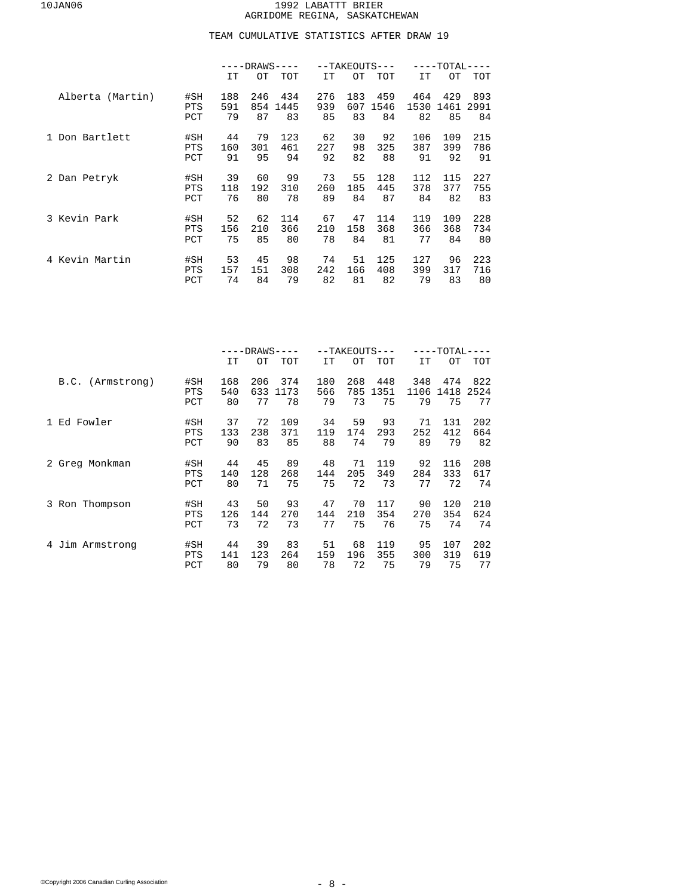## TEAM CUMULATIVE STATISTICS AFTER DRAW 19

|                  |            | $-DRANS$ |     |            |     | $--TAKEOUTS---$ |            | ----TOTAL- |      |            |  |
|------------------|------------|----------|-----|------------|-----|-----------------|------------|------------|------|------------|--|
|                  |            | IT       | OТ  | <b>TOT</b> | IT  | OТ              | <b>TOT</b> | <b>IT</b>  | OТ   | <b>TOT</b> |  |
| Alberta (Martin) | #SH        | 188      | 246 | 434        | 276 | 183             | 459        | 464        | 429  | 893        |  |
|                  | <b>PTS</b> | 591      | 854 | 1445       | 939 | 607             | 1546       | 1530       | 1461 | 2991       |  |
|                  | PCT        | 79       | 87  | 83         | 85  | 83              | 84         | 82         | 85   | 84         |  |
| 1 Don Bartlett   | #SH        | 44       | 79  | 123        | 62  | 30              | 92         | 106        | 109  | 215        |  |
|                  | <b>PTS</b> | 160      | 301 | 461        | 227 | 98              | 325        | 387        | 399  | 786        |  |
|                  | PCT        | 91       | 95  | 94         | 92  | 82              | 88         | 91         | 92   | 91         |  |
| 2 Dan Petryk     | #SH        | 39       | 60  | 99         | 73  | 55              | 128        | 112        | 115  | 227        |  |
|                  | <b>PTS</b> | 118      | 192 | 310        | 260 | 185             | 445        | 378        | 377  | 755        |  |
|                  | PCT        | 76       | 80  | 78         | 89  | 84              | 87         | 84         | 82   | 83         |  |
| 3 Kevin Park     | #SH        | 52       | 62  | 114        | 67  | 47              | 114        | 119        | 109  | 228        |  |
|                  | <b>PTS</b> | 156      | 210 | 366        | 210 | 158             | 368        | 366        | 368  | 734        |  |
|                  | PCT        | 75       | 85  | 80         | 78  | 84              | 81         | 77         | 84   | 80         |  |
| 4 Kevin Martin   | #SH        | 53       | 45  | 98         | 74  | 51              | 125        | 127        | 96   | 223        |  |
|                  | <b>PTS</b> | 157      | 151 | 308        | 242 | 166             | 408        | 399        | 317  | 716        |  |
|                  | PCT        | 74       | 84  | 79         | 82  | 81              | 82         | 79         | 83   | 80         |  |

|                    |                          | -DRAWS·          |                  |                   |                  |                  | --TAKEOUTS---     | -TOTAL-           |                   |                   |  |  |
|--------------------|--------------------------|------------------|------------------|-------------------|------------------|------------------|-------------------|-------------------|-------------------|-------------------|--|--|
|                    |                          | IT               | OТ               | TOT               | IT               | OТ               | TOT               | IT                | OТ                | TOT               |  |  |
| B.C. (Armstrong)   | #SH<br><b>PTS</b><br>PCT | 168<br>540<br>80 | 206<br>633<br>77 | 374<br>1173<br>78 | 180<br>566<br>79 | 268<br>785<br>73 | 448<br>1351<br>75 | 348<br>1106<br>79 | 474<br>1418<br>75 | 822<br>2524<br>77 |  |  |
| Ed Fowler<br>1.    | #SH<br><b>PTS</b><br>PCT | 37<br>133<br>90  | 72<br>238<br>83  | 109<br>371<br>85  | 34<br>119<br>88  | 59<br>174<br>74  | 93<br>293<br>79   | 71<br>252<br>89   | 131<br>412<br>79  | 202<br>664<br>82  |  |  |
| 2 Greg Monkman     | #SH<br><b>PTS</b><br>PCT | 44<br>140<br>80  | 45<br>128<br>71  | 89<br>268<br>75   | 48<br>144<br>75  | 71<br>205<br>72  | 119<br>349<br>73  | 92<br>284<br>77   | 116<br>333<br>72  | 208<br>617<br>74  |  |  |
| 3 Ron Thompson     | #SH<br><b>PTS</b><br>PCT | 43<br>126<br>73  | 50<br>144<br>72  | 93<br>270<br>73   | 47<br>144<br>77  | 70<br>210<br>75  | 117<br>354<br>76  | 90<br>270<br>75   | 120<br>354<br>74  | 210<br>624<br>74  |  |  |
| Jim Armstrong<br>4 | #SH<br><b>PTS</b><br>PCT | 44<br>141<br>80  | 39<br>123<br>79  | 83<br>264<br>80   | 51<br>159<br>78  | 68<br>196<br>72  | 119<br>355<br>75  | 95<br>300<br>79   | 107<br>319<br>75  | 202<br>619<br>77  |  |  |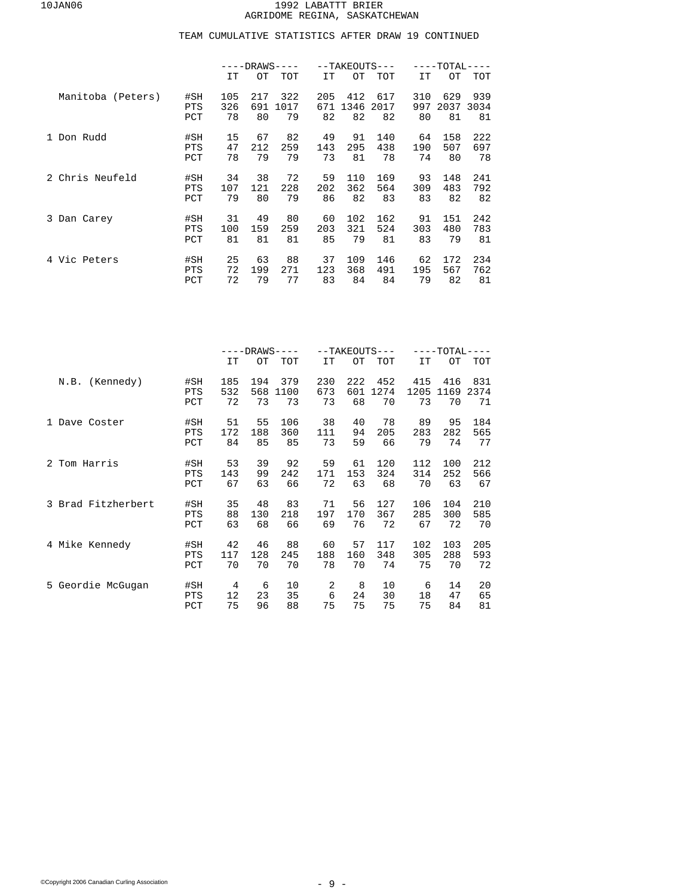|                   |            | $-DRANS$ |     |            | --TAKEOUTS--- |      | ----TOTAL· |           |      |            |
|-------------------|------------|----------|-----|------------|---------------|------|------------|-----------|------|------------|
|                   |            | IT       | OТ  | <b>TOT</b> | IT            | OТ   | <b>TOT</b> | <b>IT</b> | OТ   | <b>TOT</b> |
| Manitoba (Peters) | #SH        | 105      | 217 | 322        | 205           | 412  | 617        | 310       | 629  | 939        |
|                   | <b>PTS</b> | 326      | 691 | 1017       | 671           | 1346 | 2017       | 997       | 2037 | 3034       |
|                   | PCT        | 78       | 80  | 79         | 82            | 82   | 82         | 80        | 81   | 81         |
| 1 Don Rudd        | #SH        | 15       | 67  | 82         | 49            | 91   | 140        | 64        | 158  | 222        |
|                   | <b>PTS</b> | 47       | 212 | 259        | 143           | 295  | 438        | 190       | 507  | 697        |
|                   | PCT        | 78       | 79  | 79         | 73            | 81   | 78         | 74        | 80   | 78         |
| 2 Chris Neufeld   | #SH        | 34       | 38  | 72         | 59            | 110  | 169        | 93        | 148  | 241        |
|                   | <b>PTS</b> | 107      | 121 | 228        | 202           | 362  | 564        | 309       | 483  | 792        |
|                   | PCT        | 79       | 80  | 79         | 86            | 82   | 83         | 83        | 82   | 82         |
| 3 Dan Carey       | #SH        | 31       | 49  | 80         | 60            | 102  | 162        | 91        | 151  | 242        |
|                   | <b>PTS</b> | 100      | 159 | 259        | 203           | 321  | 524        | 303       | 480  | 783        |
|                   | PCT        | 81       | 81  | 81         | 85            | 79   | 81         | 83        | 79   | 81         |
| 4 Vic Peters      | #SH        | 25       | 63  | 88         | 37            | 109  | 146        | 62        | 172  | 234        |
|                   | <b>PTS</b> | 72       | 199 | 271        | 123           | 368  | 491        | 195       | 567  | 762        |
|                   | PCT        | 72       | 79  | 77         | 83            | 84   | 84         | 79        | 82   | 81         |

|                    |            | $---DRANS---$ |     |      |     |     | --TAKEOUTS--- | $---TOTAL-$<br>$---$ |      |      |  |
|--------------------|------------|---------------|-----|------|-----|-----|---------------|----------------------|------|------|--|
|                    |            | IT            | OТ  | TOT  | IT  | ОT  | TOT           | <b>IT</b>            | OТ   | TOT  |  |
| N.B. (Kennedy)     | #SH        | 185           | 194 | 379  | 230 | 222 | 452           | 415                  | 416  | 831  |  |
|                    | PTS        | 532           | 568 | 1100 | 673 | 601 | 1274          | 1205                 | 1169 | 2374 |  |
|                    | PCT        | 72            | 73  | 73   | 73  | 68  | 70            | 73                   | 70   | 71   |  |
| 1 Dave Coster      | #SH        | 51            | 55  | 106  | 38  | 40  | 78            | 89                   | 95   | 184  |  |
|                    | <b>PTS</b> | 172           | 188 | 360  | 111 | 94  | 205           | 283                  | 282  | 565  |  |
|                    | PCT        | 84            | 85  | 85   | 73  | 59  | 66            | 79                   | 74   | 77   |  |
| 2 Tom Harris       | #SH        | 53            | 39  | 92   | 59  | 61  | 120           | 112                  | 100  | 212  |  |
|                    | <b>PTS</b> | 143           | 99  | 242  | 171 | 153 | 324           | 314                  | 252  | 566  |  |
|                    | PCT        | 67            | 63  | 66   | 72  | 63  | 68            | 70                   | 63   | 67   |  |
| 3 Brad Fitzherbert | #SH        | 35            | 48  | 83   | 71  | 56  | 127           | 106                  | 104  | 210  |  |
|                    | PTS        | 88            | 130 | 218  | 197 | 170 | 367           | 285                  | 300  | 585  |  |
|                    | PCT        | 63            | 68  | 66   | 69  | 76  | 72            | 67                   | 72   | 70   |  |
| 4 Mike Kennedy     | #SH        | 42            | 46  | 88   | 60  | 57  | 117           | 102                  | 103  | 205  |  |
|                    | PTS        | 117           | 128 | 245  | 188 | 160 | 348           | 305                  | 288  | 593  |  |
|                    | PCT        | 70            | 70  | 70   | 78  | 70  | 74            | 75                   | 70   | 72   |  |
| 5 Geordie McGugan  | #SH        | 4             | 6   | 10   | 2   | 8   | 10            | 6                    | 14   | 20   |  |
|                    | <b>PTS</b> | 12            | 23  | 35   | 6   | 24  | 30            | 18                   | 47   | 65   |  |
|                    | PCT        | 75            | 96  | 88   | 75  | 75  | 75            | 75                   | 84   | 81   |  |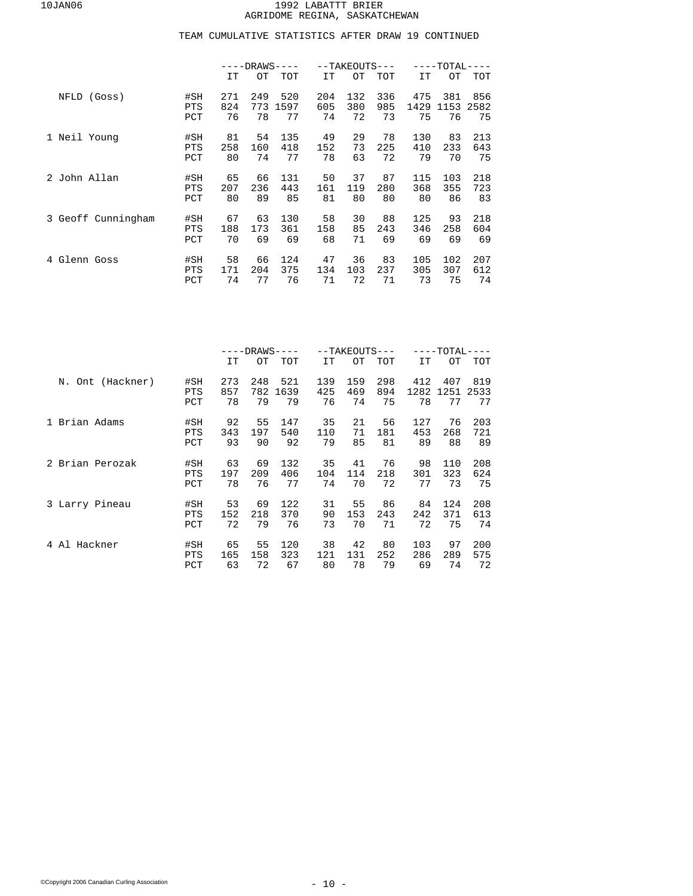|                    |                          | -DRAWS·          |                  |                   |                  | $--TAKEOUTS---$  |                  | $-{\tt TOTAL} \cdot$ |                   |                   |  |
|--------------------|--------------------------|------------------|------------------|-------------------|------------------|------------------|------------------|----------------------|-------------------|-------------------|--|
|                    |                          | IT               | OТ               | <b>TOT</b>        | IT               | OТ               | <b>TOT</b>       | IT                   | OТ                | TOT               |  |
| (Goss)<br>NFLD     | #SH<br><b>PTS</b><br>PCT | 271<br>824<br>76 | 249<br>773<br>78 | 520<br>1597<br>77 | 204<br>605<br>74 | 132<br>380<br>72 | 336<br>985<br>73 | 475<br>1429<br>75    | 381<br>1153<br>76 | 856<br>2582<br>75 |  |
| 1 Neil Young       | #SH<br><b>PTS</b><br>PCT | 81<br>258<br>80  | 54<br>160<br>74  | 135<br>418<br>77  | 49<br>152<br>78  | 29<br>73<br>63   | 78<br>225<br>72  | 130<br>410<br>79     | 83<br>233<br>70   | 213<br>643<br>75  |  |
| 2 John Allan       | #SH<br><b>PTS</b><br>PCT | 65<br>207<br>80  | 66<br>236<br>89  | 131<br>443<br>85  | 50<br>161<br>81  | 37<br>119<br>80  | 87<br>280<br>80  | 115<br>368<br>80     | 103<br>355<br>86  | 218<br>723<br>83  |  |
| 3 Geoff Cunningham | #SH<br><b>PTS</b><br>PCT | 67<br>188<br>70  | 63<br>173<br>69  | 130<br>361<br>69  | 58<br>158<br>68  | 30<br>85<br>71   | 88<br>243<br>69  | 125<br>346<br>69     | 93<br>258<br>69   | 218<br>604<br>69  |  |
| Glenn Goss<br>4    | #SH<br><b>PTS</b><br>PCT | 58<br>171<br>74  | 66<br>204<br>77  | 124<br>375<br>76  | 47<br>134<br>71  | 36<br>103<br>72  | 83<br>237<br>71  | 105<br>305<br>73     | 102<br>307<br>75  | 207<br>612<br>74  |  |

|                  |                          | -DRAWS          |                 |                  |                 | --TAKEOUTS---   |                 | -TOTAL-          |                 |                  |  |
|------------------|--------------------------|-----------------|-----------------|------------------|-----------------|-----------------|-----------------|------------------|-----------------|------------------|--|
|                  |                          | IT              | OТ              | TOT              | IT              | OТ              | TOT             | IT               | OТ              | TOT              |  |
| N. Ont (Hackner) | #SH                      | 273             | 248             | 521              | 139             | 159             | 298             | 412              | 407             | 819              |  |
|                  | <b>PTS</b>               | 857             | 782             | 1639             | 425             | 469             | 894             | 1282             | 1251            | 2533             |  |
|                  | PCT                      | 78              | 79              | 79               | 76              | 74              | 75              | 78               | 77              | 77               |  |
| 1 Brian Adams    | #SH                      | 92              | 55              | 147              | 35              | 21              | 56              | 127              | 76              | 203              |  |
|                  | <b>PTS</b>               | 343             | 197             | 540              | 110             | 71              | 181             | 453              | 268             | 721              |  |
|                  | PCT                      | 93              | 90              | 92               | 79              | 85              | 81              | 89               | 88              | 89               |  |
| 2 Brian Perozak  | #SH                      | 63              | 69              | 132              | 35              | 41              | 76              | 98               | 110             | 208              |  |
|                  | <b>PTS</b>               | 197             | 209             | 406              | 104             | 114             | 218             | 301              | 323             | 624              |  |
|                  | PCT                      | 78              | 76              | 77               | 74              | 70              | 72              | 77               | 73              | 75               |  |
| 3 Larry Pineau   | #SH                      | 53              | 69              | 122              | 31              | 55              | 86              | 84               | 124             | 208              |  |
|                  | <b>PTS</b>               | 152             | 218             | 370              | 90              | 153             | 243             | 242              | 371             | 613              |  |
|                  | PCT                      | 72              | 79              | 76               | 73              | 70              | 71              | 72               | 75              | 74               |  |
| Al Hackner<br>4  | #SH<br><b>PTS</b><br>PCT | 65<br>165<br>63 | 55<br>158<br>72 | 120<br>323<br>67 | 38<br>121<br>80 | 42<br>131<br>78 | 80<br>252<br>79 | 103<br>286<br>69 | 97<br>289<br>74 | 200<br>575<br>72 |  |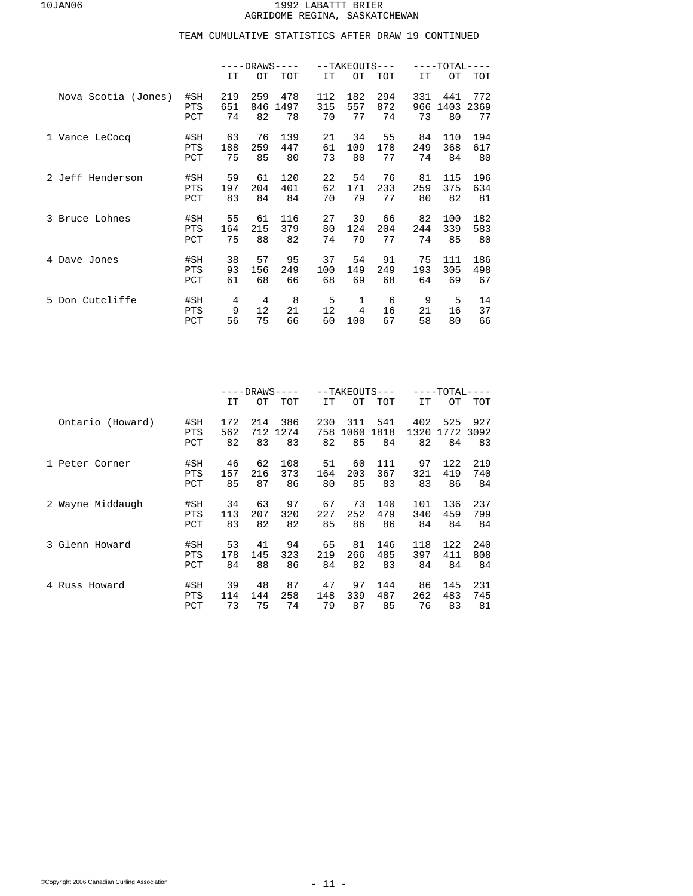|                     |            | $---DRANS---$ |     |      |           | $--TAKEOUTS---$ |            | $---TOTAL-$<br>--- |      |            |  |
|---------------------|------------|---------------|-----|------|-----------|-----------------|------------|--------------------|------|------------|--|
|                     |            | IT            | OТ  | TOT  | <b>IT</b> | OТ              | <b>TOT</b> | IT                 | OТ   | <b>TOT</b> |  |
| Nova Scotia (Jones) | #SH        | 219           | 259 | 478  | 112       | 182             | 294        | 331                | 441  | 772        |  |
|                     | <b>PTS</b> | 651           | 846 | 1497 | 315       | 557             | 872        | 966                | 1403 | 2369       |  |
|                     | PCT        | 74            | 82  | 78   | 70        | 77              | 74         | 73                 | 80   | 77         |  |
| 1 Vance LeCocq      | #SH        | 63            | 76  | 139  | 21        | 34              | 55         | 84                 | 110  | 194        |  |
|                     | <b>PTS</b> | 188           | 259 | 447  | 61        | 109             | 170        | 249                | 368  | 617        |  |
|                     | PCT        | 75            | 85  | 80   | 73        | 80              | 77         | 74                 | 84   | 80         |  |
| 2 Jeff Henderson    | #SH        | 59            | 61  | 120  | 22        | 54              | 76         | 81                 | 115  | 196        |  |
|                     | <b>PTS</b> | 197           | 204 | 401  | 62        | 171             | 233        | 259                | 375  | 634        |  |
|                     | PCT        | 83            | 84  | 84   | 70        | 79              | 77         | 80                 | 82   | 81         |  |
| 3 Bruce Lohnes      | #SH        | 55            | 61  | 116  | 27        | 39              | 66         | 82                 | 100  | 182        |  |
|                     | <b>PTS</b> | 164           | 215 | 379  | 80        | 124             | 204        | 244                | 339  | 583        |  |
|                     | PCT        | 75            | 88  | 82   | 74        | 79              | 77         | 74                 | 85   | 80         |  |
| 4 Dave Jones        | #SH        | 38            | 57  | 95   | 37        | 54              | 91         | 75                 | 111  | 186        |  |
|                     | <b>PTS</b> | 93            | 156 | 249  | 100       | 149             | 249        | 193                | 305  | 498        |  |
|                     | PCT        | 61            | 68  | 66   | 68        | 69              | 68         | 64                 | 69   | 67         |  |
| 5 Don Cutcliffe     | #SH        | 4             | 4   | 8    | 5         | 1               | 6          | 9                  | 5    | 14         |  |
|                     | PTS        | 9             | 12  | 21   | 12        | $\overline{4}$  | 16         | 21                 | 16   | 37         |  |
|                     | PCT        | 56            | 75  | 66   | 60        | 100             | 67         | 58                 | 80   | 66         |  |

|                  |            | -DRAWS· |     |      |     | --TAKEOUTS--- |      | -TOTAL· |      |      |  |
|------------------|------------|---------|-----|------|-----|---------------|------|---------|------|------|--|
|                  |            | IT      | OТ  | TOT  | IT  | OТ            | TOT  | IT      | OТ   | TOT  |  |
| Ontario (Howard) | #SH        | 172     | 214 | 386  | 230 | 311           | 541  | 402     | 525  | 927  |  |
|                  | <b>PTS</b> | 562     | 712 | 1274 | 758 | 1060          | 1818 | 1320    | 1772 | 3092 |  |
|                  | PCT        | 82      | 83  | 83   | 82  | 85            | 84   | 82      | 84   | 83   |  |
| Peter Corner     | #SH        | 46      | 62  | 108  | 51  | 60            | 111  | 97      | 122  | 219  |  |
|                  | <b>PTS</b> | 157     | 216 | 373  | 164 | 203           | 367  | 321     | 419  | 740  |  |
|                  | PCT        | 85      | 87  | 86   | 80  | 85            | 83   | 83      | 86   | 84   |  |
| 2 Wayne Middaugh | #SH        | 34      | 63  | 97   | 67  | 73            | 140  | 101     | 136  | 237  |  |
|                  | <b>PTS</b> | 113     | 207 | 320  | 227 | 252           | 479  | 340     | 459  | 799  |  |
|                  | PCT        | 83      | 82  | 82   | 85  | 86            | 86   | 84      | 84   | 84   |  |
| 3 Glenn Howard   | #SH        | 53      | 41  | 94   | 65  | 81            | 146  | 118     | 122  | 240  |  |
|                  | <b>PTS</b> | 178     | 145 | 323  | 219 | 266           | 485  | 397     | 411  | 808  |  |
|                  | PCT        | 84      | 88  | 86   | 84  | 82            | 83   | 84      | 84   | 84   |  |
| 4 Russ Howard    | #SH        | 39      | 48  | 87   | 47  | 97            | 144  | 86      | 145  | 231  |  |
|                  | <b>PTS</b> | 114     | 144 | 258  | 148 | 339           | 487  | 262     | 483  | 745  |  |
|                  | PCT        | 73      | 75  | 74   | 79  | 87            | 85   | 76      | 83   | 81   |  |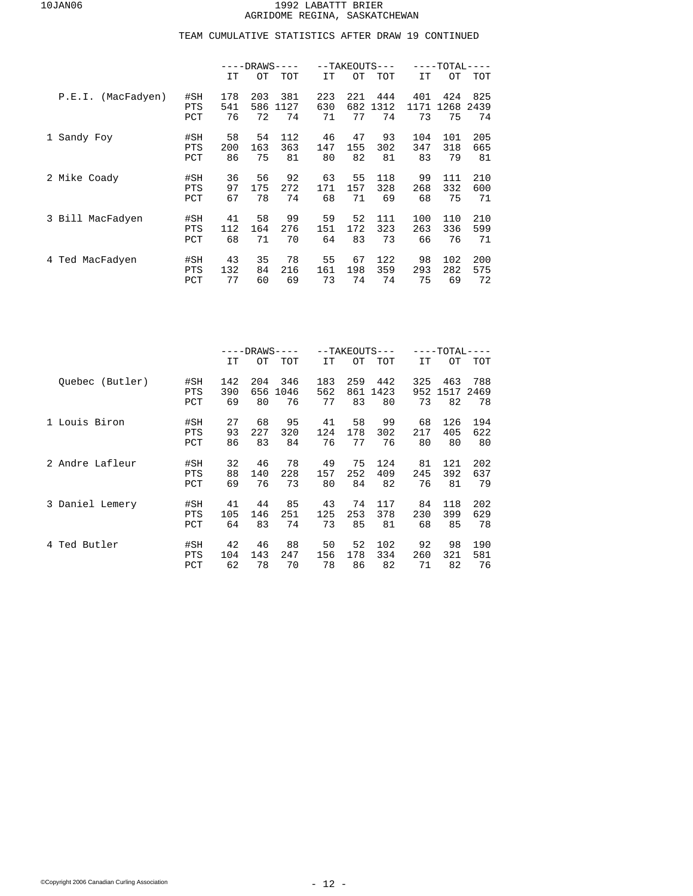|                       |            | $---DRAWS-$<br>$- - -$ |     |            |     | $--TAKEOUTS---$ |            | $---TOTAL-$ |      |      |  |
|-----------------------|------------|------------------------|-----|------------|-----|-----------------|------------|-------------|------|------|--|
|                       |            | IT                     | OТ  | <b>TOT</b> | IT  | OТ              | <b>TOT</b> | IT          | OТ   | TOT  |  |
| (MacFadyen)<br>P.E.I. | #SH        | 178                    | 203 | 381        | 223 | 221             | 444        | 401         | 424  | 825  |  |
|                       | <b>PTS</b> | 541                    | 586 | 1127       | 630 | 682             | 1312       | 1171        | 1268 | 2439 |  |
|                       | PCT        | 76                     | 72  | 74         | 71  | 77              | 74         | 73          | 75   | 74   |  |
| 1 Sandy Foy           | #SH        | 58                     | 54  | 112        | 46  | 47              | 93         | 104         | 101  | 205  |  |
|                       | <b>PTS</b> | 200                    | 163 | 363        | 147 | 155             | 302        | 347         | 318  | 665  |  |
|                       | PCT        | 86                     | 75  | 81         | 80  | 82              | 81         | 83          | 79   | 81   |  |
| 2 Mike Coady          | #SH        | 36                     | 56  | 92         | 63  | 55              | 118        | 99          | 111  | 210  |  |
|                       | <b>PTS</b> | 97                     | 175 | 272        | 171 | 157             | 328        | 268         | 332  | 600  |  |
|                       | PCT        | 67                     | 78  | 74         | 68  | 71              | 69         | 68          | 75   | 71   |  |
| 3 Bill MacFadyen      | #SH        | 41                     | 58  | 99         | 59  | 52              | 111        | 100         | 110  | 210  |  |
|                       | <b>PTS</b> | 112                    | 164 | 276        | 151 | 172             | 323        | 263         | 336  | 599  |  |
|                       | PCT        | 68                     | 71  | 70         | 64  | 83              | 73         | 66          | 76   | 71   |  |
| 4 Ted MacFadyen       | #SH        | 43                     | 35  | 78         | 55  | 67              | 122        | 98          | 102  | 200  |  |
|                       | <b>PTS</b> | 132                    | 84  | 216        | 161 | 198             | 359        | 293         | 282  | 575  |  |
|                       | PCT        | 77                     | 60  | 69         | 73  | 74              | 74         | 75          | 69   | 72   |  |

|                 |            | $---DRAWS-$<br>$---$ |     |      |     |     | --TAKEOUTS--- | ----TOTAL- |      |      |  |
|-----------------|------------|----------------------|-----|------|-----|-----|---------------|------------|------|------|--|
|                 |            | IT                   | OТ  | TOT  | IT  | OТ  | TOT           | IT         | OТ   | TOT  |  |
| Ouebec (Butler) | #SH        | 142                  | 204 | 346  | 183 | 259 | 442           | 325        | 463  | 788  |  |
|                 | <b>PTS</b> | 390                  | 656 | 1046 | 562 | 861 | 1423          | 952        | 1517 | 2469 |  |
|                 | PCT        | 69                   | 80  | 76   | 77  | 83  | 80            | 73         | 82   | 78   |  |
| 1 Louis Biron   | #SH        | 27                   | 68  | 95   | 41  | 58  | 99            | 68         | 126  | 194  |  |
|                 | <b>PTS</b> | 93                   | 227 | 320  | 124 | 178 | 302           | 217        | 405  | 622  |  |
|                 | PCT        | 86                   | 83  | 84   | 76  | 77  | 76            | 80         | 80   | 80   |  |
| 2 Andre Lafleur | #SH        | 32                   | 46  | 78   | 49  | 75  | 124           | 81         | 121  | 202  |  |
|                 | <b>PTS</b> | 88                   | 140 | 228  | 157 | 252 | 409           | 245        | 392  | 637  |  |
|                 | PCT        | 69                   | 76  | 73   | 80  | 84  | 82            | 76         | 81   | 79   |  |
| 3 Daniel Lemery | #SH        | 41                   | 44  | 85   | 43  | 74  | 117           | 84         | 118  | 202  |  |
|                 | <b>PTS</b> | 105                  | 146 | 251  | 125 | 253 | 378           | 230        | 399  | 629  |  |
|                 | PCT        | 64                   | 83  | 74   | 73  | 85  | 81            | 68         | 85   | 78   |  |
| 4 Ted Butler    | #SH        | 42                   | 46  | 88   | 50  | 52  | 102           | 92         | 98   | 190  |  |
|                 | <b>PTS</b> | 104                  | 143 | 247  | 156 | 178 | 334           | 260        | 321  | 581  |  |
|                 | PCT        | 62                   | 78  | 70   | 78  | 86  | 82            | 71         | 82   | 76   |  |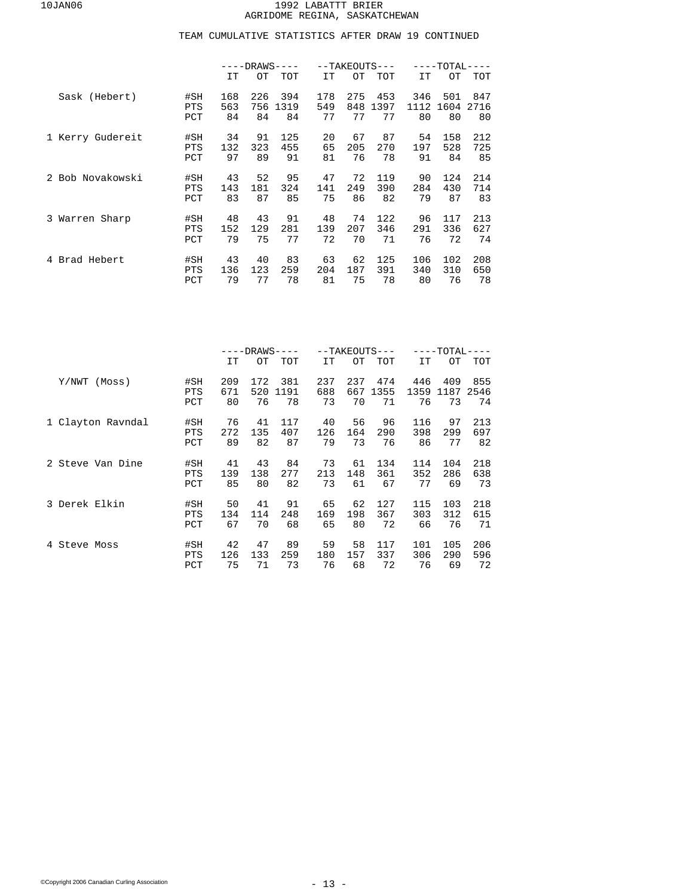|                  |            | $---DRANS---$ |     |      |     |     | $--TAKEOUTS---$ | $---TOTAL-$ |      |      |  |
|------------------|------------|---------------|-----|------|-----|-----|-----------------|-------------|------|------|--|
|                  |            | IT            | OТ  | TOT  | IT  | OТ  | <b>TOT</b>      | IT          | OТ   | TOT  |  |
| Sask (Hebert)    | #SH        | 168           | 226 | 394  | 178 | 275 | 453             | 346         | 501  | 847  |  |
|                  | <b>PTS</b> | 563           | 756 | 1319 | 549 | 848 | 1397            | 1112        | 1604 | 2716 |  |
|                  | PCT        | 84            | 84  | 84   | 77  | 77  | 77              | 80          | 80   | 80   |  |
| 1 Kerry Gudereit | #SH        | 34            | 91  | 125  | 20  | 67  | 87              | 54          | 158  | 212  |  |
|                  | <b>PTS</b> | 132           | 323 | 455  | 65  | 205 | 270             | 197         | 528  | 725  |  |
|                  | PCT        | 97            | 89  | 91   | 81  | 76  | 78              | 91          | 84   | 85   |  |
| 2 Bob Novakowski | #SH        | 43            | 52  | 95   | 47  | 72  | 119             | 90          | 124  | 214  |  |
|                  | <b>PTS</b> | 143           | 181 | 324  | 141 | 249 | 390             | 284         | 430  | 714  |  |
|                  | PCT        | 83            | 87  | 85   | 75  | 86  | 82              | 79          | 87   | 83   |  |
| 3 Warren Sharp   | #SH        | 48            | 43  | 91   | 48  | 74  | 122             | 96          | 117  | 213  |  |
|                  | <b>PTS</b> | 152           | 129 | 281  | 139 | 207 | 346             | 291         | 336  | 627  |  |
|                  | PCT        | 79            | 75  | 77   | 72  | 70  | 71              | 76          | 72   | 74   |  |
| Brad Hebert<br>4 | #SH        | 43            | 40  | 83   | 63  | 62  | 125             | 106         | 102  | 208  |  |
|                  | <b>PTS</b> | 136           | 123 | 259  | 204 | 187 | 391             | 340         | 310  | 650  |  |
|                  | PCT        | 79            | 77  | 78   | 81  | 75  | 78              | 80          | 76   | 78   |  |

|                   |                          | -DRAWS·          |                  |                   |                  |                  | --TAKEOUTS---     | -TOTAL·           |                   |                   |  |
|-------------------|--------------------------|------------------|------------------|-------------------|------------------|------------------|-------------------|-------------------|-------------------|-------------------|--|
|                   |                          | IT               | OТ               | TOT               | IT               | OТ               | TOT               | IT                | OТ                | TOT               |  |
| Y/NWT<br>(Moss)   | #SH<br><b>PTS</b><br>PCT | 209<br>671<br>80 | 172<br>520<br>76 | 381<br>1191<br>78 | 237<br>688<br>73 | 237<br>667<br>70 | 474<br>1355<br>71 | 446<br>1359<br>76 | 409<br>1187<br>73 | 855<br>2546<br>74 |  |
| 1 Clayton Ravndal | #SH                      | 76               | 41               | 117               | 40               | 56               | 96                | 116               | 97                | 213               |  |
|                   | <b>PTS</b>               | 272              | 135              | 407               | 126              | 164              | 290               | 398               | 299               | 697               |  |
|                   | PCT                      | 89               | 82               | 87                | 79               | 73               | 76                | 86                | 77                | 82                |  |
| 2 Steve Van Dine  | #SH                      | 41               | 43               | 84                | 73               | 61               | 134               | 114               | 104               | 218               |  |
|                   | <b>PTS</b>               | 139              | 138              | 277               | 213              | 148              | 361               | 352               | 286               | 638               |  |
|                   | PCT                      | 85               | 80               | 82                | 73               | 61               | 67                | 77                | 69                | 73                |  |
| 3 Derek Elkin     | #SH                      | 50               | 41               | 91                | 65               | 62               | 127               | 115               | 103               | 218               |  |
|                   | <b>PTS</b>               | 134              | 114              | 248               | 169              | 198              | 367               | 303               | 312               | 615               |  |
|                   | PCT                      | 67               | 70               | 68                | 65               | 80               | 72                | 66                | 76                | 71                |  |
| 4 Steve Moss      | #SH                      | 42               | 47               | 89                | 59               | 58               | 117               | 101               | 105               | 206               |  |
|                   | <b>PTS</b>               | 126              | 133              | 259               | 180              | 157              | 337               | 306               | 290               | 596               |  |
|                   | PCT                      | 75               | 71               | 73                | 76               | 68               | 72                | 76                | 69                | 72                |  |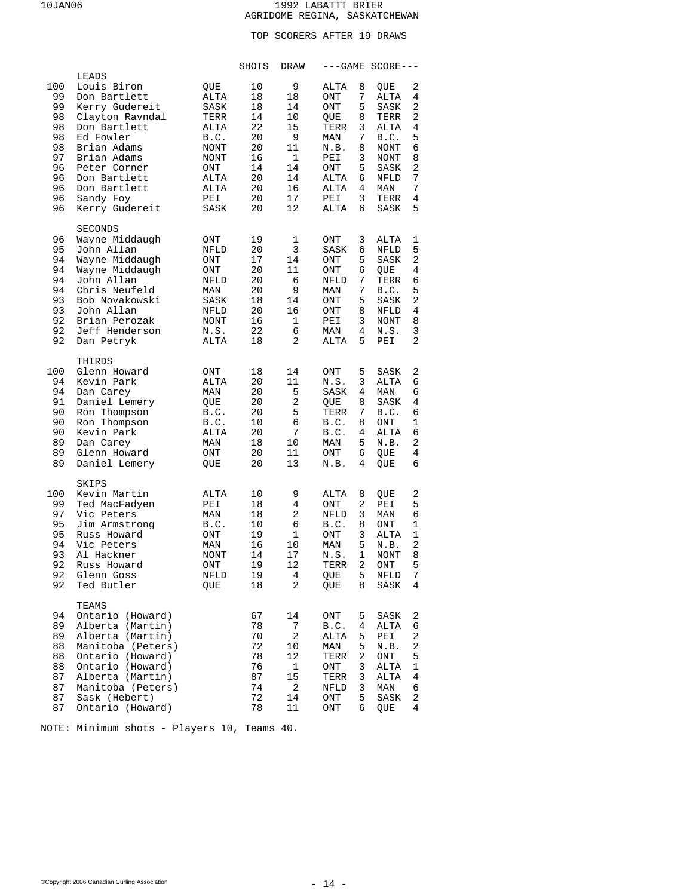## TOP SCORERS AFTER 19 DRAWS

|                                                                             |                                                                                                                                                                                                                     |                                                                                                   | SHOTS                                                                      | DRAW                                                                    |                                                                                                      |                                                               | $---GAME SCORE---$                                                                                 |                                                               |
|-----------------------------------------------------------------------------|---------------------------------------------------------------------------------------------------------------------------------------------------------------------------------------------------------------------|---------------------------------------------------------------------------------------------------|----------------------------------------------------------------------------|-------------------------------------------------------------------------|------------------------------------------------------------------------------------------------------|---------------------------------------------------------------|----------------------------------------------------------------------------------------------------|---------------------------------------------------------------|
| 100<br>99<br>99<br>98<br>98<br>98<br>98<br>97<br>96<br>96<br>96<br>96<br>96 | LEADS<br>Louis Biron<br>Don Bartlett<br>Kerry Gudereit<br>Clayton Ravndal<br>Don Bartlett<br>Ed Fowler<br>Brian Adams<br>Brian Adams<br>Peter Corner<br>Don Bartlett<br>Don Bartlett<br>Sandy Foy<br>Kerry Gudereit | OUE<br>ALTA<br>SASK<br>TERR<br>ALTA<br>B.C.<br>NONT<br>NONT<br>ONT<br>ALTA<br>ALTA<br>PEI<br>SASK | 10<br>18<br>18<br>14<br>22<br>20<br>20<br>16<br>14<br>20<br>20<br>20<br>20 | 9<br>18<br>14<br>10<br>15<br>9<br>11<br>1<br>14<br>14<br>16<br>17<br>12 | ALTA<br><b>ONT</b><br>ONT<br>QUE<br>TERR<br>MAN<br>N.B.<br>PEI<br>ONT<br>ALTA<br>ALTA<br>PEI<br>ALTA | 8<br>7<br>5<br>8<br>3<br>7<br>8<br>3<br>5<br>6<br>4<br>3<br>6 | QUE<br>ALTA<br>SASK<br>TERR<br>ALTA<br>B.C.<br>NONT<br>NONT<br>SASK<br>NFLD<br>MAN<br>TERR<br>SASK | 2<br>4<br>2<br>2<br>4<br>5<br>6<br>8<br>2<br>7<br>7<br>4<br>5 |
| 96<br>95<br>94<br>94<br>94<br>94<br>93<br>93<br>92<br>92<br>92              | <b>SECONDS</b><br>Wayne Middaugh<br>John Allan<br>Wayne Middaugh<br>Wayne Middaugh<br>John Allan<br>Chris Neufeld<br>Bob Novakowski<br>John Allan<br>Brian Perozak<br>Jeff Henderson<br>Dan Petryk                  | ONT<br>NFLD<br>ONT<br>ONT<br>NFLD<br>MAN<br>SASK<br>NFLD<br>NONT<br>N.S.<br>ALTA                  | 19<br>20<br>17<br>20<br>20<br>20<br>18<br>20<br>16<br>22<br>18             | 1<br>3<br>14<br>11<br>6<br>9<br>14<br>16<br>1<br>6<br>2                 | $\mathop{\rm ONT}\nolimits$<br>SASK<br>ONT<br>ONT<br>NFLD<br>MAN<br>ONT<br>ONT<br>PEI<br>MAN<br>ALTA | 3<br>6<br>5<br>6<br>7<br>7<br>5<br>8<br>3<br>4<br>5           | ALTA<br>NFLD<br>SASK<br>QUE<br>TERR<br>B.C.<br>SASK<br>NFLD<br><b>NONT</b><br>N.S.<br>PEI          | 1<br>5<br>2<br>4<br>6<br>5<br>2<br>4<br>8<br>3<br>2           |
| 100<br>94<br>94<br>91<br>90<br>90<br>90<br>89<br>89<br>89                   | THIRDS<br>Glenn Howard<br>Kevin Park<br>Dan Carey<br>Daniel Lemery<br>Ron Thompson<br>Ron Thompson<br>Kevin Park<br>Dan Carey<br>Glenn Howard<br>Daniel Lemery                                                      | <b>ONT</b><br>ALTA<br>MAN<br>QUE<br>B.C.<br>B.C.<br>ALTA<br>MAN<br>ONT<br>QUE                     | 18<br>20<br>20<br>20<br>20<br>10<br>20<br>18<br>20<br>20                   | 14<br>11<br>5<br>2<br>5<br>6<br>7<br>10<br>11<br>13                     | ONT<br>N.S.<br>SASK<br>QUE<br>TERR<br>B.C.<br>B.C.<br>MAN<br>ONT<br>N.B.                             | 5<br>3<br>4<br>8<br>7<br>8<br>4<br>5<br>6<br>4                | SASK<br><b>ALTA</b><br>MAN<br>SASK<br>B.C.<br>ONT<br>ALTA<br>N.B.<br>QUE<br>QUE                    | 2<br>6<br>6<br>4<br>6<br>1<br>6<br>2<br>4<br>6                |
| 100<br>99<br>97<br>95<br>95<br>94<br>93<br>92<br>92<br>92                   | SKIPS<br>Kevin Martin<br>Ted MacFadyen<br>Vic Peters<br>Jim Armstrong<br>Russ Howard<br>Vic Peters<br>Al Hackner<br>Russ Howard<br>Glenn Goss<br>Ted Butler                                                         | ALTA<br>PEI<br>MAN<br>B.C.<br>$\rm ONT$<br>MAN<br><b>NONT</b><br>ONT<br>NFLD<br>QUE               | 10<br>18<br>18<br>10<br>19<br>16<br>14<br>19<br>19<br>18                   | 9<br>4<br>2<br>6<br>1<br>10<br>17<br>12<br>4<br>2                       | ALTA<br><b>ONT</b><br><b>NFLD</b><br>B.C.<br>ONT<br>MAN<br>N.S.<br>TERR<br>QUE<br>QUE                | 8<br>2<br>3<br>8<br>3<br>5<br>1<br>2<br>5<br>8                | QUE<br>PEI<br>MAN<br>ONT<br>ALTA<br>N.B.<br>NONT<br>$\rm ONT$<br>NFLD<br>SASK                      | 2<br>5<br>6<br>1<br>1<br>2<br>8<br>5<br>7<br>4                |
| 94<br>89<br>89<br>88<br>88<br>88<br>87<br>87<br>87<br>87                    | TEAMS<br>Ontario (Howard)<br>Alberta (Martin)<br>Alberta (Martin)<br>Manitoba (Peters)<br>Ontario (Howard)<br>Ontario (Howard)<br>Alberta (Martin)<br>Manitoba (Peters)<br>Sask (Hebert)<br>Ontario (Howard)        |                                                                                                   | 67<br>78<br>70<br>72<br>78<br>76<br>87<br>74<br>72<br>78                   | 14<br>7<br>2<br>10<br>12<br>1<br>15<br>2<br>14<br>$11\,$                | ONT<br>B.C.<br>ALTA<br>MAN<br>TERR<br>ONT<br>TERR<br>NFLD<br>ONT<br>ONT                              | 5<br>4<br>5<br>5<br>2<br>3<br>3<br>3<br>5<br>6                | SASK<br>ALTA<br>PEI<br>N.B.<br>ONT<br>ALTA<br>ALTA<br>MAN<br>SASK<br>QUE                           | 2<br>6<br>2<br>2<br>5<br>1<br>4<br>6<br>2<br>4                |

NOTE: Minimum shots - Players 10, Teams 40.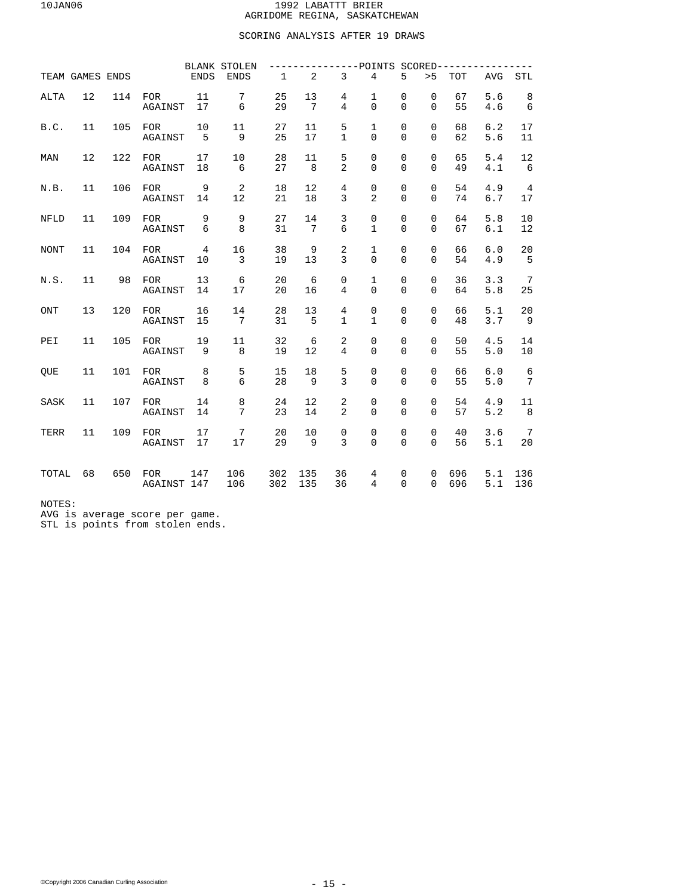## SCORING ANALYSIS AFTER 19 DRAWS

|             |                 |     |                           |                      | <b>BLANK STOLEN</b>  |              |                       |                     | ----POINTS                  |                            | $SCORED------$          |            |            |                               |
|-------------|-----------------|-----|---------------------------|----------------------|----------------------|--------------|-----------------------|---------------------|-----------------------------|----------------------------|-------------------------|------------|------------|-------------------------------|
|             | TEAM GAMES ENDS |     |                           | <b>ENDS</b>          | <b>ENDS</b>          | $\mathbf{1}$ | $\overline{a}$        | $\overline{3}$      | $\overline{4}$              | 5                          | > 5                     | <b>TOT</b> | <b>AVG</b> | <b>STL</b>                    |
| <b>ALTA</b> | 12              | 114 | <b>FOR</b><br>AGAINST     | 11<br>17             | 7<br>6               | 25<br>29     | 13<br>7               | 4<br>$\overline{4}$ | 1<br>$\Omega$               | $\mathbf 0$<br>$\Omega$    | $\mathbf 0$<br>$\Omega$ | 67<br>55   | 5.6<br>4.6 | 8<br>6                        |
| B.C.        | 11              | 105 | <b>FOR</b><br>AGAINST     | 10<br>5              | 11<br>9              | 27<br>25     | 11<br>17              | 5<br>1              | 1<br>$\Omega$               | $\mathbf 0$<br>$\Omega$    | $\Omega$<br>$\Omega$    | 68<br>62   | 6.2<br>5.6 | 17<br>11                      |
| MAN         | 12              | 122 | <b>FOR</b><br>AGAINST     | 17<br>18             | 10<br>6              | 28<br>27     | 11<br>8               | 5<br>2              | 0<br>$\Omega$               | $\mathbf 0$<br>$\Omega$    | $\mathbf 0$<br>$\Omega$ | 65<br>49   | 5.4<br>4.1 | 12<br>6                       |
| N.B.        | 11              | 106 | <b>FOR</b><br>AGAINST     | 9<br>14              | 2<br>12              | 18<br>21     | 12<br>18              | 4<br>3              | 0<br>$\overline{2}$         | $\mathbf 0$<br>$\mathbf 0$ | $\mathbf 0$<br>$\Omega$ | 54<br>74   | 4.9<br>6.7 | $\overline{4}$<br>17          |
| <b>NFLD</b> | 11              | 109 | <b>FOR</b><br>AGAINST     | 9<br>6               | 9<br>8               | 27<br>31     | 14<br>$7\phantom{.0}$ | 3<br>6              | $\mathbf 0$<br>$\mathbf{1}$ | $\mathbf 0$<br>$\Omega$    | $\mathbf 0$<br>$\Omega$ | 64<br>67   | 5.8<br>6.1 | 10<br>12                      |
| <b>NONT</b> | 11              | 104 | <b>FOR</b><br>AGAINST     | $\overline{4}$<br>10 | 16<br>3              | 38<br>19     | 9<br>13               | 2<br>3              | $\mathbf 1$<br>$\Omega$     | 0<br>$\Omega$              | $\mathbf 0$<br>$\Omega$ | 66<br>54   | 6.0<br>4.9 | 20<br>5                       |
| N.S.        | 11              | 98  | <b>FOR</b><br>AGAINST     | 13<br>14             | 6<br>17              | 20<br>20     | 6<br>16               | 0<br>4              | 1<br>0                      | $\mathsf 0$<br>$\mathbf 0$ | $\mathbf 0$<br>$\Omega$ | 36<br>64   | 3.3<br>5.8 | $7\phantom{.0}$<br>25         |
| ONT         | 13              | 120 | <b>FOR</b><br>AGAINST     | 16<br>15             | 14<br>7              | 28<br>31     | 13<br>5               | 4<br>1              | 0<br>1                      | $\mathbf 0$<br>$\Omega$    | $\Omega$<br>$\Omega$    | 66<br>48   | 5.1<br>3.7 | 20<br>- 9                     |
| PEI         | 11              | 105 | <b>FOR</b><br>AGAINST     | 19<br>9              | 11<br>8              | 32<br>19     | 6<br>12               | 2<br>$\overline{4}$ | 0<br>$\Omega$               | $\mathbf 0$<br>$\Omega$    | $\Omega$<br>$\Omega$    | 50<br>55   | 4.5<br>5.0 | 14<br>10                      |
| QUE         | 11              | 101 | <b>FOR</b><br>AGAINST     | 8<br>8               | 5<br>6               | 15<br>28     | 18<br>9               | 5<br>3              | 0<br>0                      | $\mathsf 0$<br>$\Omega$    | $\mathbf 0$<br>$\Omega$ | 66<br>55   | 6.0<br>5.0 | $\epsilon$<br>$7\phantom{.0}$ |
| SASK        | 11              | 107 | <b>FOR</b><br>AGAINST     | 14<br>14             | 8<br>$7\overline{ }$ | 24<br>23     | 12<br>14              | 2<br>2              | 0<br>$\Omega$               | $\mathbf 0$<br>$\Omega$    | $\mathbf 0$<br>$\Omega$ | 54<br>57   | 4.9<br>5.2 | 11<br>8                       |
| TERR        | 11              | 109 | <b>FOR</b><br>AGAINST     | 17<br>17             | 7<br>17              | 20<br>29     | 10<br>9               | $\mathbf 0$<br>3    | 0<br>$\Omega$               | $\mathbf 0$<br>$\Omega$    | $\mathbf 0$<br>$\Omega$ | 40<br>56   | 3.6<br>5.1 | $7\phantom{.0}$<br>20         |
| TOTAL       | 68              | 650 | <b>FOR</b><br>AGAINST 147 | 147                  | 106<br>106           | 302<br>302   | 135<br>135            | 36<br>36            | 4<br>4                      | 0<br>$\Omega$              | $\mathbf 0$<br>$\Omega$ | 696<br>696 | 5.1<br>5.1 | 136<br>136                    |

NOTES:

AVG is average score per game. STL is points from stolen ends.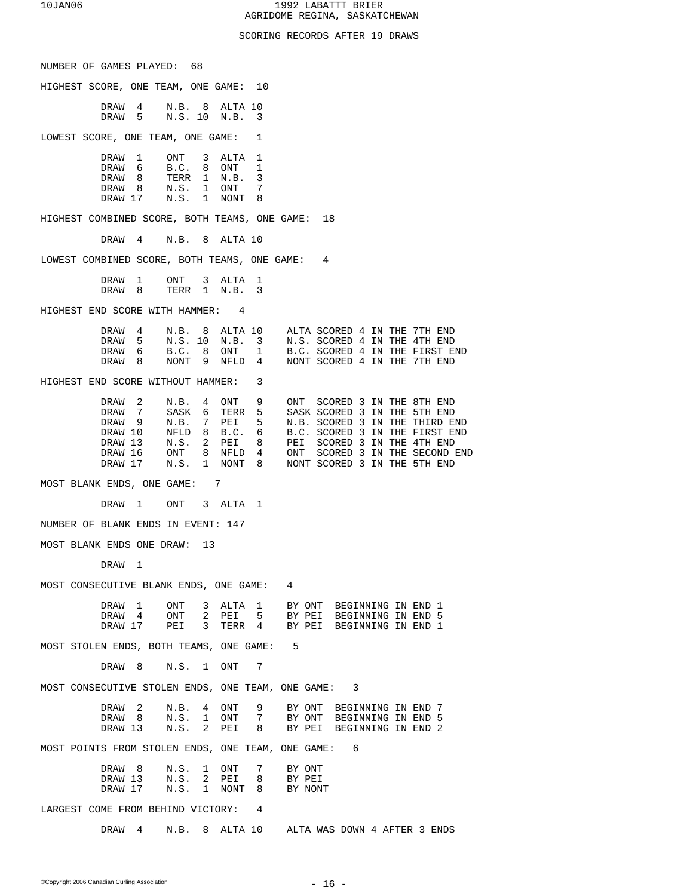## SCORING RECORDS AFTER 19 DRAWS

| NUMBER OF GAMES PLAYED: 68                          |                              |                                   |             |        |                  |                                                                                                                   |  |
|-----------------------------------------------------|------------------------------|-----------------------------------|-------------|--------|------------------|-------------------------------------------------------------------------------------------------------------------|--|
| HIGHEST SCORE, ONE TEAM, ONE GAME: 10               |                              |                                   |             |        |                  |                                                                                                                   |  |
|                                                     | DRAW<br>4<br>DRAW 5          | N.B. 8<br>N.S. 10 N.B.            | ALTA 10     | 3      |                  |                                                                                                                   |  |
| LOWEST SCORE, ONE TEAM, ONE GAME:                   |                              |                                   |             | 1      |                  |                                                                                                                   |  |
|                                                     | DRAW 1                       | ONT <sub>3</sub>                  | ALTA        | 1      |                  |                                                                                                                   |  |
|                                                     | DRAW 6                       | B.C. 8                            | ONT         | 1      |                  |                                                                                                                   |  |
|                                                     | DRAW <sub>8</sub><br>DRAW 8  | TERR 1<br>N.S. 1                  | N.B.<br>ONT | 3<br>7 |                  |                                                                                                                   |  |
|                                                     | DRAW 17 N.S. 1               |                                   | NONT        | 8      |                  |                                                                                                                   |  |
| HIGHEST COMBINED SCORE, BOTH TEAMS, ONE GAME: 18    |                              |                                   |             |        |                  |                                                                                                                   |  |
|                                                     | DRAW<br>$4\degree$           | N.B. 8 ALTA 10                    |             |        |                  |                                                                                                                   |  |
| LOWEST COMBINED SCORE, BOTH TEAMS, ONE GAME: 4      |                              |                                   |             |        |                  |                                                                                                                   |  |
|                                                     | DRAW<br>1                    | ONT <sub>3</sub>                  | ALTA        | 1      |                  |                                                                                                                   |  |
|                                                     | DRAW<br>8                    | TERR 1 N.B.                       |             | 3      |                  |                                                                                                                   |  |
| HIGHEST END SCORE WITH HAMMER: 4                    |                              |                                   |             |        |                  |                                                                                                                   |  |
|                                                     | DRAW 4                       |                                   |             |        |                  | N.B. 8 ALTA 10 ALTA SCORED 4 IN THE 7TH END                                                                       |  |
|                                                     | DRAW 5<br>DRAW 6             | B.C. 8                            |             |        |                  | N.S. 10 N.B. 3 N.S. SCORED 4 IN THE 4TH END<br>B.C. SCORED 4 IN THE FIRST END                                     |  |
|                                                     | DRAW 8                       | NONT 9                            |             |        |                  | ONT 1 B.C. SCORED 4 IN THE FIRST EINFLD 4 NONT SCORED 4 IN THE 7TH END                                            |  |
| HIGHEST END SCORE WITHOUT HAMMER:                   |                              |                                   |             | 3      |                  |                                                                                                                   |  |
|                                                     | DRAW <sub>2</sub>            | N.B. 4                            | ONT 9       |        | ONT              | SCORED 3 IN THE 8TH END                                                                                           |  |
|                                                     | DRAW 7                       | SASK 6                            | TERR 5      |        |                  | SASK SCORED 3 IN THE 5TH END                                                                                      |  |
|                                                     | DRAW 9<br>DRAW 10            | N.B. 7                            | PEI 5       |        |                  | N.B. SCORED 3 IN THE THIRD END<br>B.C. SCORED 3 IN THE FIRST END                                                  |  |
|                                                     | DRAW 13                      | NFLD 8 B.C. 6<br>N.S. 2 PEI 8     |             |        |                  | PEI SCORED 3 IN THE 4TH END                                                                                       |  |
|                                                     | DRAW 16                      |                                   |             |        |                  | SCORED 3 IN THE SECOND END<br>ONT 8 NFLD 4 ONT SCORED 3 IN THE SECOND IN.S. 1 NONT 8 NONT SCORED 3 IN THE 5TH END |  |
|                                                     | DRAW 17                      |                                   |             |        |                  |                                                                                                                   |  |
| MOST BLANK ENDS, ONE GAME: 7                        |                              |                                   |             |        |                  |                                                                                                                   |  |
|                                                     | DRAW 1                       | ONT                               | 3 ALTA      | 1      |                  |                                                                                                                   |  |
| NUMBER OF BLANK ENDS IN EVENT: 147                  |                              |                                   |             |        |                  |                                                                                                                   |  |
| MOST BLANK ENDS ONE DRAW:                           |                              | 13                                |             |        |                  |                                                                                                                   |  |
|                                                     | DRAW<br>ı                    |                                   |             |        |                  |                                                                                                                   |  |
| MOST CONSECUTIVE BLANK ENDS, ONE GAME:              |                              |                                   |             |        | 4                |                                                                                                                   |  |
|                                                     | DRAW 1                       | ONT                               |             |        |                  | 3 ALTA 1 BY ONT BEGINNING IN END 1                                                                                |  |
|                                                     | DRAW 4                       | ONT<br>2                          | PEI         | 5      |                  | BY PEI BEGINNING IN END 5                                                                                         |  |
|                                                     | DRAW 17                      | 3<br>PEI                          | TERR 4      |        |                  | BY PEI BEGINNING IN END 1                                                                                         |  |
| MOST STOLEN ENDS, BOTH TEAMS, ONE GAME:             |                              |                                   |             |        | 5                |                                                                                                                   |  |
|                                                     | DRAW 8                       | $N.S.$ 1 $ONT$                    |             | 7      |                  |                                                                                                                   |  |
| MOST CONSECUTIVE STOLEN ENDS, ONE TEAM, ONE GAME: 3 |                              |                                   |             |        |                  |                                                                                                                   |  |
|                                                     | DRAW <sub>2</sub>            | $4\phantom{0}$<br>N.B.            | ONT         | 9      |                  | BY ONT BEGINNING IN END 7                                                                                         |  |
|                                                     | DRAW <sub>8</sub><br>DRAW 13 | N.S.<br>$\mathbf{1}$<br>N.S.<br>2 | ONT<br>PEI  | 7<br>8 |                  | BY ONT BEGINNING IN END 5<br>BY PEI BEGINNING IN END 2                                                            |  |
| MOST POINTS FROM STOLEN ENDS, ONE TEAM, ONE GAME:   |                              |                                   |             |        |                  | 6                                                                                                                 |  |
|                                                     | DRAW 8                       | N.S. 1                            | ONT         | 7      |                  |                                                                                                                   |  |
|                                                     | DRAW 13                      | N.S.<br>2                         | PEI         | 8      | BY ONT<br>BY PEI |                                                                                                                   |  |
|                                                     | DRAW 17                      | N.S. 1 NONT                       |             | 8 - 10 | BY NONT          |                                                                                                                   |  |
| LARGEST COME FROM BEHIND VICTORY: 4                 |                              |                                   |             |        |                  |                                                                                                                   |  |
|                                                     | DRAW 4                       |                                   |             |        |                  | N.B. 8 ALTA 10 ALTA WAS DOWN 4 AFTER 3 ENDS                                                                       |  |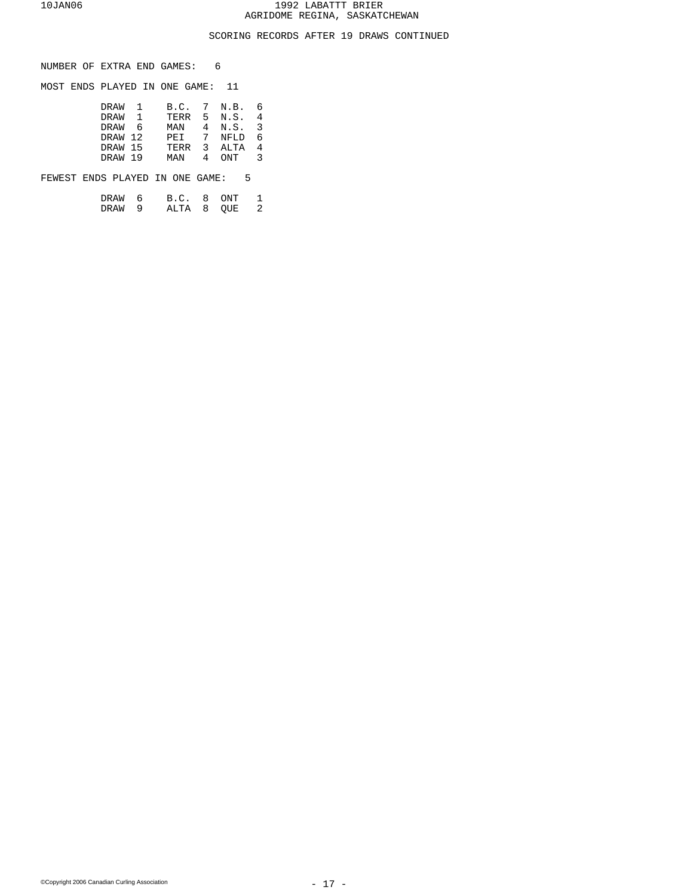## SCORING RECORDS AFTER 19 DRAWS CONTINUED

NUMBER OF EXTRA END GAMES: 6

MOST ENDS PLAYED IN ONE GAME: 11

| DRAW    | $\mathbf{1}$ |      |   | B.C. 7 N.B.   | 6              |
|---------|--------------|------|---|---------------|----------------|
| DRAW    |              |      |   | TERR 5 N.S. 4 |                |
| DRAW 6  |              | MAN  |   | 4 N.S. 3      |                |
| DRAW 12 |              | PEI  |   | 7 NFLD        | -6             |
| DRAW 15 |              | TERR |   | 3 ALTA        | $\overline{4}$ |
| DRAW 19 |              | MAN  | 4 | ONT           | 3              |
|         |              |      |   |               |                |

FEWEST ENDS PLAYED IN ONE GAME: 5

| DRAW 6 |   | B.C. 8 ONT |  |  |
|--------|---|------------|--|--|
| DRAW   | q | ALTA 8 OUE |  |  |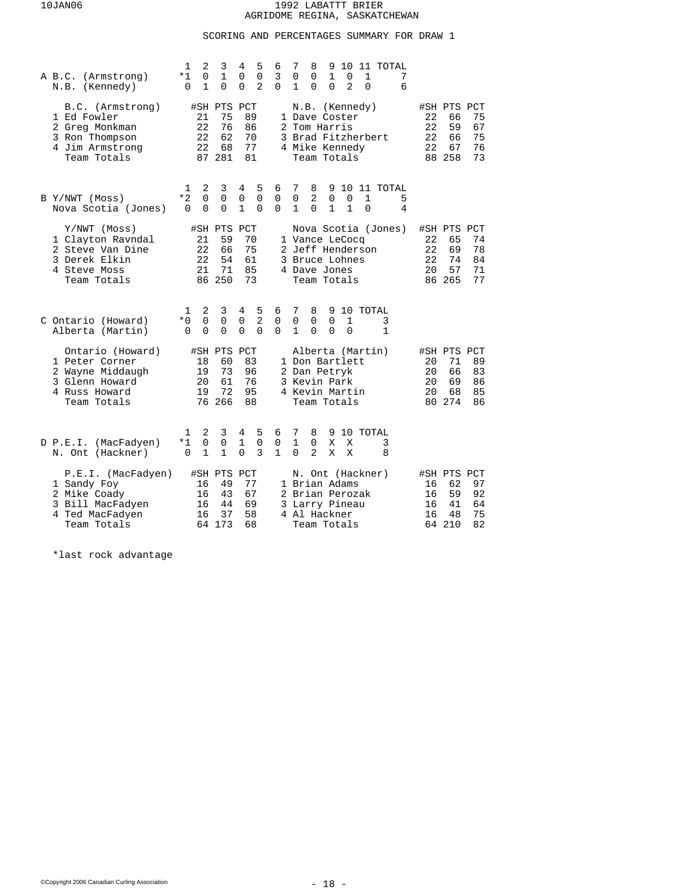# SCORING AND PERCENTAGES SUMMARY FOR DRAW 1

| A B.C. (Armstrong)<br>N.B. (Kennedy)                                                                     | 2<br>3<br>5<br>1<br>4<br>0<br>$\mathbf 1$<br>0<br>$\mathbf 0$<br>*1<br>$\overline{2}$<br>$\mathbf{1}$<br>$\Omega$<br>$\Omega$<br>$\Omega$     | 10<br>6<br>7<br>8<br>9<br>11 TOTAL<br>3<br>$\mathbf{1}$<br>7<br>0<br>0<br>0<br>1<br>2<br>$\Omega$<br>6<br>$\Omega$<br>1<br>$\Omega$<br>0                                                                  |                                                                                                     |
|----------------------------------------------------------------------------------------------------------|-----------------------------------------------------------------------------------------------------------------------------------------------|-----------------------------------------------------------------------------------------------------------------------------------------------------------------------------------------------------------|-----------------------------------------------------------------------------------------------------|
| B.C. (Armstrong)<br>1 Ed Fowler<br>2 Greg Monkman<br>3 Ron Thompson<br>4 Jim Armstrong<br>Team Totals    | #SH PTS PCT<br>75<br>89<br>21<br>22<br>76<br>86<br>22<br>62<br>70<br>77<br>22<br>68<br>87 281<br>81                                           | N.B. (Kennedy)<br>1 Dave Coster<br>2 Tom Harris<br>3 Brad Fitzherbert<br>4 Mike Kennedy<br>Team Totals                                                                                                    | #SH PTS PCT<br>22<br>66<br>75<br>22<br>59<br>67<br>22<br>75<br>66<br>22<br>67<br>76<br>88 258<br>73 |
| B Y/NWT (Moss)<br>Nova Scotia (Jones)                                                                    | 2<br>3<br>5<br>4<br>1<br>$*2$<br>$\mathbf 0$<br>0<br>0<br>$\mathbf 0$<br>$\mathbf{1}$<br>$\Omega$<br>$\Omega$<br>$\Omega$<br>$\Omega$         | 10<br>11 TOTAL<br>6<br>7<br>8<br>9<br>$\overline{2}$<br>$\mathsf 0$<br>$\mathbf 0$<br>$\mathbf 0$<br>0<br>1<br>5<br>$\mathbf{1}$<br>$\Omega$<br>$\mathbf{1}$<br>$\Omega$<br>$\mathbf{1}$<br>$\Omega$<br>4 |                                                                                                     |
| Y/NWT (Moss)<br>1 Clayton Ravndal<br>2 Steve Van Dine<br>3 Derek Elkin<br>4 Steve Moss<br>Team Totals    | #SH PTS PCT<br>21<br>59<br>70<br>22<br>75<br>66<br>22<br>54<br>61<br>21<br>71<br>85<br>86 250<br>73                                           | Nova Scotia (Jones)<br>1 Vance LeCocq<br>2 Jeff Henderson<br>3 Bruce Lohnes<br>4 Dave Jones<br>Team Totals                                                                                                | #SH PTS PCT<br>22<br>65<br>74<br>22<br>69<br>78<br>22<br>74<br>84<br>20<br>57<br>71<br>86 265<br>77 |
| C Ontario (Howard)<br>Alberta (Martin)                                                                   | 2<br>5<br>3<br>4<br>1<br>$\overline{2}$<br>0<br>$\mathbf 0$<br>$*0$<br>0<br>$\Omega$<br>$\Omega$<br>$\Omega$<br>$\Omega$<br>0                 | 7<br>6<br>8<br>9 10 TOTAL<br>$\mathbf 0$<br>0<br>0<br>0<br>1<br>3<br>$\Omega$<br>$\Omega$<br>$\Omega$<br>1<br>$\Omega$<br>1                                                                               |                                                                                                     |
| Ontario (Howard)<br>1 Peter Corner<br>2 Wayne Middaugh<br>3 Glenn Howard<br>4 Russ Howard<br>Team Totals | #SH PTS PCT<br>18<br>60<br>83<br>19<br>73<br>96<br>61<br>20<br>76<br>72<br>19<br>95<br>76 266<br>88                                           | Alberta (Martin)<br>1 Don Bartlett<br>2 Dan Petryk<br>3 Kevin Park<br>4 Kevin Martin<br>Team Totals                                                                                                       | #SH PTS PCT<br>20<br>71<br>89<br>20<br>83<br>66<br>69<br>20<br>86<br>20<br>68<br>85<br>80 274<br>86 |
| D P.E.I. (MacFadyen)<br>N. Ont (Hackner)                                                                 | 2<br>3<br>5<br>4<br>1<br>$\overline{0}$<br>$\mathbf 0$<br>*1<br>$\mathsf 0$<br>1<br>3<br>$\Omega$<br>$\mathbf{1}$<br>$\mathbf{1}$<br>$\Omega$ | 6<br>7<br>8<br>9 10 TOTAL<br>$\mathbf{1}$<br>$\mathbf 0$<br>0<br>X<br>X<br>3<br>$\mathbf{1}$<br>$\Omega$<br>$\mathbf{2}$<br>X<br>X<br>8                                                                   |                                                                                                     |
| P.E.I. (MacFadyen)<br>1 Sandy Foy<br>2 Mike Coady<br>3 Bill MacFadyen<br>4 Ted MacFadyen<br>Team Totals  | #SH PTS<br>PCT<br>49<br>77<br>16<br>67<br>16<br>43<br>44<br>69<br>16<br>16<br>37<br>58<br>64 173<br>68                                        | N. Ont (Hackner)<br>1 Brian Adams<br>2 Brian Perozak<br>3 Larry Pineau<br>4 Al Hackner<br>Team Totals                                                                                                     | #SH PTS PCT<br>62<br>97<br>16<br>59<br>92<br>16<br>41<br>64<br>16<br>75<br>16<br>48<br>64 210<br>82 |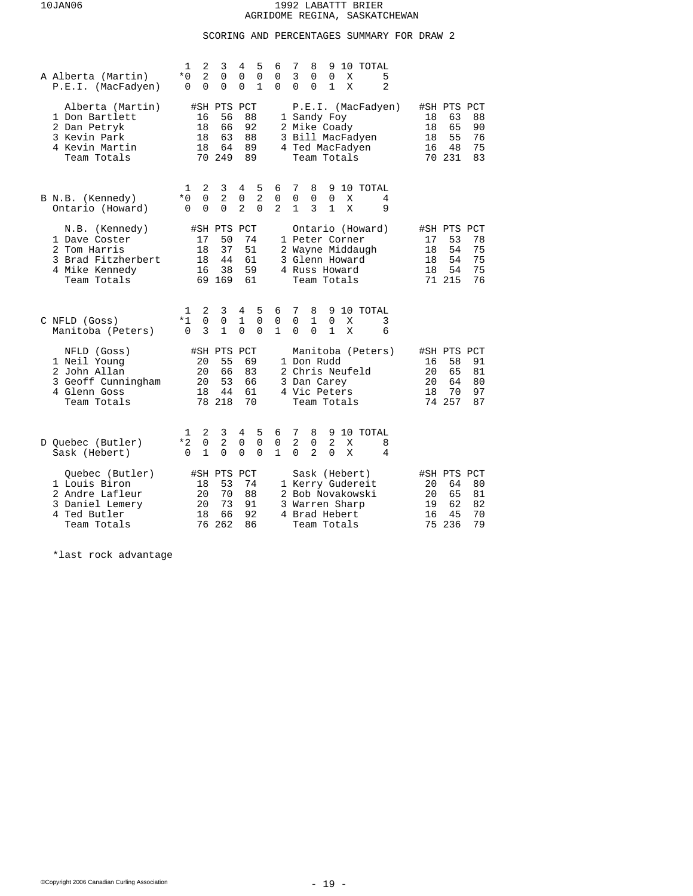# SCORING AND PERCENTAGES SUMMARY FOR DRAW 2

| A Alberta (Martin)<br>P.E.I. (MacFadyen)                                                               | 1<br>2<br>3<br>4<br>5<br>7<br>6<br>8<br>$\overline{2}$<br>$*0$<br>0<br>0<br>$\mathsf 0$<br>3<br>0<br>0<br>$\mathbf{1}$<br>$\Omega$<br>$\Omega$<br>$\mathbf 0$<br>0<br>$\Omega$<br>$\Omega$<br>$\Omega$                                    | 10 TOTAL<br>9<br>5<br>0<br>Χ<br>$\mathbf{1}$<br>2<br>X                                                                                                                          |
|--------------------------------------------------------------------------------------------------------|-------------------------------------------------------------------------------------------------------------------------------------------------------------------------------------------------------------------------------------------|---------------------------------------------------------------------------------------------------------------------------------------------------------------------------------|
| Alberta (Martin)<br>1 Don Bartlett<br>2 Dan Petryk<br>3 Kevin Park<br>4 Kevin Martin<br>Team Totals    | #SH PTS PCT<br>56<br>88<br>1 Sandy Foy<br>16<br>92<br>2 Mike Coady<br>18<br>66<br>18<br>63<br>88<br>18<br>64<br>89<br>70 249<br>89                                                                                                        | P.E.I. (MacFadyen)<br>#SH PTS PCT<br>88<br>18<br>63<br>65<br>90<br>18<br>3 Bill MacFadyen<br>55<br>76<br>18<br>75<br>4 Ted MacFadyen<br>16<br>48<br>70 231<br>83<br>Team Totals |
| B N.B. (Kennedy)<br>Ontario (Howard)                                                                   | 2<br>5<br>7<br>3<br>4<br>6<br>8<br>1<br>2<br>2<br>$*0$<br>$\mathbf 0$<br>$\mathbf 0$<br>$\mathsf{O}$<br>$\mathsf 0$<br>$\mathbf 0$<br>$\Omega$<br>$\Omega$<br>$\mathbf{2}$<br>$\Omega$<br>$\overline{a}$<br>$\mathbf{1}$<br>3<br>$\Omega$ | 10 TOTAL<br>9<br>$\mathbf 0$<br>X<br>4<br>1<br>X<br>9                                                                                                                           |
| N.B. (Kennedy)<br>1 Dave Coster<br>2 Tom Harris<br>3 Brad Fitzherbert<br>4 Mike Kennedy<br>Team Totals | #SH PTS PCT<br>17<br>50<br>74<br>1 Peter Corner<br>37<br>18<br>51<br>18<br>44<br>61<br>3 Glenn Howard<br>38<br>59<br>16<br>4 Russ Howard<br>69 169<br>61                                                                                  | Ontario (Howard)<br>#SH PTS PCT<br>53<br>78<br>17<br>75<br>2 Wayne Middaugh<br>54<br>18<br>54<br>75<br>18<br>18<br>54<br>75<br>71 215<br>76<br>Team Totals                      |
| C NFLD (Goss)<br>Manitoba (Peters)                                                                     | 3<br>5<br>7<br>2<br>4<br>6<br>8<br>1<br>0<br>$*1$<br>0<br>1<br>0<br>1<br>0<br>0<br>3<br>$\mathbf{1}$<br>$\Omega$<br>$\mathbf{1}$<br>$\Omega$<br>$\Omega$<br>$\Omega$<br>$\Omega$                                                          | 10 TOTAL<br>9<br>3<br>$\mathbf 0$<br>Χ<br>$\mathbf{1}$<br>X<br>6                                                                                                                |
| NFLD (Goss)<br>1 Neil Young<br>2 John Allan<br>3 Geoff Cunningham<br>4 Glenn Goss<br>Team Totals       | #SH PTS<br>PCT<br>55<br>69<br>20<br>1 Don Rudd<br>20<br>66<br>83<br>20<br>53<br>66<br>3 Dan Carey<br>18<br>44<br>61<br>4 Vic Peters<br>78 218<br>70                                                                                       | Manitoba (Peters)<br>#SH PTS PCT<br>91<br>16<br>58<br>20<br>65<br>2 Chris Neufeld<br>81<br>20<br>64<br>80<br>70<br>18<br>97<br>74 257<br>87<br>Team Totals                      |
| D Quebec (Butler)<br>Sask (Hebert)                                                                     | 2<br>3<br>4<br>5<br>7<br>8<br>6<br>1<br>$\mathbf 0$<br>$\overline{2}$<br>$\mathbf 0$<br>2<br>$*2$<br>0<br>$\mathsf 0$<br>0<br>$\mathbf{1}$<br>$\mathbf{1}$<br>2<br>$\Omega$<br>$\Omega$<br>$\Omega$<br>$\Omega$<br>$\Omega$               | 9<br>10 TOTAL<br>2<br>X<br>8<br>$\Omega$<br>X<br>4                                                                                                                              |
| Ouebec (Butler)<br>1 Louis Biron<br>2 Andre Lafleur<br>3 Daniel Lemery<br>4 Ted Butler<br>Team Totals  | #SH PTS<br>PCT<br>53<br>74<br>18<br>70<br>88<br>20<br>73<br>91<br>20<br>3 Warren Sharp<br>66<br>92<br>18<br>4 Brad Hebert<br>262<br>86<br>76                                                                                              | Sask (Hebert)<br>#SH PTS PCT<br>1 Kerry Gudereit<br>80<br>20<br>64<br>2 Bob Novakowski<br>20<br>65<br>81<br>19<br>62<br>82<br>16<br>45<br>70<br>75<br>236<br>79<br>Team Totals  |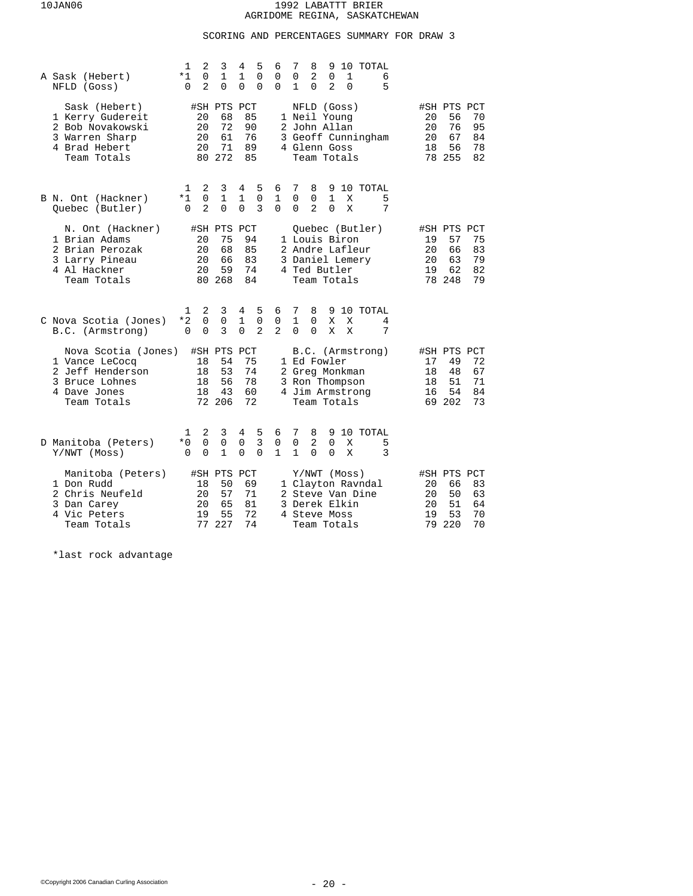# SCORING AND PERCENTAGES SUMMARY FOR DRAW 3

| A Sask (Hebert)<br>NFLD (Goss)                                                                             | 1<br>2<br>$*1$<br>$\Omega$<br>2<br>0                  | 3<br>$\mathbf{1}$<br>0                        | 5<br>4<br>1<br>$\Omega$<br>$\Omega$<br>0                               | 7<br>8<br>9<br>10 TOTAL<br>6<br>2<br>$\Omega$<br>$\Omega$<br>$\Omega$<br>1<br>6<br>2<br>0<br>5<br>$\Omega$<br>1<br>$\Omega$                                                                                  |
|------------------------------------------------------------------------------------------------------------|-------------------------------------------------------|-----------------------------------------------|------------------------------------------------------------------------|--------------------------------------------------------------------------------------------------------------------------------------------------------------------------------------------------------------|
| Sask (Hebert)<br>1 Kerry Gudereit<br>2 Bob Novakowski<br>3 Warren Sharp<br>4 Brad Hebert<br>Team Totals    | 20<br>20<br>20<br>20<br>80                            | #SH PTS PCT<br>68<br>72<br>61<br>71<br>272    | 85<br>90<br>76<br>89<br>85                                             | #SH PTS PCT<br>NFLD (Goss)<br>1 Neil Young<br>20<br>56<br>70<br>2 John Allan<br>20<br>76<br>95<br>3 Geoff Cunningham<br>67<br>20<br>84<br>56<br>4 Glenn Goss<br>18<br>78<br>78 255<br>82<br>Team Totals      |
| B N. Ont (Hackner)<br>Quebec (Butler)                                                                      | 1<br>2<br>*1<br>0<br>$\overline{a}$<br>0              | 3<br>1<br>$\Omega$                            | 5<br>4<br>1<br>0<br>3<br>$\Omega$                                      | 6<br>7<br>8<br>9<br>10 TOTAL<br>$\mathbf 0$<br>$\mathbf{1}$<br>1<br>$\mathbf 0$<br>Χ<br>5<br>$\Omega$<br>$\overline{2}$<br>X<br>7<br>$\Omega$<br>$\Omega$                                                    |
| N. Ont (Hackner)<br>1 Brian Adams<br>2 Brian Perozak<br>3 Larry Pineau<br>4 Al Hackner<br>Team Totals      | 20<br>20<br>20<br>20                                  | #SH PTS PCT<br>75<br>68<br>66<br>59<br>80 268 | 94<br>85<br>83<br>74<br>84                                             | Ouebec (Butler)<br>#SH PTS PCT<br>1 Louis Biron<br>19<br>57<br>75<br>2 Andre Lafleur<br>20<br>66<br>83<br>79<br>3 Daniel Lemery<br>20<br>63<br>19<br>62<br>82<br>4 Ted Butler<br>Team Totals<br>78 248<br>79 |
| C Nova Scotia (Jones)<br>B.C. (Armstrong)                                                                  | 2<br>1<br>$\mathbf 0$<br>$*2$<br>$\Omega$<br>$\Omega$ | 3<br>$\mathbf 0$<br>3                         | 5<br>4<br>$\mathbf{1}$<br>$\overline{0}$<br>$\overline{2}$<br>$\Omega$ | 7<br>8<br>9 10 TOTAL<br>6<br>$\mathbf{1}$<br>0<br>$\Omega$<br>Χ<br>Χ<br>4<br>$\overline{2}$<br>$\Omega$<br>$\Omega$<br>X<br>X<br>7                                                                           |
| Nova Scotia (Jones)<br>1 Vance LeCocq<br>2 Jeff Henderson<br>3 Bruce Lohnes<br>4 Dave Jones<br>Team Totals | 18<br>18<br>18<br>18                                  | #SH PTS PCT<br>54<br>53<br>56<br>43<br>72 206 | 75<br>74<br>78<br>60<br>72                                             | B.C. (Armstrong)<br>#SH PTS PCT<br>1 Ed Fowler<br>49<br>72<br>17<br>67<br>2 Greg Monkman<br>18<br>48<br>51<br>71<br>3 Ron Thompson<br>18<br>4 Jim Armstrong<br>54<br>84<br>16<br>69 202<br>73<br>Team Totals |
| D Manitoba (Peters)<br>Y/NWT (Moss)                                                                        | 2<br>1<br>$*0$<br>0<br>$\Omega$<br>0                  | 3<br>0<br>1                                   | 5<br>4<br>$\overline{3}$<br>$\Omega$<br>0<br>0                         | 7<br>8<br>9 10 TOTAL<br>6<br>0<br>0<br>2<br>$\Omega$<br>5<br>X<br>$\mathbf{1}$<br>$\mathbf{1}$<br>$\Omega$<br>3<br>$\Omega$<br>X                                                                             |
| Manitoba (Peters)<br>1 Don Rudd<br>2 Chris Neufeld<br>3 Dan Carey<br>4 Vic Peters<br>Team Totals           | 18<br>20<br>20<br>19<br>77                            | #SH PTS<br>50<br>57<br>65<br>55<br>227        | PCT<br>69<br>71<br>81<br>72<br>74                                      | Y/NWT (Moss)<br>#SH PTS PCT<br>1 Clayton Ravndal<br>20<br>66<br>83<br>2 Steve Van Dine<br>50<br>63<br>20<br>3 Derek Elkin<br>51<br>64<br>20<br>70<br>19<br>53<br>4 Steve Moss<br>79 220<br>70<br>Team Totals |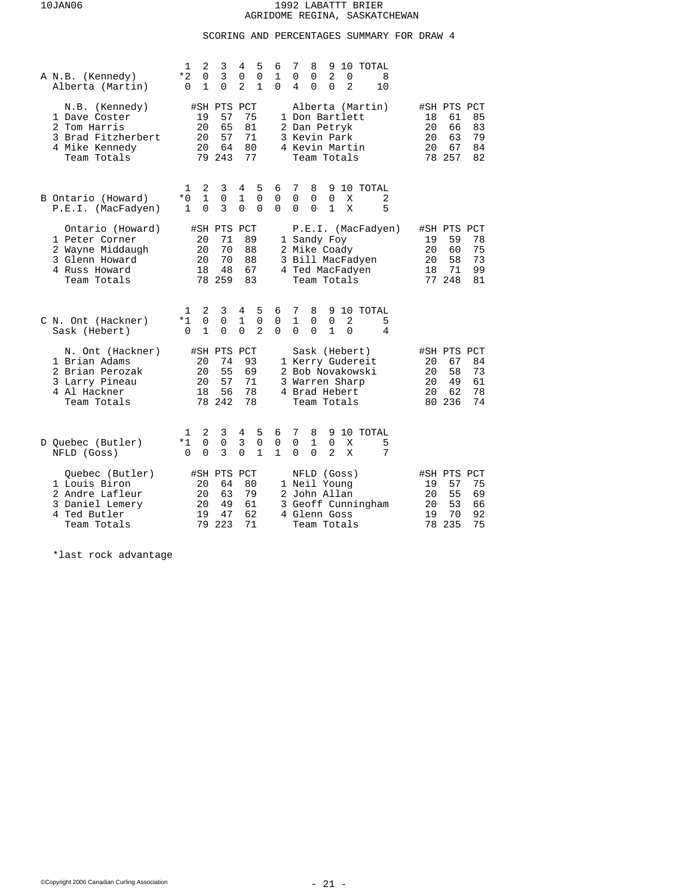# SCORING AND PERCENTAGES SUMMARY FOR DRAW 4

| A N.B. (Kennedy)<br>Alberta (Martin)                                                                     | 2<br>3<br>5<br>7<br>10 TOTAL<br>1<br>4<br>8<br>9<br>6<br>$\overline{3}$<br>$\overline{0}$<br>$\overline{0}$<br>$\mathbf 0$<br>1<br>2<br>*2<br>0<br>0<br>0<br>8<br>2<br>$\mathbf{1}$<br>1<br>0<br>$\Omega$<br>$\Omega$<br>$\Omega$<br>2<br>10<br>$\Omega$<br>4                   |                                                                                                        |
|----------------------------------------------------------------------------------------------------------|---------------------------------------------------------------------------------------------------------------------------------------------------------------------------------------------------------------------------------------------------------------------------------|--------------------------------------------------------------------------------------------------------|
| N.B. (Kennedy)<br>1 Dave Coster<br>2 Tom Harris<br>3 Brad Fitzherbert<br>4 Mike Kennedy<br>Team Totals   | #SH PTS<br>PCT<br>Alberta (Martin)<br>57<br>75<br>1 Don Bartlett<br>19<br>81<br>20<br>65<br>2 Dan Petryk<br>20<br>57<br>71<br>3 Kevin Park<br>64<br>80<br>4 Kevin Martin<br>20<br>77<br>79 243<br>Team Totals                                                                   | #SH PTS PCT<br>61<br>85<br>18<br>20<br>66<br>83<br>63<br>79<br>20<br>67<br>84<br>20<br>78 257<br>82    |
| B Ontario (Howard)<br>P.E.I. (MacFadyen)                                                                 | 8<br>10 TOTAL<br>1<br>2<br>3<br>4<br>5<br>6<br>7<br>9<br>$*0$<br>1<br>$\mathsf 0$<br>$\mathbf{1}$<br>0<br>$\mathbf 0$<br>0<br>$\mathbf 0$<br>0<br>X<br>2<br>3<br>$\Omega$<br>$\Omega$<br>$\Omega$<br>$\Omega$<br>5<br>$\mathbf{1}$<br>$\Omega$<br>$\Omega$<br>$\mathbf{1}$<br>X |                                                                                                        |
| Ontario (Howard)<br>1 Peter Corner<br>2 Wayne Middaugh<br>3 Glenn Howard<br>4 Russ Howard<br>Team Totals | #SH PTS PCT<br>P.E.I. (MacFadyen)<br>20<br>71<br>89<br>1 Sandy Foy<br>70<br>88<br>20<br>2 Mike Coady<br>20<br>70<br>88<br>3 Bill MacFadyen<br>67<br>18<br>48<br>4 Ted MacFadyen<br>78 259<br>83<br>Team Totals                                                                  | #SH PTS PCT<br>59<br>78<br>19<br>60<br>75<br>20<br>20<br>58<br>73<br>99<br>18<br>71<br>77 248<br>81    |
| C N. Ont (Hackner)<br>Sask (Hebert)                                                                      | 2<br>3<br>5<br>6<br>7<br>8<br>10 TOTAL<br>1<br>4<br>9<br>0<br>$\mathbf{1}$<br>2<br>$*1$<br>0<br>0<br>1<br>$\Omega$<br>5<br>0<br>$\Omega$<br>0<br>$\Omega$<br>$\overline{a}$<br>$\Omega$<br>1<br>$\Omega$<br>$\Omega$<br>1<br>$\Omega$<br>4<br>0                                 |                                                                                                        |
| N. Ont (Hackner)<br>1 Brian Adams<br>2 Brian Perozak<br>3 Larry Pineau<br>4 Al Hackner<br>Team Totals    | #SH PTS<br>PCT<br>Sask (Hebert)<br>74<br>1 Kerry Gudereit<br>20<br>93<br>55<br>20<br>69<br>2 Bob Novakowski<br>20<br>57<br>71<br>3<br>Warren Sharp<br>56<br>78<br>18<br>4 Brad Hebert<br>78 242<br>78<br>Team Totals                                                            | #SH PTS PCT<br>67<br>84<br>20<br>58<br>73<br>20<br>49<br>61<br>20<br>78<br>20<br>62<br>80 236<br>74    |
| D Quebec (Butler)<br>NFLD (Goss)                                                                         | 7<br>10 TOTAL<br>2<br>3<br>4<br>5<br>6<br>8<br>9<br>1<br>3<br>0<br>0<br>0<br>$\Omega$<br>$\mathbf{1}$<br>$\Omega$<br>$*1$<br>0<br>X<br>5<br>0<br>3<br>1<br>$\mathbf{1}$<br>$\Omega$<br>2<br>7<br>$\Omega$<br>$\Omega$<br>$\Omega$<br>X                                          |                                                                                                        |
| Ouebec (Butler)<br>1 Louis Biron<br>2 Andre Lafleur<br>3 Daniel Lemery<br>4 Ted Butler<br>Team Totals    | #SH PTS PCT<br>NFLD (Goss)<br>64<br>80<br>1 Neil Young<br>20<br>79<br>20<br>63<br>2 John Allan<br>49<br>3 Geoff Cunningham<br>20<br>61<br>47<br>62<br>19<br>4 Glenn Goss<br>223<br>71<br>79<br>Team Totals                                                                      | #SH PTS PCT<br>57<br>75<br>19<br>55<br>69<br>20<br>53<br>20<br>66<br>70<br>92<br>19<br>235<br>75<br>78 |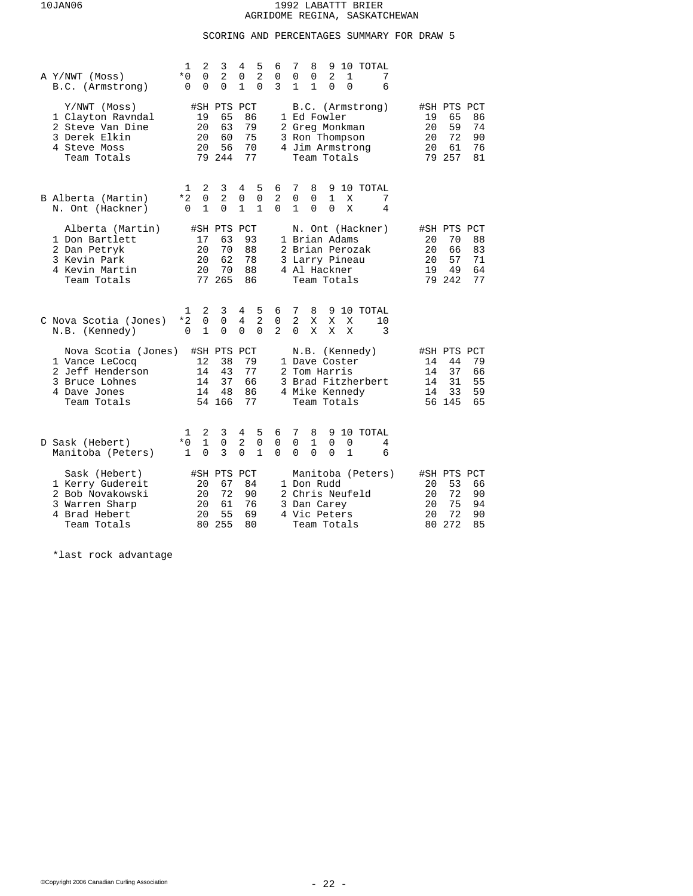# SCORING AND PERCENTAGES SUMMARY FOR DRAW 5

| A Y/NWT (Moss)<br>B.C. (Armstrong)                                                                         | 2<br>1<br>3<br>$\overline{2}$<br>$*0$<br>0<br>$\Omega$<br>0<br>$\mathbf 0$ | 4<br>5<br>6<br>$\overline{2}$<br>0<br>0<br>3<br>1<br>$\Omega$                   | 7<br>10 TOTAL<br>8<br>9<br>$\overline{2}$<br>7<br>0<br>0<br>1<br>6<br>$\mathbf{1}$<br>$\mathbf{1}$<br>$\Omega$<br>$\Omega$         |                                                                                                        |
|------------------------------------------------------------------------------------------------------------|----------------------------------------------------------------------------|---------------------------------------------------------------------------------|------------------------------------------------------------------------------------------------------------------------------------|--------------------------------------------------------------------------------------------------------|
| Y/NWT (Moss)<br>1 Clayton Ravndal<br>2 Steve Van Dine<br>3 Derek Elkin<br>4 Steve Moss<br>Team Totals      | #SH PTS PCT<br>19<br>65<br>63<br>20<br>20<br>60<br>20<br>56<br>79 244      | 86<br>79<br>75<br>70<br>77                                                      | B.C. (Armstrong)<br>1 Ed Fowler<br>2 Greg Monkman<br>3 Ron Thompson<br>4 Jim Armstrong<br>Team Totals                              | #SH PTS PCT<br>65<br>86<br>19<br>59<br>74<br>20<br>72<br>20<br>90<br>61<br>20<br>76<br>79 257<br>81    |
| B Alberta (Martin)<br>N. Ont (Hackner)                                                                     | 2<br>3<br>1<br>2<br>$\mathbf 0$<br>*2<br>1<br>$\Omega$<br>0                | 5<br>4<br>6<br>2<br>0<br>0<br>$\mathbf{1}$<br>$\mathbf{1}$<br>$\Omega$          | 7<br>8<br>10 TOTAL<br>9<br>0<br>0<br>1<br>Χ<br>7<br>$\Omega$<br>X<br>4<br>1<br>$\Omega$                                            |                                                                                                        |
| Alberta (Martin)<br>1 Don Bartlett<br>2 Dan Petryk<br>3 Kevin Park<br>4 Kevin Martin<br>Team Totals        | #SH PTS PCT<br>17<br>63<br>20<br>70<br>62<br>20<br>70<br>20<br>77 265      | 93<br>88<br>78<br>88<br>86                                                      | N. Ont (Hackner)<br>1 Brian Adams<br>2 Brian Perozak<br>3 Larry Pineau<br>4 Al Hackner<br>Team Totals                              | #SH PTS PCT<br>70<br>88<br>20<br>66<br>83<br>20<br>57<br>71<br>20<br>19<br>49<br>64<br>79 242<br>77    |
| C Nova Scotia (Jones)<br>N.B. (Kennedy)                                                                    | 2<br>3<br>1<br>$*2$<br>$\Omega$<br>0<br>$\mathbf{1}$<br>$\Omega$<br>0      | 5<br>6<br>4<br>$\overline{2}$<br>4<br>0<br>$\mathbf{2}$<br>$\Omega$<br>$\Omega$ | 7<br>8<br>9 10 TOTAL<br>$\overline{a}$<br>X<br>10<br>Χ<br>X<br>0<br>X<br>X<br>3<br>X                                               |                                                                                                        |
| Nova Scotia (Jones)<br>1 Vance LeCocq<br>2 Jeff Henderson<br>3 Bruce Lohnes<br>4 Dave Jones<br>Team Totals | #SH PTS<br>12<br>38<br>43<br>14<br>37<br>14<br>14<br>48<br>54 166          | PCT<br>79<br>77<br>66<br>86<br>77                                               | N.B. (Kennedy)<br>1 Dave Coster<br>2 Tom Harris<br>3 Brad Fitzherbert<br>4 Mike Kennedy<br>Team Totals                             | #SH PTS PCT<br>14<br>44<br>79<br>37<br>14<br>66<br>31<br>55<br>14<br>33<br>59<br>14<br>56 145<br>65    |
| D Sask (Hebert)<br>Manitoba (Peters)                                                                       | 2<br>3<br>1<br>$\mathbf{1}$<br>$*0$<br>0<br>$\Omega$<br>3<br>$\mathbf{1}$  | 5<br>4<br>6<br>2<br>$\mathbf 0$<br>0<br>$\mathbf{1}$<br>$\Omega$<br>$\Omega$    | 7<br>10 TOTAL<br>8<br>9<br>$\mathbf{1}$<br>$\Omega$<br>$\Omega$<br>$\Omega$<br>4<br>$\Omega$<br>$\mathbf{1}$<br>0<br>$\Omega$<br>6 |                                                                                                        |
| Sask (Hebert)<br>1 Kerry Gudereit<br>2 Bob Novakowski<br>3 Warren Sharp<br>4 Brad Hebert<br>Team Totals    | #SH PTS<br>67<br>20<br>72<br>20<br>61<br>20<br>20<br>55<br>255<br>80       | PCT<br>84<br>90<br>76<br>69<br>80                                               | Manitoba (Peters)<br>1 Don Rudd<br>2 Chris Neufeld<br>3 Dan Carey<br>4 Vic Peters<br>Team Totals                                   | #SH PTS PCT<br>53<br>66<br>20<br>20<br>72<br>90<br>75<br>20<br>94<br>72<br>90<br>20<br>272<br>85<br>80 |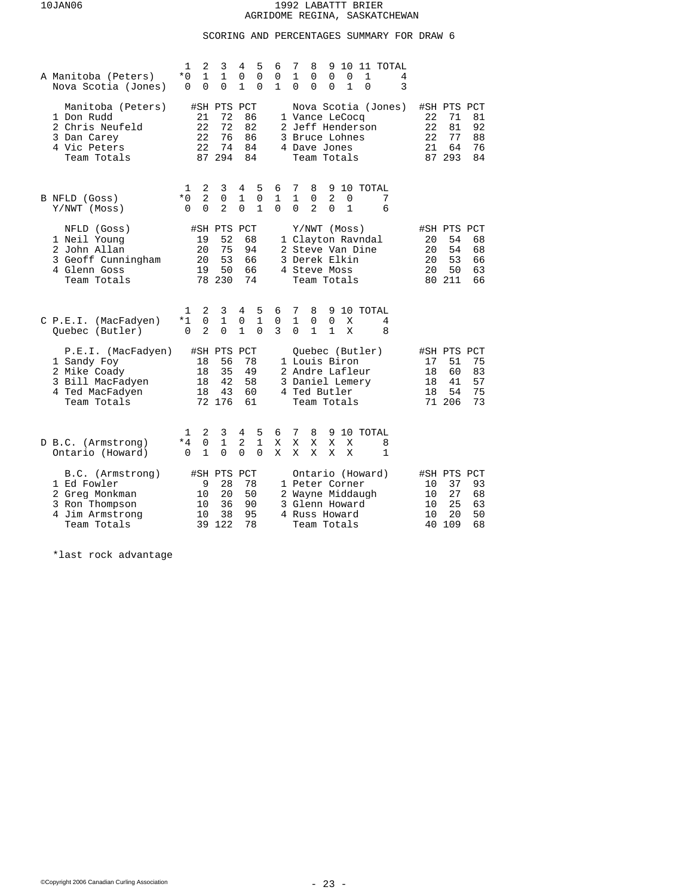# SCORING AND PERCENTAGES SUMMARY FOR DRAW 6

| A Manitoba (Peters)<br>Nova Scotia (Jones)                                                              | 2<br>1<br>3<br>4<br>5<br>$\mathbf{1}$<br>$\mathbf{1}$<br>$\overline{0}$<br>$\mathsf 0$<br>$*0$<br>0<br>$\mathbf 0$<br>1<br>$\Omega$<br>$\Omega$ | 7<br>8<br>9<br>10<br>11 TOTAL<br>6<br>1<br>$\Omega$<br>0<br>0<br>$\Omega$<br>1<br>4<br>$\mathbf{1}$<br>3<br>1<br>0<br>$\Omega$<br>$\Omega$<br>$\Omega$ |                                                                                                        |
|---------------------------------------------------------------------------------------------------------|-------------------------------------------------------------------------------------------------------------------------------------------------|--------------------------------------------------------------------------------------------------------------------------------------------------------|--------------------------------------------------------------------------------------------------------|
| Manitoba (Peters)<br>1 Don Rudd<br>2 Chris Neufeld<br>3 Dan Carey<br>4 Vic Peters<br>Team Totals        | #SH PTS PCT<br>72<br>86<br>21<br>22<br>72<br>82<br>22<br>76<br>86<br>22<br>74<br>84<br>87<br>294<br>84                                          | Nova Scotia (Jones)<br>1 Vance LeCocq<br>2 Jeff Henderson<br>3 Bruce Lohnes<br>4 Dave Jones<br>Team Totals                                             | #SH PTS PCT<br>81<br>22<br>71<br>22<br>81<br>92<br>22<br>77<br>88<br>21<br>64<br>76<br>87 293<br>84    |
| B NFLD (Goss)<br>Y/NWT (Moss)                                                                           | 2<br>3<br>5<br>4<br>1<br>$\overline{2}$<br>$*0$<br>1<br>$\mathbf 0$<br>0<br>$\overline{2}$<br>$\Omega$<br>$\Omega$<br>$\mathbf{1}$<br>$\Omega$  | 9<br>10 TOTAL<br>6<br>7<br>8<br>$\overline{2}$<br>1<br>1<br>$\mathbf 0$<br>7<br>0<br>$\overline{2}$<br>$\mathbf{1}$<br>0<br>$\Omega$<br>$\Omega$<br>6  |                                                                                                        |
| NFLD (Goss)<br>1 Neil Young<br>2 John Allan<br>3 Geoff Cunningham<br>4 Glenn Goss<br>Team Totals        | #SH PTS PCT<br>52<br>19<br>68<br>20<br>75<br>94<br>20<br>53<br>66<br>19<br>50<br>66<br>78 230<br>74                                             | Y/NWT (Moss)<br>1 Clayton Ravndal<br>2 Steve Van Dine<br>3 Derek Elkin<br>4 Steve Moss<br>Team Totals                                                  | #SH PTS PCT<br>20<br>54<br>68<br>54<br>20<br>68<br>20<br>53<br>66<br>50<br>20<br>63<br>80 211<br>66    |
| C P.E.I. (MacFadyen)<br>Ouebec (Butler)                                                                 | 2<br>3<br>5<br>1<br>4<br>$\mathbf 0$<br>$\mathbf{1}$<br>$\mathbf{1}$<br>$*1$<br>0<br>2<br>$\Omega$<br>$\mathbf{1}$<br>$\Omega$<br>0             | 6<br>7<br>8<br>9<br>10 TOTAL<br>0<br>$\mathbf{1}$<br>$\mathbf 0$<br>$\Omega$<br>4<br>Χ<br>3<br>$\mathbf{1}$<br>$\Omega$<br>1<br>Χ<br>8                 |                                                                                                        |
| P.E.I. (MacFadyen)<br>1 Sandy Foy<br>2 Mike Coady<br>3 Bill MacFadyen<br>4 Ted MacFadyen<br>Team Totals | #SH PTS PCT<br>18<br>56<br>78<br>18<br>35<br>49<br>42<br>18<br>58<br>18<br>43<br>60<br>72 176<br>61                                             | Quebec (Butler)<br>1 Louis Biron<br>2 Andre Lafleur<br>3 Daniel Lemery<br>4 Ted Butler<br>Team Totals                                                  | #SH PTS PCT<br>75<br>17<br>51<br>60<br>83<br>18<br>57<br>18<br>41<br>75<br>18<br>54<br>71 206<br>73    |
| D B.C. (Armstrong)<br>Ontario (Howard)                                                                  | 5<br>2<br>3<br>4<br>1<br>$\mathbf{1}$<br>$\mathsf 0$<br>1<br>2<br>*4<br>1<br>0<br>0<br>$\Omega$<br>0                                            | 7<br>9 10 TOTAL<br>6<br>8<br>Χ<br>Χ<br>Χ<br>X<br>X<br>8<br>1<br>Χ<br>Χ<br>X<br>X<br>X                                                                  |                                                                                                        |
| B.C. (Armstrong)<br>1 Ed Fowler<br>2 Greg Monkman<br>3 Ron Thompson<br>4 Jim Armstrong<br>Team Totals   | #SH PTS<br>PCT<br>9<br>28<br>78<br>50<br>20<br>10<br>90<br>10<br>36<br>95<br>10<br>38<br>122<br>78<br>39                                        | Ontario (Howard)<br>1 Peter Corner<br>2 Wayne Middaugh<br>3 Glenn Howard<br>4 Russ Howard<br>Team Totals                                               | #SH PTS PCT<br>93<br>10<br>37<br>27<br>68<br>10<br>25<br>10<br>63<br>20<br>50<br>10<br>109<br>68<br>40 |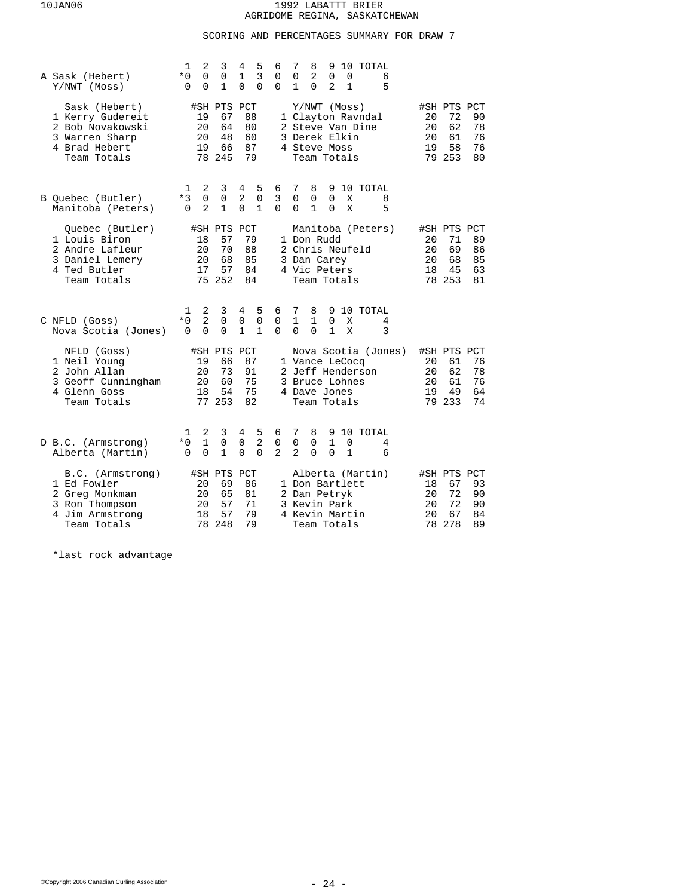# SCORING AND PERCENTAGES SUMMARY FOR DRAW 7

| A Sask (Hebert)<br>Y/NWT (Moss)                                                                         | 2<br>1<br>3<br>4<br>5<br>3<br>0<br>0<br>$\mathbf{1}$<br>$*0$<br>1<br>$\Omega$<br>0<br>0<br>0                                             | 7<br>8<br>10 TOTAL<br>6<br>9<br>2<br>$\Omega$<br>0<br>0<br>0<br>6<br>5<br>0<br>2<br>$\mathbf{1}$<br>0<br>1                                                  |                                                                                                     |
|---------------------------------------------------------------------------------------------------------|------------------------------------------------------------------------------------------------------------------------------------------|-------------------------------------------------------------------------------------------------------------------------------------------------------------|-----------------------------------------------------------------------------------------------------|
| Sask (Hebert)<br>1 Kerry Gudereit<br>2 Bob Novakowski<br>3 Warren Sharp<br>4 Brad Hebert<br>Team Totals | #SH PTS PCT<br>67<br>88<br>19<br>20<br>64<br>80<br>20<br>48<br>60<br>87<br>19<br>66<br>245<br>79<br>78                                   | Y/NWT (Moss)<br>1 Clayton Ravndal<br>2 Steve Van Dine<br>3 Derek Elkin<br>4 Steve Moss<br>Team Totals                                                       | #SH PTS PCT<br>90<br>20<br>72<br>62<br>20<br>78<br>20<br>61<br>76<br>76<br>58<br>19<br>79 253<br>80 |
| B Quebec (Butler)<br>Manitoba (Peters)                                                                  | 2<br>3<br>4<br>5<br>1<br>0<br>2<br>$*3$<br>0<br>0<br>$\mathbf{1}$<br>2<br>$\Omega$<br>$\mathbf{1}$<br>$\Omega$                           | 6<br>7<br>8<br>9<br>10 TOTAL<br>3<br>0<br>0<br>0<br>Χ<br>8<br>$\Omega$<br>$\mathbf{1}$<br>X<br>5<br>$\Omega$<br>$\Omega$                                    |                                                                                                     |
| Quebec (Butler)<br>1 Louis Biron<br>2 Andre Lafleur<br>3 Daniel Lemery<br>4 Ted Butler<br>Team Totals   | #SH PTS<br>PCT<br>57<br>79<br>18<br>20<br>70<br>88<br>68<br>85<br>20<br>57<br>17<br>84<br>75 252<br>84                                   | Manitoba (Peters)<br>1 Don Rudd<br>2 Chris Neufeld<br>3 Dan Carey<br>4 Vic Peters<br>Team Totals                                                            | #SH PTS PCT<br>71<br>89<br>20<br>20<br>69<br>86<br>20<br>68<br>85<br>18<br>45<br>63<br>78 253<br>81 |
| C NFLD (Goss)<br>Nova Scotia (Jones)                                                                    | 2<br>3<br>4<br>5<br>1<br>2<br>$*0$<br>0<br>$\mathsf 0$<br>0<br>$\mathbf{1}$<br>$\Omega$<br>$\Omega$<br>$\mathbf{1}$<br>$\Omega$          | 7<br>6<br>8<br>9<br>10 TOTAL<br>$\mathbf{1}$<br>0<br>1<br>0<br>Χ<br>4<br>$\Omega$<br>$\Omega$<br>$\mathbf{1}$<br>3<br>$\Omega$<br>Χ                         |                                                                                                     |
| NFLD (Goss)<br>1 Neil Young<br>2 John Allan<br>3 Geoff Cunningham<br>4 Glenn Goss<br>Team Totals        | #SH PTS PCT<br>19<br>87<br>66<br>73<br>91<br>20<br>60<br>20<br>75<br>18<br>54<br>75<br>77 253<br>82                                      | Nova Scotia (Jones)<br>1 Vance LeCocq<br>2 Jeff Henderson<br>3 Bruce Lohnes<br>4 Dave Jones<br>Team Totals                                                  | #SH PTS PCT<br>76<br>20<br>61<br>78<br>20<br>62<br>20<br>61<br>76<br>64<br>19<br>49<br>79 233<br>74 |
| D B.C. (Armstrong)<br>Alberta (Martin)                                                                  | 2<br>3<br>4<br>5<br>1<br>$\mathbf{1}$<br>$\overline{2}$<br>$\mathsf 0$<br>$*0$<br>0<br>$\Omega$<br>1<br>$\Omega$<br>$\Omega$<br>$\Omega$ | 7<br>10 TOTAL<br>8<br>9<br>6<br>$\mathsf 0$<br>0<br>$\mathbf 0$<br>$\mathbf{1}$<br>0<br>4<br>$\mathbf{2}$<br>2<br>$\Omega$<br>$\Omega$<br>$\mathbf{1}$<br>6 |                                                                                                     |
| B.C. (Armstrong)<br>1 Ed Fowler<br>2 Greg Monkman<br>3 Ron Thompson<br>4 Jim Armstrong<br>Team Totals   | #SH PTS<br>PCT<br>20<br>69<br>86<br>20<br>65<br>81<br>57<br>71<br>20<br>57<br>79<br>18<br>78<br>248<br>79                                | Alberta (Martin)<br>1 Don Bartlett<br>2 Dan Petryk<br>3 Kevin Park<br>4 Kevin Martin<br>Team Totals                                                         | #SH PTS PCT<br>67<br>93<br>18<br>72<br>20<br>90<br>72<br>90<br>20<br>67<br>20<br>84<br>78 278<br>89 |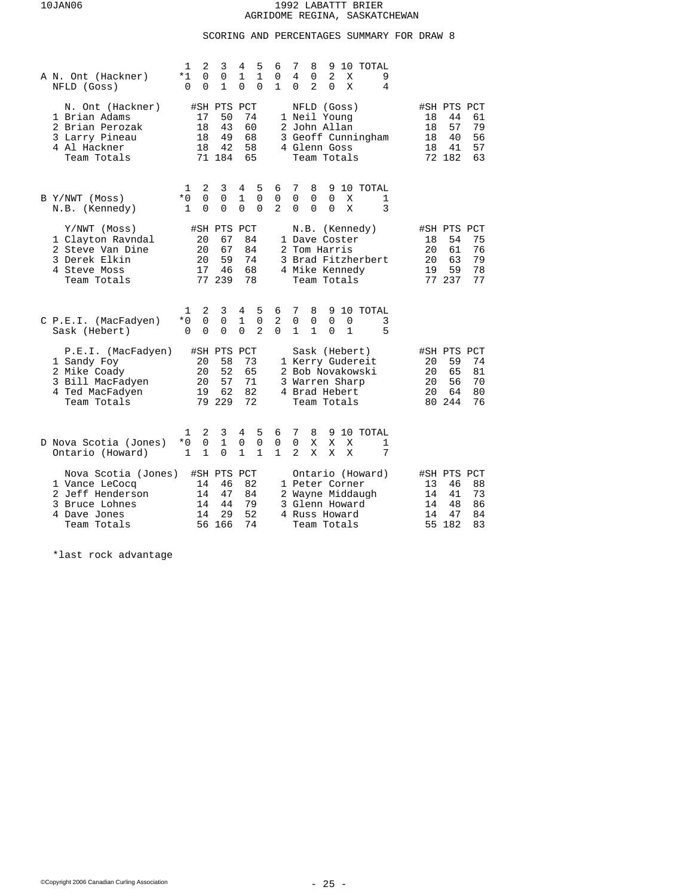# SCORING AND PERCENTAGES SUMMARY FOR DRAW 8

| A N. Ont (Hackner)<br>NFLD (Goss)                                                                          | 1<br>$*1$<br>$\Omega$    | 2<br>0<br>0                     | 3<br>0<br>1                                   | 4<br>1<br>0                       | 5<br>1<br>0                        | 6<br>0<br>$\mathbf{1}$           | 7<br>4<br>0                                                             | 8<br>0<br>2                                       | 9<br>2<br>$\Omega$   | X<br>Χ            | 10 TOTAL   | 9<br>4 |                      |                                               |                            |
|------------------------------------------------------------------------------------------------------------|--------------------------|---------------------------------|-----------------------------------------------|-----------------------------------|------------------------------------|----------------------------------|-------------------------------------------------------------------------|---------------------------------------------------|----------------------|-------------------|------------|--------|----------------------|-----------------------------------------------|----------------------------|
| N. Ont (Hackner)<br>1 Brian Adams<br>2 Brian Perozak<br>3 Larry Pineau<br>4 Al Hackner<br>Team Totals      |                          | 17<br>18<br>18<br>18            | #SH PTS PCT<br>50<br>43<br>49<br>42<br>71 184 | 74<br>60<br>68<br>58<br>65        |                                    |                                  | 1 Neil Young<br>2 John Allan<br>3 Geoff Cunningham<br>4 Glenn Goss      | NFLD (Goss)<br>Team Totals                        |                      |                   |            |        | 18<br>18<br>18<br>18 | #SH PTS PCT<br>44<br>57<br>40<br>41<br>72 182 | 61<br>79<br>56<br>57<br>63 |
| B Y/NWT (Moss)<br>N.B. (Kennedy)                                                                           | 1<br>$*0$<br>$\mathbf 1$ | 2<br>$\mathbf 0$<br>$\Omega$    | 3<br>0<br>$\Omega$                            | 4<br>1<br>$\Omega$                | 5<br>$\mathbf 0$<br>$\Omega$       | 6<br>0<br>$\overline{2}$         | 7<br>0<br>$\Omega$                                                      | 8<br>$\mathbf 0$<br>$\Omega$                      | 0<br>$\Omega$        | Χ<br>X            | 9 10 TOTAL | 1<br>3 |                      |                                               |                            |
| Y/NWT (Moss)<br>1 Clayton Ravndal<br>2 Steve Van Dine<br>3 Derek Elkin<br>4 Steve Moss<br>Team Totals      |                          | 20<br>20<br>20<br>17            | #SH PTS PCT<br>67<br>67<br>59<br>46<br>77 239 | 84<br>84<br>74<br>68<br>78        |                                    |                                  | 1 Dave Coster<br>2 Tom Harris<br>3 Brad Fitzherbert<br>4 Mike Kennedy   | N.B. (Kennedy)<br>Team Totals                     |                      |                   |            |        | 18<br>20<br>20<br>19 | #SH PTS PCT<br>54<br>61<br>63<br>59<br>77 237 | 75<br>76<br>79<br>78<br>77 |
| C P.E.I. (MacFadyen)<br>Sask (Hebert)                                                                      | 1<br>*0<br>$\Omega$      | 2<br>$\overline{0}$<br>$\Omega$ | 3<br>0<br>0                                   | 4<br>$\mathbf{1}$<br>$\Omega$     | 5<br>$\mathbf 0$<br>$\overline{2}$ | 6<br>2<br>$\Omega$               | 7<br>0<br>$\mathbf{1}$                                                  | 8<br>$\mathbf 0$<br>$\mathbf{1}$                  | $\Omega$<br>$\Omega$ | 0<br>$\mathbf{1}$ | 9 10 TOTAL | 3<br>5 |                      |                                               |                            |
| P.E.I. (MacFadyen)<br>1 Sandy Foy<br>2 Mike Coady<br>3 Bill MacFadyen<br>4 Ted MacFadyen<br>Team Totals    |                          | 20<br>20<br>20<br>19            | #SH PTS<br>58<br>52<br>57<br>62<br>79 229     | PCT<br>73<br>65<br>71<br>82<br>72 |                                    |                                  | 1 Kerry Gudereit<br>2 Bob Novakowski<br>3 Warren Sharp<br>4 Brad Hebert | Sask (Hebert)<br>Team Totals                      |                      |                   |            |        | 20<br>20<br>20<br>20 | #SH PTS PCT<br>59<br>65<br>56<br>64<br>80 244 | 74<br>81<br>70<br>80<br>76 |
| D Nova Scotia (Jones)<br>Ontario (Howard)                                                                  | 1<br>$*0$<br>$\mathbf 1$ | 2<br>0<br>$\mathbf{1}$          | 3<br>$\mathbf{1}$<br>$\Omega$                 | 4<br>$\mathbf 0$<br>$\mathbf{1}$  | 5<br>$\mathbf 0$<br>$\mathbf{1}$   | 6<br>$\mathsf 0$<br>$\mathbf{1}$ | 7<br>0<br>$\overline{a}$                                                | 8<br>X<br>X                                       | X<br>X               | X<br>X            | 9 10 TOTAL | 1<br>7 |                      |                                               |                            |
| Nova Scotia (Jones)<br>1 Vance LeCocq<br>2 Jeff Henderson<br>3 Bruce Lohnes<br>4 Dave Jones<br>Team Totals |                          | 14<br>14<br>14<br>14<br>56      | #SH PTS PCT<br>46<br>47<br>44<br>29<br>166    | 82<br>84<br>79<br>52<br>74        |                                    | 2                                | 1 Peter Corner<br>3 Glenn Howard<br>4 Russ Howard                       | Ontario (Howard)<br>Wayne Middaugh<br>Team Totals |                      |                   |            |        | 13<br>14<br>14<br>14 | #SH PTS PCT<br>46<br>41<br>48<br>47<br>55 182 | 88<br>73<br>86<br>84<br>83 |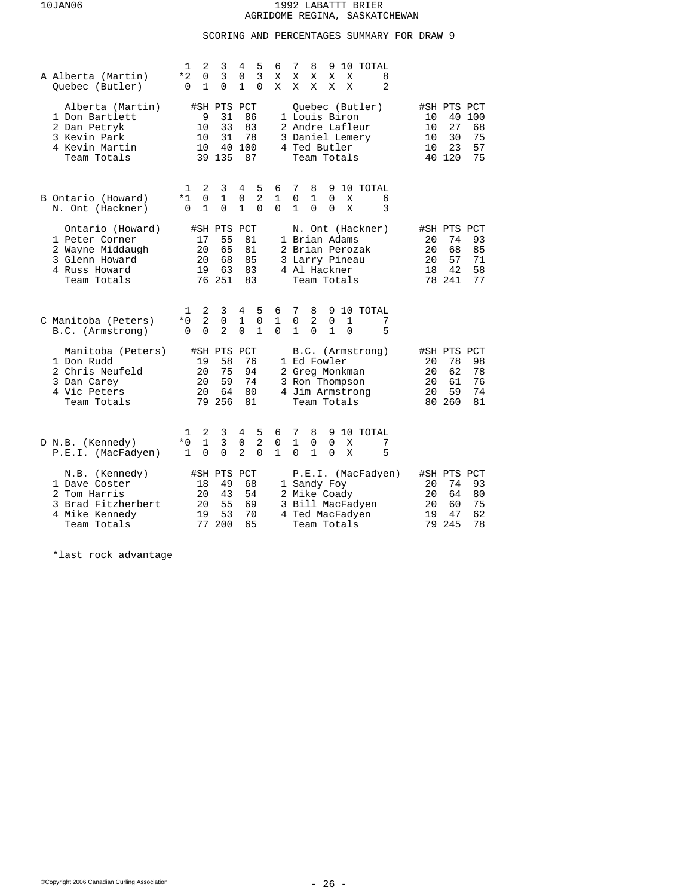# SCORING AND PERCENTAGES SUMMARY FOR DRAW 9

| A Alberta (Martin)<br>Quebec (Butler)                                                                    | 2<br>1<br>3<br>4<br>5<br>3<br>3<br>$*2$<br>0<br>0<br>1<br>0<br>1<br>0<br>$\Omega$                                                              | 6<br>7<br>8<br>10 TOTAL<br>9<br>Χ<br>X<br>Χ<br>X<br>X<br>8<br>2<br>Χ<br>X<br>Χ<br>Χ<br>X                                                      |                                                                                                     |
|----------------------------------------------------------------------------------------------------------|------------------------------------------------------------------------------------------------------------------------------------------------|-----------------------------------------------------------------------------------------------------------------------------------------------|-----------------------------------------------------------------------------------------------------|
| Alberta (Martin)<br>1 Don Bartlett<br>2 Dan Petryk<br>3 Kevin Park<br>4 Kevin Martin<br>Team Totals      | #SH PTS PCT<br>86<br>9<br>31<br>33<br>83<br>10<br>31<br>10<br>78<br>40<br>100<br>10<br>39 135<br>87                                            | Ouebec (Butler)<br>1 Louis Biron<br>2 Andre Lafleur<br>3 Daniel Lemery<br>4 Ted Butler<br>Team Totals                                         | #SH PTS PCT<br>40 100<br>10<br>27<br>10<br>68<br>30<br>75<br>10<br>23<br>57<br>10<br>40 120<br>75   |
| B Ontario (Howard)<br>N. Ont (Hackner)                                                                   | 3<br>5<br>2<br>4<br>1<br>0<br>2<br>$*1$<br>$\mathbf{1}$<br>$\mathbf 0$<br>$\mathbf{1}$<br>$\mathbf{1}$<br>$\Omega$<br>$\Omega$<br>0            | 7<br>8<br>9<br>10 TOTAL<br>6<br>$\mathbf{1}$<br>0<br>1<br>0<br>Χ<br>6<br>$\Omega$<br>3<br>1<br>$\Omega$<br>$\Omega$<br>Χ                      |                                                                                                     |
| Ontario (Howard)<br>1 Peter Corner<br>2 Wayne Middaugh<br>3 Glenn Howard<br>4 Russ Howard<br>Team Totals | #SH PTS PCT<br>55<br>81<br>17<br>65<br>20<br>81<br>20<br>68<br>85<br>63<br>83<br>19<br>76 251<br>83                                            | N. Ont (Hackner)<br>1 Brian Adams<br>2 Brian Perozak<br>3 Larry Pineau<br>4 Al Hackner<br>Team Totals                                         | #SH PTS PCT<br>74<br>93<br>20<br>68<br>20<br>85<br>20<br>57<br>71<br>58<br>18<br>42<br>78 241<br>77 |
| C Manitoba (Peters)<br>B.C. (Armstrong)                                                                  | 2<br>5<br>3<br>4<br>1<br>$\overline{a}$<br>$*0$<br>0<br>$\mathbf 1$<br>0<br>$\overline{2}$<br>$\Omega$<br>$\Omega$<br>$\mathbf{1}$<br>$\Omega$ | 7<br>6<br>8<br>9<br>10 TOTAL<br>1<br>$\mathbf 0$<br>2<br>1<br>0<br>7<br>$\Omega$<br>$\mathbf{1}$<br>$\Omega$<br>$\mathbf{1}$<br>5<br>$\Omega$ |                                                                                                     |
| Manitoba (Peters)<br>1 Don Rudd<br>2 Chris Neufeld<br>3 Dan Carey<br>4 Vic Peters<br>Team Totals         | #SH PTS PCT<br>76<br>19<br>58<br>75<br>94<br>20<br>20<br>59<br>74<br>20<br>64<br>80<br>79 256<br>81                                            | B.C. (Armstrong)<br>1 Ed Fowler<br>2 Greg Monkman<br>3 Ron Thompson<br>4 Jim Armstrong<br>Team Totals                                         | #SH PTS PCT<br>78<br>98<br>20<br>62<br>78<br>20<br>76<br>20<br>61<br>20<br>59<br>74<br>80 260<br>81 |
| D N.B. (Kennedy)<br>P.E.I. (MacFadyen)                                                                   | 2<br>3<br>5<br>1<br>4<br>$\overline{2}$<br>$\mathbf{1}$<br>3<br>$*0$<br>0<br>$\overline{a}$<br>0<br>0<br>0<br>1                                | 6<br>7<br>8<br>9<br>10 TOTAL<br>$\mathbf{1}$<br>$\Omega$<br>0<br>$\mathbf 0$<br>Χ<br>7<br>5<br>1<br>0<br>1<br>$\Omega$<br>X                   |                                                                                                     |
| N.B. (Kennedy)<br>1 Dave Coster<br>2 Tom Harris<br>3 Brad Fitzherbert<br>4 Mike Kennedy<br>Team Totals   | #SH PTS<br>PCT<br>18<br>49<br>68<br>20<br>43<br>54<br>55<br>20<br>69<br>53<br>70<br>19<br>77<br>200<br>65                                      | P.E.I. (MacFadyen)<br>1 Sandy Foy<br>2 Mike Coady<br>3 Bill MacFadyen<br>4 Ted MacFadyen<br>Team Totals                                       | #SH PTS PCT<br>74<br>93<br>20<br>20<br>64<br>80<br>20<br>60<br>75<br>62<br>47<br>19<br>79 245<br>78 |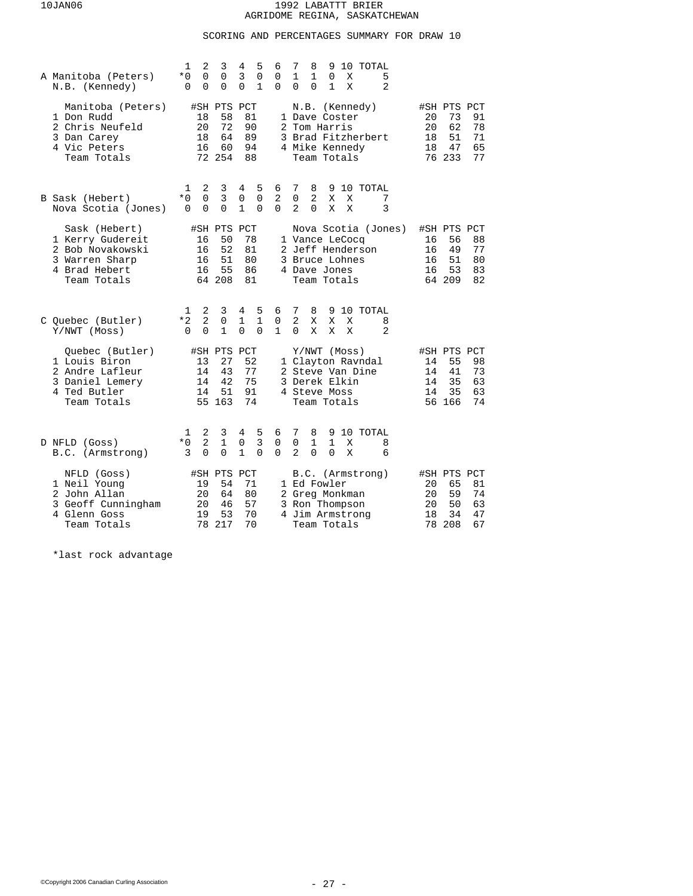## SCORING AND PERCENTAGES SUMMARY FOR DRAW 10

| A Manitoba (Peters)<br>N.B. (Kennedy)                                                                   | 1<br>2<br>3<br>4<br>5<br>6<br>0<br>0<br>3<br>$\mathbf 0$<br>$*0$<br>0<br>1<br>0<br>0<br>0<br>0<br>$\Omega$                                                                        | 7<br>8<br>10 TOTAL<br>9<br>1<br>$\mathbf{1}$<br>0<br>X<br>5<br>$\overline{2}$<br>$\Omega$<br>$\Omega$<br>1<br>X |                                                                                                     |
|---------------------------------------------------------------------------------------------------------|-----------------------------------------------------------------------------------------------------------------------------------------------------------------------------------|-----------------------------------------------------------------------------------------------------------------|-----------------------------------------------------------------------------------------------------|
| Manitoba (Peters)<br>1 Don Rudd<br>2 Chris Neufeld<br>3 Dan Carey<br>4 Vic Peters<br>Team Totals        | #SH PTS PCT<br>58<br>81<br>18<br>72<br>20<br>90<br>64<br>89<br>18<br>16<br>60<br>94<br>72 254<br>88                                                                               | N.B. (Kennedy)<br>1 Dave Coster<br>2 Tom Harris<br>3 Brad Fitzherbert<br>4 Mike Kennedy<br>Team Totals          | #SH PTS PCT<br>91<br>20<br>73<br>62<br>20<br>78<br>51<br>18<br>71<br>65<br>18<br>47<br>76 233<br>77 |
| B Sask (Hebert)<br>Nova Scotia (Jones)                                                                  | 2<br>5<br>3<br>6<br>1<br>4<br>3<br>0<br>$\mathbf 0$<br>2<br>$*0$<br>0<br>$\Omega$<br>$\mathbf{1}$<br>$\Omega$<br>0<br>$\Omega$<br>$\Omega$                                        | 7<br>8<br>9 10 TOTAL<br>0<br>2<br>X<br>Χ<br>7<br>$\overline{2}$<br>$\Omega$<br>3<br>X<br>X                      |                                                                                                     |
| Sask (Hebert)<br>1 Kerry Gudereit<br>2 Bob Novakowski<br>3 Warren Sharp<br>4 Brad Hebert<br>Team Totals | #SH PTS<br>PCT<br>50<br>78<br>16<br>52<br>81<br>16<br>51<br>80<br>16<br>55<br>16<br>86<br>64 208<br>81                                                                            | Nova Scotia (Jones)<br>1 Vance LeCocq<br>2 Jeff Henderson<br>3 Bruce Lohnes<br>4 Dave Jones<br>Team Totals      | #SH PTS PCT<br>56<br>88<br>16<br>16<br>49<br>77<br>51<br>80<br>16<br>53<br>83<br>16<br>64 209<br>82 |
| C Quebec (Butler)<br>Y/NWT (Moss)                                                                       | 2<br>3<br>5<br>4<br>6<br>1<br>$\overline{2}$<br>$*2$<br>0<br>$\mathbf{1}$<br>$\mathbf{1}$<br>$\mathbf 0$<br>$\mathbf{1}$<br>$\mathbf{1}$<br>0<br>$\Omega$<br>$\Omega$<br>$\Omega$ | 7<br>8<br>10 TOTAL<br>9<br>$\overline{a}$<br>X<br>X<br>8<br>Χ<br>$\overline{2}$<br>$\Omega$<br>X<br>X<br>X      |                                                                                                     |
| Ouebec (Butler)<br>1 Louis Biron<br>2 Andre Lafleur<br>3 Daniel Lemery<br>4 Ted Butler<br>Team Totals   | #SH PTS PCT<br>52<br>13<br>27<br>77<br>43<br>14<br>75<br>42<br>14<br>51<br>91<br>14<br>55 163<br>74                                                                               | Y/NWT (Moss)<br>1 Clayton Ravndal<br>2 Steve Van Dine<br>3 Derek Elkin<br>4 Steve Moss<br>Team Totals           | #SH PTS PCT<br>98<br>55<br>14<br>41<br>73<br>14<br>35<br>63<br>14<br>35<br>63<br>14<br>74<br>56 166 |
| D NFLD (Goss)<br>B.C. (Armstrong)                                                                       | 2<br>5<br>3<br>4<br>6<br>1<br>$\overline{2}$<br>$\mathbf 1$<br>$\overline{3}$<br>0<br>0<br>* 0<br>3<br>0<br>0<br>1<br>$\Omega$<br>$\Omega$                                        | 7<br>10 TOTAL<br>8<br>9<br>0<br>1<br>1<br>X<br>8<br>2<br>$\Omega$<br>$\Omega$<br>X<br>6                         |                                                                                                     |
| NFLD (Goss)<br>1 Neil Young<br>2 John Allan<br>3 Geoff Cunningham<br>4 Glenn Goss<br>Team Totals        | #SH PTS<br>PCT<br>19<br>54<br>71<br>20<br>64<br>80<br>57<br>20<br>46<br>53<br>19<br>70<br>78<br>217<br>70                                                                         | B.C. (Armstrong)<br>1 Ed Fowler<br>2 Greg Monkman<br>3 Ron Thompson<br>4 Jim Armstrong<br>Team Totals           | #SH PTS PCT<br>81<br>20<br>65<br>20<br>59<br>74<br>20<br>50<br>63<br>18<br>34<br>47<br>78 208<br>67 |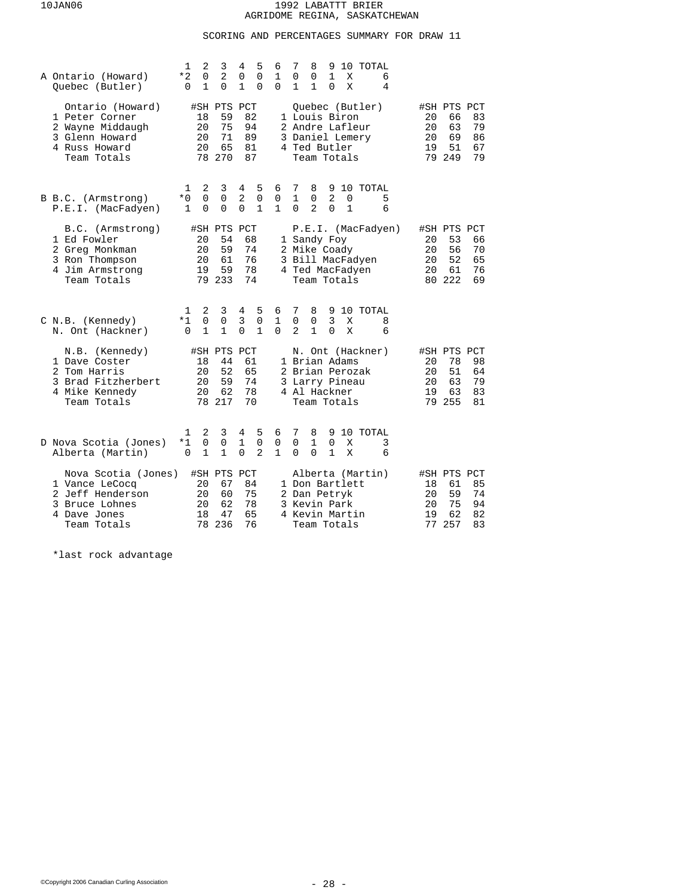# SCORING AND PERCENTAGES SUMMARY FOR DRAW 11

| A Ontario (Howard)<br>Quebec (Butler)                                                                      | 2<br>3<br>1<br>2<br>*2<br>0<br>1<br>0<br>0                                            | 5<br>4<br>6<br>$\Omega$<br>1<br>0<br>$\mathbf{1}$<br>0<br>$\Omega$                                      | 7<br>8<br>9<br>10 TOTAL<br>1<br>$\Omega$<br>0<br>X<br>6<br>$\mathbf{1}$<br>1<br>$\Omega$<br>Χ<br>4                       |                                                                                                     |
|------------------------------------------------------------------------------------------------------------|---------------------------------------------------------------------------------------|---------------------------------------------------------------------------------------------------------|--------------------------------------------------------------------------------------------------------------------------|-----------------------------------------------------------------------------------------------------|
| Ontario (Howard)<br>1 Peter Corner<br>2 Wayne Middaugh<br>3 Glenn Howard<br>4 Russ Howard<br>Team Totals   | #SH PTS PCT<br>59<br>18<br>20<br>75<br>20<br>71<br>65<br>20<br>78 270                 | 82<br>94<br>89<br>81<br>87                                                                              | Quebec (Butler)<br>1 Louis Biron<br>2 Andre Lafleur<br>3 Daniel Lemery<br>4 Ted Butler<br>Team Totals                    | #SH PTS PCT<br>20<br>66<br>83<br>63<br>79<br>20<br>69<br>86<br>20<br>19<br>51<br>67<br>79 249<br>79 |
| B B.C. (Armstrong)<br>P.E.I. (MacFadyen)                                                                   | 3<br>1<br>2<br>$*0$<br>0<br>0<br>0<br>0<br>1                                          | 5<br>4<br>6<br>2<br>$\mathbf 0$<br>0<br>$\Omega$<br>1<br>$\mathbf{1}$                                   | 7<br>8<br>9 10 TOTAL<br>$\mathbf{1}$<br>2<br>0<br>0<br>5<br>$\overline{a}$<br>$\mathbf{1}$<br>6<br>$\Omega$<br>$\Omega$  |                                                                                                     |
| B.C. (Armstrong)<br>1 Ed Fowler<br>2 Greg Monkman<br>3 Ron Thompson<br>4 Jim Armstrong<br>Team Totals      | #SH PTS<br>20<br>54<br>20<br>59<br>20<br>61<br>59<br>19<br>79 233                     | PCT<br>68<br>74<br>76<br>78<br>74                                                                       | P.E.I. (MacFadyen)<br>1 Sandy Foy<br>2 Mike Coady<br>3 Bill MacFadyen<br>4 Ted MacFadyen<br>Team Totals                  | #SH PTS PCT<br>20<br>53<br>66<br>56<br>70<br>20<br>52<br>65<br>20<br>61<br>76<br>20<br>80 222<br>69 |
| C N.B. (Kennedy)<br>N. Ont (Hackner)                                                                       | 2<br>3<br>1<br>$\overline{0}$<br>$\mathsf 0$<br>$*1$<br>$\mathbf{1}$<br>1<br>$\Omega$ | 5<br>4<br>6<br>3<br>$\mathbf 0$<br>$\mathbf{1}$<br>$\mathbf{1}$<br>$\Omega$<br>$\Omega$                 | 7<br>8<br>10 TOTAL<br>9<br>3<br>0<br>0<br>Χ<br>8<br>$\overline{2}$<br>$\mathbf{1}$<br>$\Omega$<br>X<br>6                 |                                                                                                     |
| N.B. (Kennedy)<br>1 Dave Coster<br>2 Tom Harris<br>3 Brad Fitzherbert<br>4 Mike Kennedy<br>Team Totals     | #SH PTS<br>44<br>18<br>52<br>20<br>59<br>20<br>62<br>20<br>78 217                     | PCT<br>61<br>65<br>74<br>78<br>70                                                                       | N. Ont (Hackner)<br>1 Brian Adams<br>2 Brian Perozak<br>3 Larry Pineau<br>4 Al Hackner<br>Team Totals                    | #SH PTS PCT<br>98<br>78<br>20<br>51<br>20<br>64<br>63<br>79<br>20<br>63<br>83<br>19<br>79 255<br>81 |
| D Nova Scotia (Jones)<br>Alberta (Martin)                                                                  | 2<br>3<br>1<br>$*1$<br>0<br>0<br>1<br>1<br>0                                          | 5<br>4<br>6<br>$\mathbf 0$<br>$\mathbf{1}$<br>$\mathbf 0$<br>$\overline{2}$<br>$\Omega$<br>$\mathbf{1}$ | 7<br>8<br>9 10 TOTAL<br>$\Omega$<br>$\mathbf{1}$<br>$\Omega$<br>X<br>3<br>$\Omega$<br>$\mathbf{1}$<br>6<br>$\Omega$<br>Χ |                                                                                                     |
| Nova Scotia (Jones)<br>1 Vance LeCocq<br>2 Jeff Henderson<br>3 Bruce Lohnes<br>4 Dave Jones<br>Team Totals | #SH PTS PCT<br>20<br>67<br>20<br>60<br>20<br>62<br>47<br>18<br>236<br>78              | 84<br>75<br>78<br>65<br>76                                                                              | Alberta (Martin)<br>1 Don Bartlett<br>2 Dan Petryk<br>3 Kevin Park<br>4 Kevin Martin<br>Team Totals                      | #SH PTS PCT<br>85<br>18<br>61<br>59<br>74<br>20<br>75<br>94<br>20<br>62<br>82<br>19<br>77 257<br>83 |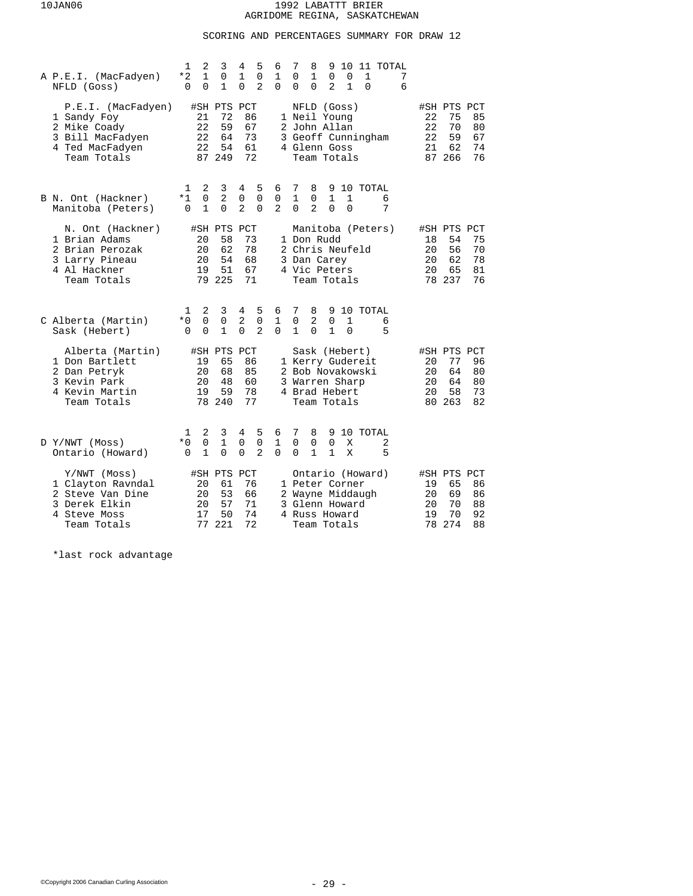# SCORING AND PERCENTAGES SUMMARY FOR DRAW 12

| A P.E.I. (MacFadyen)<br>NFLD (Goss)                                                                     | 1<br>$*2$<br>$\Omega$ | 2<br>1<br>0                | 3<br>$\mathsf 0$<br>1                         | 4<br>1<br>$\Omega$                | 5<br>$\mathbf 0$<br>$\overline{2}$ | 6<br>$\mathbf 1$<br>$\Omega$     | 7<br>0<br>$\Omega$     | 8<br>$\mathbf 1$<br>$\Omega$ | 9<br>0<br>2                                                                | 10<br>0<br>$\mathbf{1}$ | 1<br>$\Omega$                        | 11 TOTAL           | 7<br>6 |                            |                                               |                            |
|---------------------------------------------------------------------------------------------------------|-----------------------|----------------------------|-----------------------------------------------|-----------------------------------|------------------------------------|----------------------------------|------------------------|------------------------------|----------------------------------------------------------------------------|-------------------------|--------------------------------------|--------------------|--------|----------------------------|-----------------------------------------------|----------------------------|
| P.E.I. (MacFadyen)<br>1 Sandy Foy<br>2 Mike Coady<br>3 Bill MacFadyen<br>4 Ted MacFadyen<br>Team Totals |                       | 21<br>22<br>22<br>22       | #SH PTS PCT<br>72<br>59<br>64<br>54<br>87 249 | 86<br>67<br>73<br>61<br>72        |                                    | 3                                |                        |                              | NFLD (Goss)<br>1 Neil Young<br>2 John Allan<br>4 Glenn Goss<br>Team Totals |                         |                                      | Geoff Cunningham   |        | 22<br>22<br>22<br>21       | #SH PTS PCT<br>75<br>70<br>59<br>62<br>87 266 | 85<br>80<br>67<br>74<br>76 |
| B N. Ont (Hackner)<br>Manitoba (Peters)                                                                 | 1<br>*1<br>0          | 2<br>0<br>1                | 3<br>$\overline{2}$<br>0                      | 4<br>0<br>$\overline{a}$          | 5<br>$\mathbf 0$<br>$\Omega$       | 6<br>0<br>$\overline{a}$         | 7<br>1<br>$\Omega$     | 8<br>0<br>$\overline{a}$     | 9<br>1<br>$\Omega$                                                         | 1<br>$\Omega$           |                                      | 10 TOTAL<br>6<br>7 |        |                            |                                               |                            |
| N. Ont (Hackner)<br>1 Brian Adams<br>2 Brian Perozak<br>3 Larry Pineau<br>4 Al Hackner<br>Team Totals   |                       | 20<br>20<br>20<br>19<br>79 | #SH PTS<br>58<br>62<br>54<br>51<br>225        | PCT<br>73<br>78<br>68<br>67<br>71 |                                    |                                  |                        |                              | 1 Don Rudd<br>3 Dan Carey<br>4 Vic Peters<br>Team Totals                   |                         | 2 Chris Neufeld                      | Manitoba (Peters)  |        | 18<br>20<br>20<br>20       | #SH PTS PCT<br>54<br>56<br>62<br>65<br>78 237 | 75<br>70<br>78<br>81<br>76 |
| C Alberta (Martin)<br>Sask (Hebert)                                                                     | 1<br>$*0$<br>$\Omega$ | 2<br>0<br>0                | 3<br>$\mathbf 0$<br>$\mathbf{1}$              | 4<br>2<br>$\Omega$                | 5<br>$\mathbf 0$<br>$\overline{a}$ | 6<br>1<br>$\Omega$               | 7<br>0<br>$\mathbf{1}$ | 8<br>2<br>$\Omega$           | 9<br>$\Omega$<br>$\mathbf{1}$                                              | 1<br>$\Omega$           |                                      | 10 TOTAL<br>6<br>5 |        |                            |                                               |                            |
| Alberta (Martin)<br>1 Don Bartlett<br>2 Dan Petryk<br>3 Kevin Park<br>4 Kevin Martin<br>Team Totals     |                       | 19<br>20<br>20<br>19       | #SH PTS PCT<br>65<br>68<br>48<br>59<br>78 240 | 86<br>85<br>60<br>78<br>77        |                                    | 3                                |                        |                              | Sask (Hebert)<br>Warren Sharp<br>4 Brad Hebert<br>Team Totals              |                         | 1 Kerry Gudereit<br>2 Bob Novakowski |                    |        | 20<br>20<br>20<br>20       | #SH PTS PCT<br>77<br>64<br>64<br>58<br>80 263 | 96<br>80<br>80<br>73<br>82 |
| D Y/NWT (Moss)<br>Ontario (Howard)                                                                      | ı<br>$*0$<br>0        | 2<br>0<br>1                | 3<br>$\mathbf{1}$<br>0                        | 4<br>0<br>0                       | 5<br>$\mathbf 0$<br>$\overline{2}$ | 6<br>$\mathbf{1}$<br>$\mathbf 0$ | 7<br>$\Omega$<br>0     | 8<br>$\Omega$<br>1           | 9<br>$\Omega$<br>1                                                         | X<br>X                  |                                      | 10 TOTAL<br>2<br>5 |        |                            |                                               |                            |
| Y/NWT (Moss)<br>1 Clayton Ravndal<br>2 Steve Van Dine<br>3 Derek Elkin<br>4 Steve Moss<br>Team Totals   |                       | 20<br>20<br>20<br>17<br>77 | #SH PTS<br>61<br>53<br>57<br>50<br>221        | PCT<br>76<br>66<br>71<br>74<br>72 |                                    | 3                                |                        |                              | 1 Peter Corner<br>Glenn Howard<br>4 Russ Howard<br>Team Totals             |                         | Ontario (Howard)<br>2 Wayne Middaugh |                    |        | 19<br>20<br>20<br>19<br>78 | #SH PTS PCT<br>65<br>69<br>70<br>70<br>274    | 86<br>86<br>88<br>92<br>88 |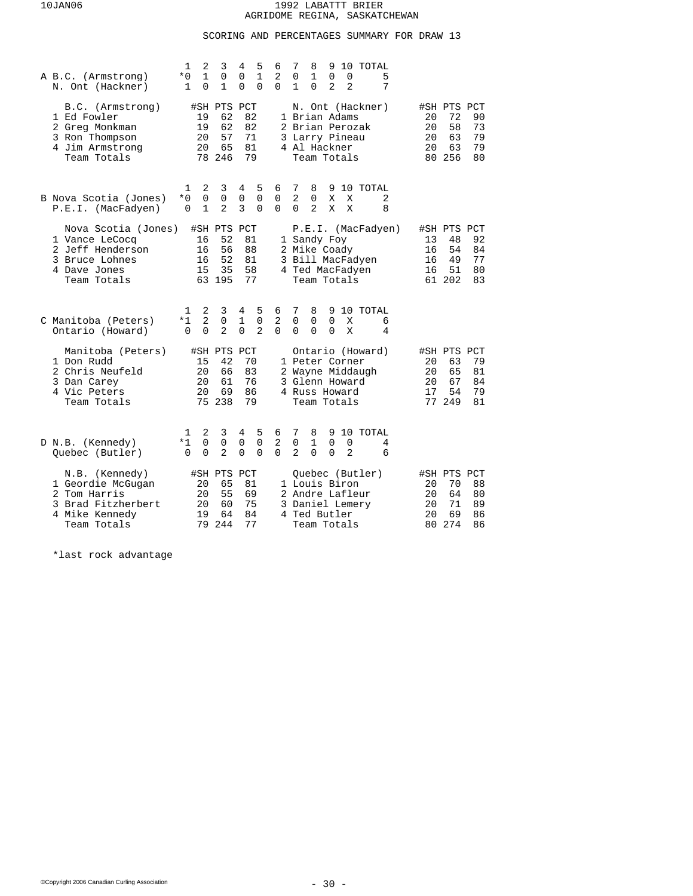# SCORING AND PERCENTAGES SUMMARY FOR DRAW 13

| A B.C. (Armstrong)<br>N. Ont (Hackner)                                                                     | 2<br>1<br>3<br>$\mathbf{1}$<br>$\mathbf 0$<br>$*0$<br>0<br>1<br>1                    | 4<br>5<br>6<br>$\mathbf{1}$<br>2<br>0<br>$\Omega$<br>0<br>$\Omega$                        | 7<br>8<br>10 TOTAL<br>9<br>$\mathbf 1$<br>$\mathbf 0$<br>0<br>0<br>5<br>2<br>7<br>0<br>2<br>1                            |                                                                                                        |
|------------------------------------------------------------------------------------------------------------|--------------------------------------------------------------------------------------|-------------------------------------------------------------------------------------------|--------------------------------------------------------------------------------------------------------------------------|--------------------------------------------------------------------------------------------------------|
| B.C. (Armstrong)<br>1 Ed Fowler<br>2 Greg Monkman<br>3 Ron Thompson<br>4 Jim Armstrong<br>Team Totals      | #SH PTS PCT<br>62<br>19<br>62<br>19<br>57<br>20<br>20<br>65<br>78 246                | 82<br>82<br>71<br>81<br>79                                                                | N. Ont (Hackner)<br>1 Brian Adams<br>2 Brian Perozak<br>3 Larry Pineau<br>4 Al Hackner<br>Team Totals                    | #SH PTS PCT<br>90<br>20<br>72<br>20<br>58<br>73<br>63<br>79<br>20<br>20<br>63<br>79<br>80 256<br>80    |
| B Nova Scotia (Jones)<br>P.E.I. (MacFadyen)                                                                | 2<br>3<br>1<br>0<br>0<br>$*0$<br>$\overline{2}$<br>$\Omega$<br>1                     | 5<br>4<br>6<br>0<br>$\mathbf 0$<br>0<br>3<br>$\Omega$<br>$\Omega$                         | 7<br>8<br>10 TOTAL<br>9<br>$\overline{2}$<br>$\mathbf 0$<br>Χ<br>Χ<br>2<br>$\Omega$<br>$\overline{a}$<br>X<br>X<br>8     |                                                                                                        |
| Nova Scotia (Jones)<br>1 Vance LeCocq<br>2 Jeff Henderson<br>3 Bruce Lohnes<br>4 Dave Jones<br>Team Totals | #SH PTS PCT<br>16<br>52<br>56<br>16<br>52<br>16<br>35<br>15<br>63 195                | 81<br>88<br>81<br>58<br>77                                                                | P.E.I. (MacFadyen)<br>1 Sandy Foy<br>2 Mike Coady<br>3 Bill MacFadyen<br>4 Ted MacFadyen<br>Team Totals                  | #SH PTS PCT<br>13<br>48<br>92<br>16<br>54<br>84<br>77<br>16<br>49<br>51<br>80<br>16<br>61 202<br>83    |
| C Manitoba (Peters)<br>Ontario (Howard)                                                                    | 2<br>1<br>3<br>$\overline{2}$<br>$*1$<br>0<br>$\overline{a}$<br>$\Omega$<br>$\Omega$ | 5<br>4<br>6<br>$\mathbf{1}$<br>$\mathbf 0$<br>2<br>$\overline{a}$<br>$\Omega$<br>$\Omega$ | 7<br>9 10 TOTAL<br>8<br>$\mathbf 0$<br>$\mathbf 0$<br>$\Omega$<br>Χ<br>6<br>$\Omega$<br>$\Omega$<br>$\Omega$<br>X<br>4   |                                                                                                        |
| Manitoba (Peters)<br>1 Don Rudd<br>2 Chris Neufeld<br>3 Dan Carey<br>4 Vic Peters<br>Team Totals           | #SH PTS PCT<br>15<br>42<br>20<br>66<br>20<br>61<br>20<br>69<br>75 238                | 70<br>83<br>76<br>86<br>79                                                                | Ontario (Howard)<br>1 Peter Corner<br>2 Wayne Middaugh<br>3 Glenn Howard<br>4 Russ Howard<br>Team Totals                 | #SH PTS PCT<br>63<br>79<br>20<br>20<br>65<br>81<br>20<br>67<br>84<br>17<br>54<br>79<br>77 249<br>81    |
| D N.B. (Kennedy)<br>Quebec (Butler)                                                                        | 2<br>3<br>ı<br>0<br>0<br>*1<br>$\overline{a}$<br>$\Omega$<br>$\Omega$                | 5<br>4<br>6<br>2<br>$\mathbf 0$<br>0<br>$\Omega$<br>$\Omega$<br>$\Omega$                  | 7<br>10 TOTAL<br>8<br>9<br>$\mathbf 0$<br>$\mathbf 1$<br>0<br>0<br>4<br>2<br>$\Omega$<br>$\Omega$<br>$\overline{2}$<br>6 |                                                                                                        |
| N.B. (Kennedy)<br>1 Geordie McGugan<br>2 Tom Harris<br>3 Brad Fitzherbert<br>4 Mike Kennedy<br>Team Totals | #SH PTS PCT<br>20<br>65<br>20<br>55<br>60<br>20<br>19<br>64<br>79<br>244             | 81<br>69<br>75<br>84<br>77                                                                | Ouebec (Butler)<br>1 Louis Biron<br>2 Andre Lafleur<br>3 Daniel Lemery<br>4 Ted Butler<br>Team Totals                    | #SH PTS PCT<br>20<br>70<br>88<br>64<br>80<br>20<br>71<br>20<br>89<br>69<br>20<br>86<br>274<br>86<br>80 |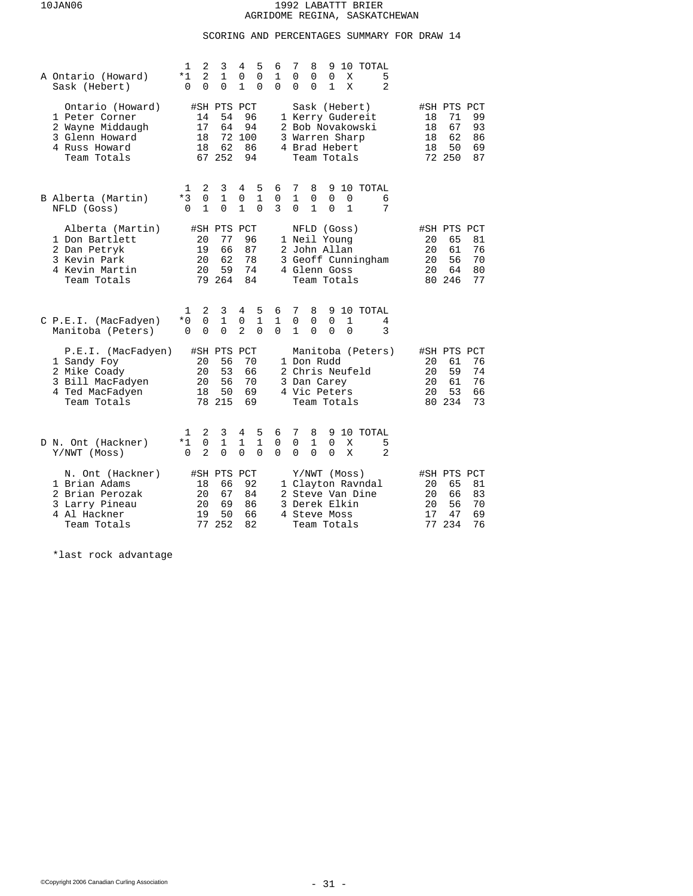# SCORING AND PERCENTAGES SUMMARY FOR DRAW 14

| A Ontario (Howard)<br>Sask (Hebert)                                                                      | 2<br>1<br>3<br>4<br>$\overline{a}$<br>$\mathbf{1}$<br>*1<br>0<br>0<br>0<br>1<br>$\Omega$                | 5<br>7<br>8<br>10 TOTAL<br>6<br>9<br>$\Omega$<br>$\mathbf 1$<br>0<br>0<br>$\Omega$<br>Χ<br>5<br>$\overline{2}$<br>0<br>$\Omega$<br>0<br>$\mathbf 0$<br>1<br>Χ                        |                                                                                                        |
|----------------------------------------------------------------------------------------------------------|---------------------------------------------------------------------------------------------------------|--------------------------------------------------------------------------------------------------------------------------------------------------------------------------------------|--------------------------------------------------------------------------------------------------------|
| Ontario (Howard)<br>1 Peter Corner<br>2 Wayne Middaugh<br>3 Glenn Howard<br>4 Russ Howard<br>Team Totals | #SH PTS PCT<br>14<br>54<br>17<br>64<br>72 100<br>18<br>18<br>62<br>67 252                               | Sask (Hebert)<br>96<br>1 Kerry Gudereit<br>94<br>2 Bob Novakowski<br>3 Warren Sharp<br>86<br>4 Brad Hebert<br>94<br>Team Totals                                                      | #SH PTS PCT<br>99<br>71<br>18<br>67<br>18<br>93<br>62<br>18<br>86<br>50<br>69<br>18<br>72 250<br>87    |
| B Alberta (Martin)<br>NFLD (Goss)                                                                        | 2<br>3<br>4<br>1<br>0<br>$\mathbf 1$<br>*3<br>0<br>$\Omega$<br>$\mathbf{1}$<br>$\mathbf{1}$<br>$\Omega$ | 8<br>9 10 TOTAL<br>5<br>6<br>7<br>$\mathbf{1}$<br>$\mathbf{1}$<br>0<br>0<br>0<br>0<br>6<br>$\Omega$<br>3<br>$\mathbf{1}$<br>$\Omega$<br>$\mathbf{1}$<br>7<br>$\Omega$                |                                                                                                        |
| Alberta (Martin)<br>1 Don Bartlett<br>2 Dan Petryk<br>3 Kevin Park<br>4 Kevin Martin<br>Team Totals      | #SH PTS PCT<br>77<br>20<br>19<br>66<br>62<br>20<br>59<br>20<br>79 264                                   | NFLD (Goss)<br>96<br>1 Neil Young<br>87<br>2 John Allan<br>78<br>3 Geoff Cunningham<br>74<br>4 Glenn Goss<br>84<br>Team Totals                                                       | #SH PTS PCT<br>65<br>81<br>20<br>20<br>61<br>76<br>56<br>70<br>20<br>64<br>80<br>20<br>80 246<br>77    |
| C P.E.I. (MacFadyen)<br>Manitoba (Peters)                                                                | 2<br>3<br>4<br>1<br>$*0$<br>0<br>$\mathbf{1}$<br>0<br>$\overline{2}$<br>$\Omega$<br>0<br>$\Omega$       | 5<br>6<br>7<br>8<br>9 10 TOTAL<br>$\mathbf{1}$<br>1<br>0<br>0<br>$\Omega$<br>1<br>4<br>$\mathbf{1}$<br>0<br>3<br>$\Omega$<br>$\Omega$<br>$\Omega$<br>$\Omega$                        |                                                                                                        |
| P.E.I. (MacFadyen)<br>1 Sandy Foy<br>2 Mike Coady<br>3 Bill MacFadyen<br>4 Ted MacFadyen<br>Team Totals  | #SH PTS<br>PCT<br>56<br>20<br>53<br>20<br>20<br>56<br>50<br>18<br>78 215                                | Manitoba (Peters)<br>70<br>1 Don Rudd<br>66<br>2 Chris Neufeld<br>70<br>3 Dan Carey<br>69<br>4 Vic Peters<br>69<br>Team Totals                                                       | #SH PTS PCT<br>76<br>20<br>61<br>20<br>59<br>74<br>20<br>61<br>76<br>53<br>20<br>66<br>80 234<br>73    |
| D N. Ont (Hackner)<br>Y/NWT (Moss)                                                                       | 2<br>3<br>4<br>1<br>$*1$<br>0<br>1<br>1<br>$\overline{a}$<br>$\Omega$<br>$\Omega$<br>$\Omega$           | 7<br>9 10 TOTAL<br>5<br>6<br>8<br>$\mathbf{1}$<br>$\mathbf 0$<br>$\mathbf{1}$<br>$\Omega$<br>0<br>X<br>5<br>$\overline{2}$<br>$\Omega$<br>$\Omega$<br>$\Omega$<br>$\Omega$<br>0<br>X |                                                                                                        |
| N. Ont (Hackner)<br>1 Brian Adams<br>2 Brian Perozak<br>3 Larry Pineau<br>4 Al Hackner<br>Team Totals    | #SH PTS PCT<br>18<br>66<br>20<br>67<br>20<br>69<br>50<br>19<br>77<br>252                                | Y/NWT (Moss)<br>92<br>1 Clayton Ravndal<br>84<br>2 Steve Van Dine<br>86<br>3 Derek Elkin<br>66<br>4 Steve Moss<br>82<br>Team Totals                                                  | #SH PTS PCT<br>81<br>20<br>65<br>20<br>66<br>83<br>20<br>56<br>70<br>17<br>69<br>47<br>234<br>77<br>76 |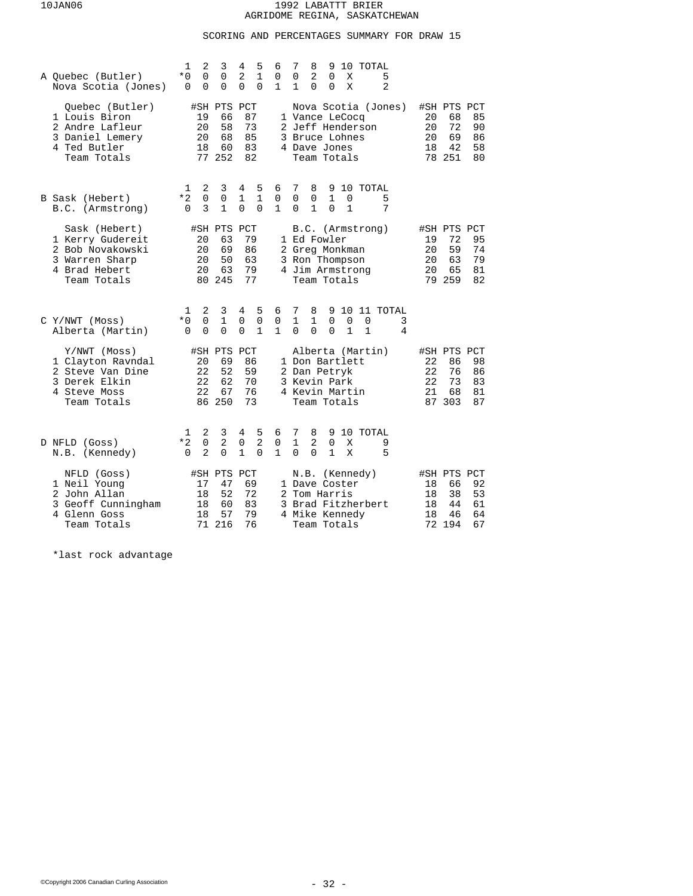# SCORING AND PERCENTAGES SUMMARY FOR DRAW 15

| A Ouebec (Butler)<br>Nova Scotia (Jones)                                                                | 2<br>3<br>1<br>4<br>2<br>* 0<br>0<br>0<br>0<br>0<br>0<br>$\Omega$                                             | 5<br>6<br>$\mathbf{1}$<br>0<br>0<br>1                                | 7<br>8<br>9<br>10 TOTAL<br>0<br>2<br>0<br>5<br>Χ<br>$\Omega$<br>X<br>2<br>1<br>0                                                                                          |                                                                                                     |
|---------------------------------------------------------------------------------------------------------|---------------------------------------------------------------------------------------------------------------|----------------------------------------------------------------------|---------------------------------------------------------------------------------------------------------------------------------------------------------------------------|-----------------------------------------------------------------------------------------------------|
| Ouebec (Butler)<br>1 Louis Biron<br>2 Andre Lafleur<br>3 Daniel Lemery<br>4 Ted Butler<br>Team Totals   | #SH PTS PCT<br>66<br>19<br>20<br>58<br>20<br>68<br>18<br>60<br>77 252                                         | 87<br>73<br>85<br>83<br>82                                           | Nova Scotia (Jones)<br>1 Vance LeCocq<br>2 Jeff Henderson<br>3 Bruce Lohnes<br>4 Dave Jones<br>Team Totals                                                                | #SH PTS PCT<br>85<br>20<br>68<br>72<br>90<br>20<br>20<br>69<br>86<br>42<br>58<br>18<br>78 251<br>80 |
| B Sask (Hebert)<br>B.C. (Armstrong)                                                                     | 2<br>3<br>4<br>1<br>$\Omega$<br>*2<br>0<br>1<br>3<br>1<br>0<br>0                                              | 5<br>6<br>$\mathbf{1}$<br>$\mathbf 0$<br>0<br>$\mathbf{1}$           | 7<br>8<br>10 TOTAL<br>9<br>$\Omega$<br>1<br>5<br>0<br>$\Omega$<br>1<br>$\mathbf{1}$<br>7<br>0<br>$\Omega$                                                                 |                                                                                                     |
| Sask (Hebert)<br>1 Kerry Gudereit<br>2 Bob Novakowski<br>3 Warren Sharp<br>4 Brad Hebert<br>Team Totals | #SH PTS<br>63<br>20<br>69<br>20<br>20<br>50<br>20<br>63<br>80 245                                             | PCT<br>79<br>86<br>63<br>79<br>77                                    | B.C. (Armstrong)<br>1 Ed Fowler<br>2 Greg Monkman<br>3 Ron Thompson<br>4 Jim Armstrong<br>Team Totals                                                                     | #SH PTS PCT<br>72<br>95<br>19<br>59<br>74<br>20<br>20<br>63<br>79<br>20<br>65<br>81<br>79 259<br>82 |
| $C$ Y/NWT (Moss)<br>Alberta (Martin)                                                                    | 2<br>3<br>4<br>1<br>$\mathbf 0$<br>$\mathbf{1}$<br>$\mathbf 0$<br>$*0$<br>0<br>0<br>$\Omega$<br>0             | 5<br>6<br>$\mathbf 0$<br>$\mathsf 0$<br>$\mathbf{1}$<br>$\mathbf{1}$ | 7<br>9<br>10<br>11 TOTAL<br>8<br>$\mathbf{1}$<br>$\mathbf{1}$<br>$\Omega$<br>$\mathbf 0$<br>$\mathbf 0$<br>3<br>$\Omega$<br>$\Omega$<br>$\Omega$<br>$\mathbf 1$<br>1<br>4 |                                                                                                     |
| Y/NWT (Moss)<br>1 Clayton Ravndal<br>2 Steve Van Dine<br>3 Derek Elkin<br>4 Steve Moss<br>Team Totals   | #SH PTS PCT<br>69<br>20<br>52<br>22<br>22<br>62<br>22<br>67<br>86 250                                         | 86<br>59<br>70<br>76<br>73                                           | Alberta (Martin)<br>1 Don Bartlett<br>2 Dan Petryk<br>3 Kevin Park<br>4 Kevin Martin<br>Team Totals                                                                       | #SH PTS PCT<br>22<br>98<br>86<br>76<br>22<br>86<br>73<br>22<br>83<br>21<br>68<br>81<br>87 303<br>87 |
| D NFLD (Goss)<br>N.B. (Kennedy)                                                                         | 2<br>3<br>4<br>ı<br>$\overline{2}$<br>$*2$<br>$\mathbf 0$<br>0<br>$\overline{a}$<br>$\Omega$<br>$\Omega$<br>1 | 5<br>6<br>$\overline{a}$<br>0<br>$\Omega$<br>1                       | 7<br>10 TOTAL<br>8<br>9<br>$\mathbf{1}$<br>2<br>$\mathbf 0$<br>X<br>9<br>5<br>$\Omega$<br>$\Omega$<br>1<br>X                                                              |                                                                                                     |
| NFLD (Goss)<br>1 Neil Young<br>2 John Allan<br>3 Geoff Cunningham<br>4 Glenn Goss<br>Team Totals        | #SH PTS<br>47<br>17<br>18<br>52<br>18<br>60<br>18<br>57<br>71<br>216                                          | PCT<br>69<br>72<br>83<br>79<br>76                                    | N.B. (Kennedy)<br>1 Dave Coster<br>2 Tom Harris<br>3 Brad Fitzherbert<br>4 Mike Kennedy<br>Team Totals                                                                    | #SH PTS PCT<br>66<br>92<br>18<br>53<br>18<br>38<br>44<br>61<br>18<br>18<br>46<br>64<br>72 194<br>67 |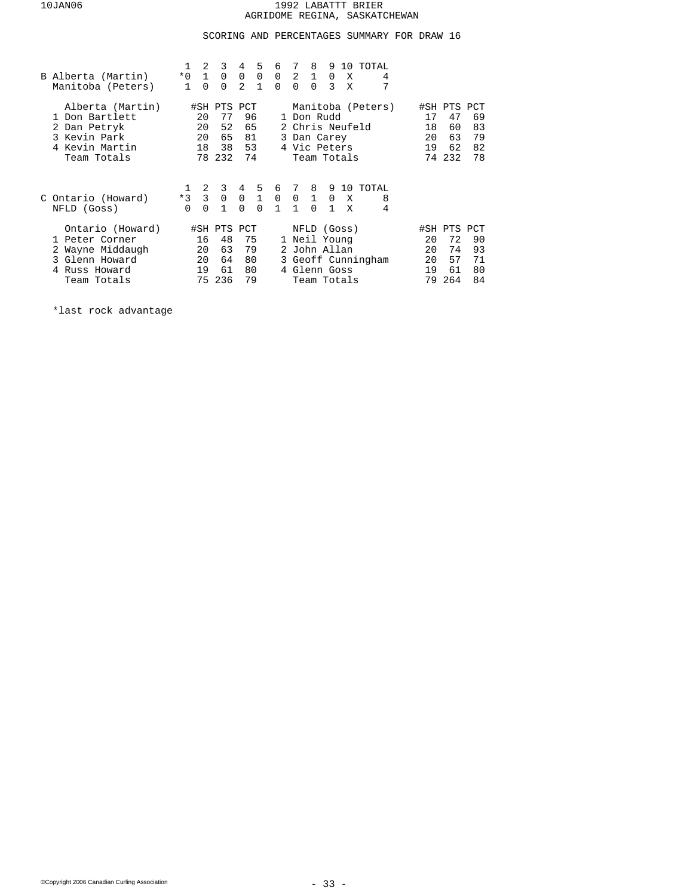## SCORING AND PERCENTAGES SUMMARY FOR DRAW 16

| B Alberta (Martin)<br>Manitoba (Peters)                                                                  | 8<br>2<br>3<br>4<br>5<br>7<br>6<br>9<br>10 TOTAL<br>$*0$ 1 0 0 0 0 2 1<br>0<br>X<br>4<br>7<br>2<br>$\mathbf{1}$<br>$\Omega$<br>$\Omega$<br>$\Omega$<br>$\Omega$<br>$\overline{3}$<br>$\mathbf{1}$<br>$\Omega$<br>X                                       |                                                                                                        |
|----------------------------------------------------------------------------------------------------------|----------------------------------------------------------------------------------------------------------------------------------------------------------------------------------------------------------------------------------------------------------|--------------------------------------------------------------------------------------------------------|
| Alberta (Martin)<br>1 Don Bartlett<br>2 Dan Petryk<br>3 Kevin Park<br>4 Kevin Martin<br>Team Totals      | Manitoba (Peters)<br>#SH PTS PCT<br>96<br>1 Don Rudd<br>20<br>77<br>52<br>65<br>2 Chris Neufeld<br>20<br>65<br>81<br>20<br>3 Dan Carey<br>18<br>53<br>4 Vic Peters<br>38<br>78 232<br>74<br>Team Totals                                                  | #SH PTS PCT<br>69<br>17<br>47<br>18<br>60<br>83<br>20<br>63<br>79<br>62<br>19<br>82<br>74 232<br>78    |
| C Ontario (Howard)<br>NFLD (Goss)                                                                        | 2<br>3<br>4 5 6 7 8<br>9 10 TOTAL<br>1<br>$\overline{\mathbf{3}}$<br>$\mathbf 0$<br>$0\quad 1\quad 0$<br>$0\quad 1$<br>$*3$<br>0<br>8<br>X<br>$0\quad1$<br>$\Omega$<br>$\overline{1}$<br>$\mathbf{1}$<br>$\Omega$<br>$\Omega$<br>$\Omega$<br>1<br>4<br>X |                                                                                                        |
| Ontario (Howard)<br>1 Peter Corner<br>2 Wayne Middaugh<br>3 Glenn Howard<br>4 Russ Howard<br>Team Totals | #SH PTS PCT<br>NFLD (Goss)<br>1 Neil Young<br>16<br>48<br>75<br>79<br>63<br>2 John Allan<br>20<br>20<br>64<br>3 Geoff Cunningham<br>80<br>61<br>80<br>4 Glenn Goss<br>19<br>236<br>79<br>75<br>Team Totals                                               | #SH PTS PCT<br>90<br>20<br>72<br>93<br>20<br>74<br>20<br>57<br>71<br>61<br>80<br>19<br>264<br>84<br>79 |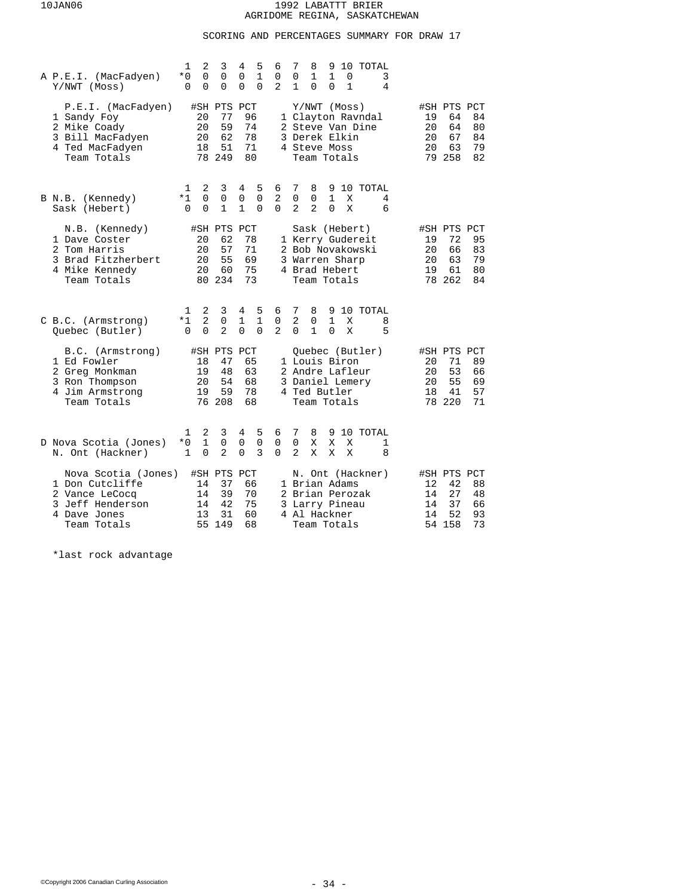# SCORING AND PERCENTAGES SUMMARY FOR DRAW 17

| A P.E.I. (MacFadyen)<br>Y/NWT (Moss)                                                                        | 2<br>3<br>1<br>0<br>0<br>* 0<br>0<br>0<br>0                                   | 4<br>5<br>6<br>$\mathbf{1}$<br>0<br>0<br>0<br>$\overline{a}$<br>0                 | 7<br>10 TOTAL<br>8<br>9<br>0<br>1<br>1<br>3<br>0<br>$\mathbf{1}$<br>4<br>1<br>0<br>$\Omega$                                |                                                                                                     |
|-------------------------------------------------------------------------------------------------------------|-------------------------------------------------------------------------------|-----------------------------------------------------------------------------------|----------------------------------------------------------------------------------------------------------------------------|-----------------------------------------------------------------------------------------------------|
| P.E.I. (MacFadyen)<br>1 Sandy Foy<br>2 Mike Coady<br>3 Bill MacFadyen<br>4 Ted MacFadyen<br>Team Totals     | #SH PTS<br>77<br>20<br>20<br>59<br>62<br>20<br>18<br>51<br>249<br>78          | PCT<br>96<br>74<br>78<br>71<br>80                                                 | Y/NWT (Moss)<br>1 Clayton Ravndal<br>2 Steve Van Dine<br>3 Derek Elkin<br>4 Steve Moss<br>Team Totals                      | #SH PTS PCT<br>64<br>84<br>19<br>20<br>64<br>80<br>20<br>67<br>84<br>20<br>63<br>79<br>79 258<br>82 |
| B N.B. (Kennedy)<br>Sask (Hebert)                                                                           | 2<br>3<br>1<br>0<br>0<br>*1<br>$\mathbf{1}$<br>0<br>0                         | 5<br>4<br>6<br>$\mathbf 0$<br>$\mathbf 0$<br>2<br>$\mathbf{1}$<br>$\Omega$<br>0   | 7<br>8<br>9<br>10 TOTAL<br>0<br>$\mathbf{1}$<br>0<br>X<br>4<br>$\overline{2}$<br>2<br>X<br>6<br>$\Omega$                   |                                                                                                     |
| N.B. (Kennedy)<br>1 Dave Coster<br>2 Tom Harris<br>3 Brad Fitzherbert<br>4 Mike Kennedy<br>Team Totals      | #SH PTS<br>62<br>20<br>20<br>57<br>55<br>20<br>60<br>20<br>80 234             | PCT<br>78<br>71<br>69<br>75<br>73                                                 | Sask (Hebert)<br>1 Kerry Gudereit<br>2 Bob Novakowski<br>3 Warren Sharp<br>4 Brad Hebert<br>Team Totals                    | #SH PTS PCT<br>19<br>72<br>95<br>20<br>66<br>83<br>20<br>63<br>79<br>19<br>61<br>80<br>78 262<br>84 |
| C B.C. (Armstrong)<br>Quebec (Butler)                                                                       | 2<br>3<br>1<br>$\overline{a}$<br>$*1$<br>0<br>$\overline{a}$<br>0<br>$\Omega$ | 5<br>4<br>6<br>$\mathbf{1}$<br>$1\,$<br>0<br>$\mathbf{2}$<br>$\Omega$<br>$\Omega$ | 7<br>9<br>10 TOTAL<br>8<br>$\overline{2}$<br>$\mathbf{1}$<br>0<br>8<br>Χ<br>$\Omega$<br>$\mathbf{1}$<br>X<br>5<br>$\Omega$ |                                                                                                     |
| B.C. (Armstrong)<br>1 Ed Fowler<br>2 Greg Monkman<br>3 Ron Thompson<br>4 Jim Armstrong<br>Team Totals       | #SH PTS<br>18<br>47<br>19<br>48<br>54<br>20<br>59<br>19<br>76 208             | PCT<br>65<br>63<br>68<br>78<br>68                                                 | Quebec (Butler)<br>1 Louis Biron<br>2 Andre Lafleur<br>3 Daniel Lemery<br>4 Ted Butler<br>Team Totals                      | #SH PTS PCT<br>89<br>20<br>71<br>53<br>20<br>66<br>55<br>20<br>69<br>41<br>57<br>18<br>78 220<br>71 |
| D Nova Scotia (Jones)<br>N. Ont (Hackner)                                                                   | 2<br>3<br>1<br>$\mathbf{1}$<br>$*0$<br>0<br>0<br>2<br>$\mathbf{1}$            | 5<br>4<br>6<br>$\mathbf 0$<br>0<br>$\mathbf 0$<br>$\mathbf 0$<br>3<br>$\Omega$    | 7<br>8<br>9 10 TOTAL<br>$\Omega$<br>X<br>X<br>Χ<br>1<br>2<br>X<br>8<br>Χ<br>Χ                                              |                                                                                                     |
| Nova Scotia (Jones)<br>1 Don Cutcliffe<br>2 Vance LeCocq<br>3 Jeff Henderson<br>4 Dave Jones<br>Team Totals | #SH PTS<br>14<br>37<br>39<br>14<br>42<br>14<br>31<br>13<br>55<br>149          | PCT<br>66<br>70<br>75<br>60<br>68                                                 | N. Ont (Hackner)<br>1 Brian Adams<br>2 Brian Perozak<br>3 Larry Pineau<br>4 Al Hackner<br>Team Totals                      | #SH PTS PCT<br>42<br>88<br>12<br>27<br>48<br>14<br>37<br>66<br>14<br>52<br>14<br>93<br>54 158<br>73 |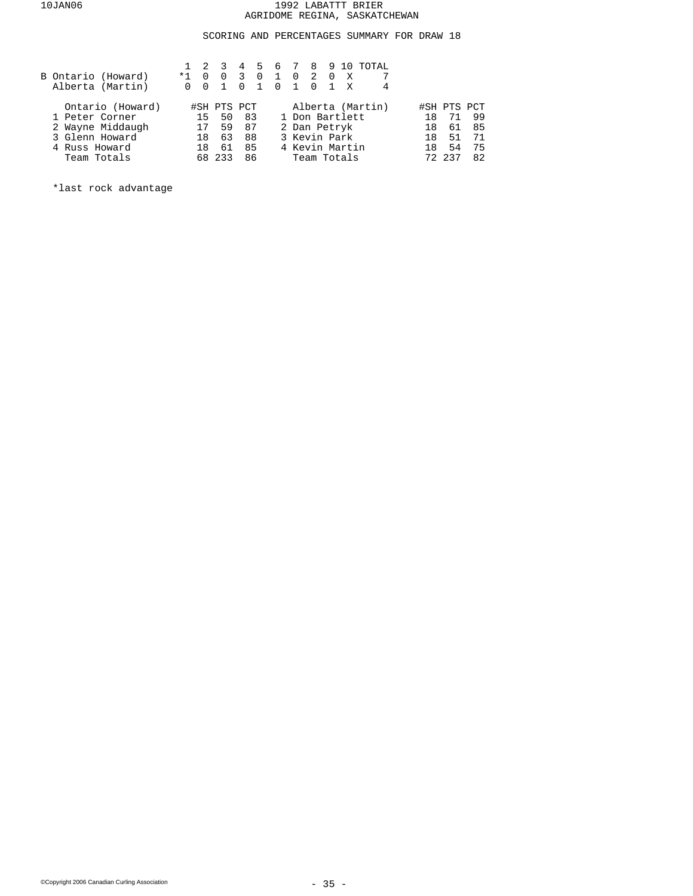## SCORING AND PERCENTAGES SUMMARY FOR DRAW 18

|                | B Ontario (Howard)<br>Alberta (Martin) | $*1$<br><sup>n</sup> | $\overline{0}$ | $1 \t2 \t3$<br>$\Omega$ | $\overline{3}$<br>$\Omega$ | $\overline{0}$ | $\mathbf{1}$<br>$\overline{0}$ | $\overline{0}$<br>$\overline{1}$ | 2 0<br>$0\quad1$ | X<br>$\mathbf{x}$ | 4 5 6 7 8 9 10 TOTAL |     |             |    |
|----------------|----------------------------------------|----------------------|----------------|-------------------------|----------------------------|----------------|--------------------------------|----------------------------------|------------------|-------------------|----------------------|-----|-------------|----|
|                | Ontario (Howard)                       |                      |                | #SH PTS PCT             |                            |                |                                |                                  |                  |                   | Alberta (Martin)     |     | #SH PTS PCT |    |
| 1 Peter Corner |                                        |                      | 15             | 50                      | -83                        |                |                                | 1 Don Bartlett                   |                  |                   |                      | 1 R | 71          | 99 |
|                | 2 Wayne Middaugh                       |                      | 17             | 59                      | 87                         |                |                                | 2 Dan Petryk                     |                  |                   |                      | 1 R | 61          | 85 |
| 3 Glenn Howard |                                        |                      | 18             | 63                      | 88                         |                |                                | 3 Kevin Park                     |                  |                   |                      | 18  | 51          | 71 |
| 4 Russ Howard  |                                        |                      | 18             | 61                      | 85                         |                |                                | 4 Kevin Martin                   |                  |                   |                      | 18  | 54          | 75 |
| Team Totals    |                                        |                      |                | 68 233                  | 86                         |                |                                | Team Totals                      |                  |                   |                      |     | 72 237      | 82 |